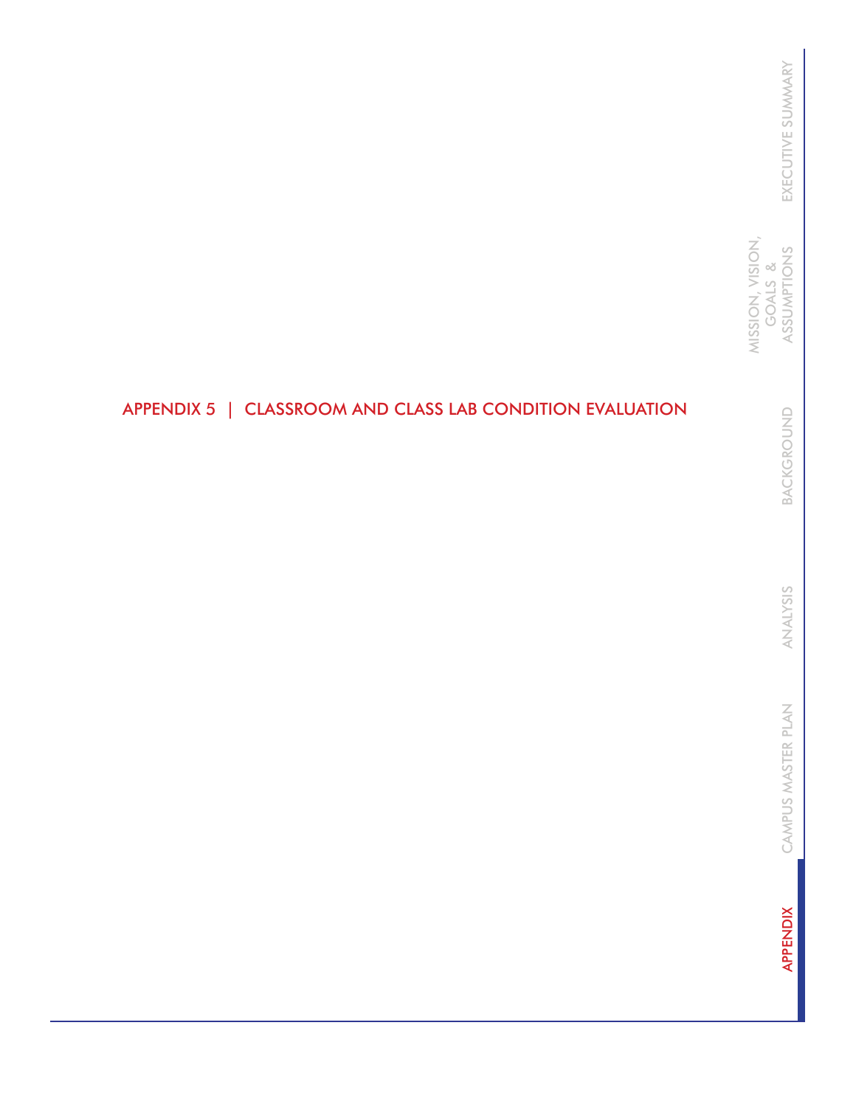### APPENDIX 5 | CLASSROOM AND CLASS LAB CONDITION EVALUATION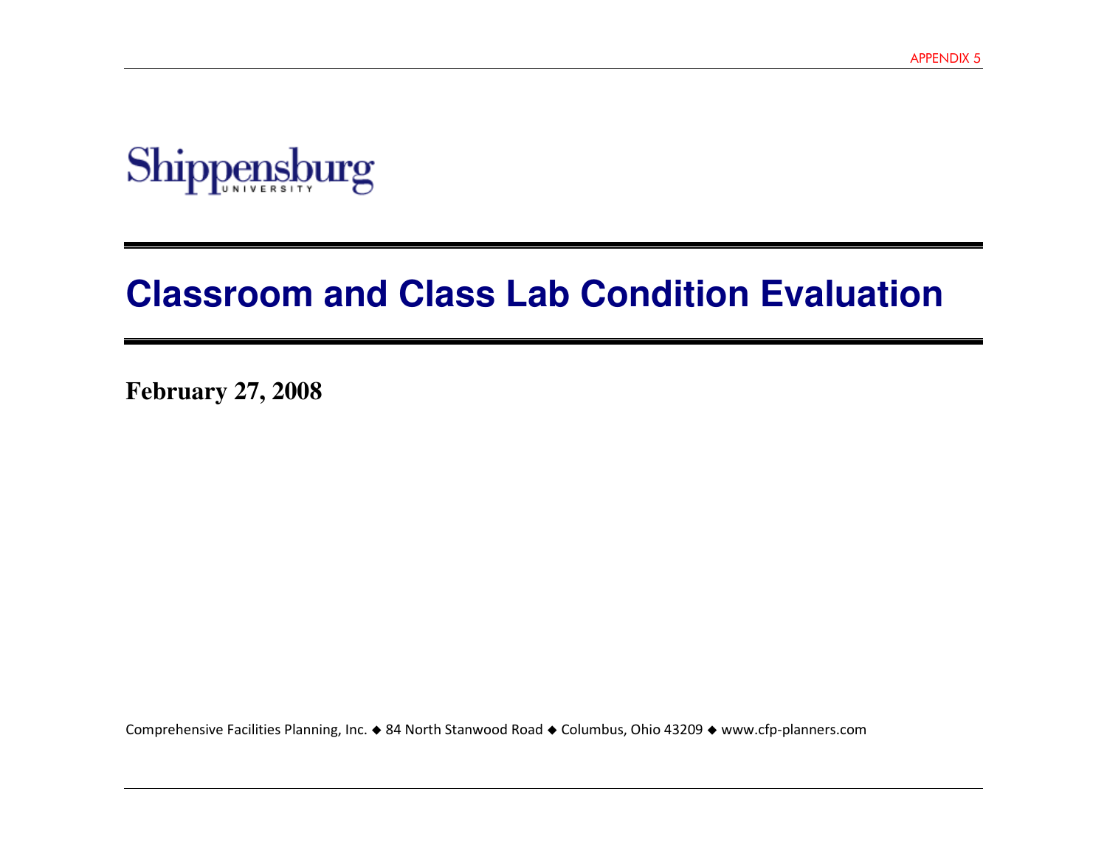

# **Classroom and Class Lab Condition Evaluation**

**February 27, 2008** 

Comprehensive Facilities Planning, Inc. 84 North Stanwood Road Columbus, Ohio 43209 www.cfp-planners.com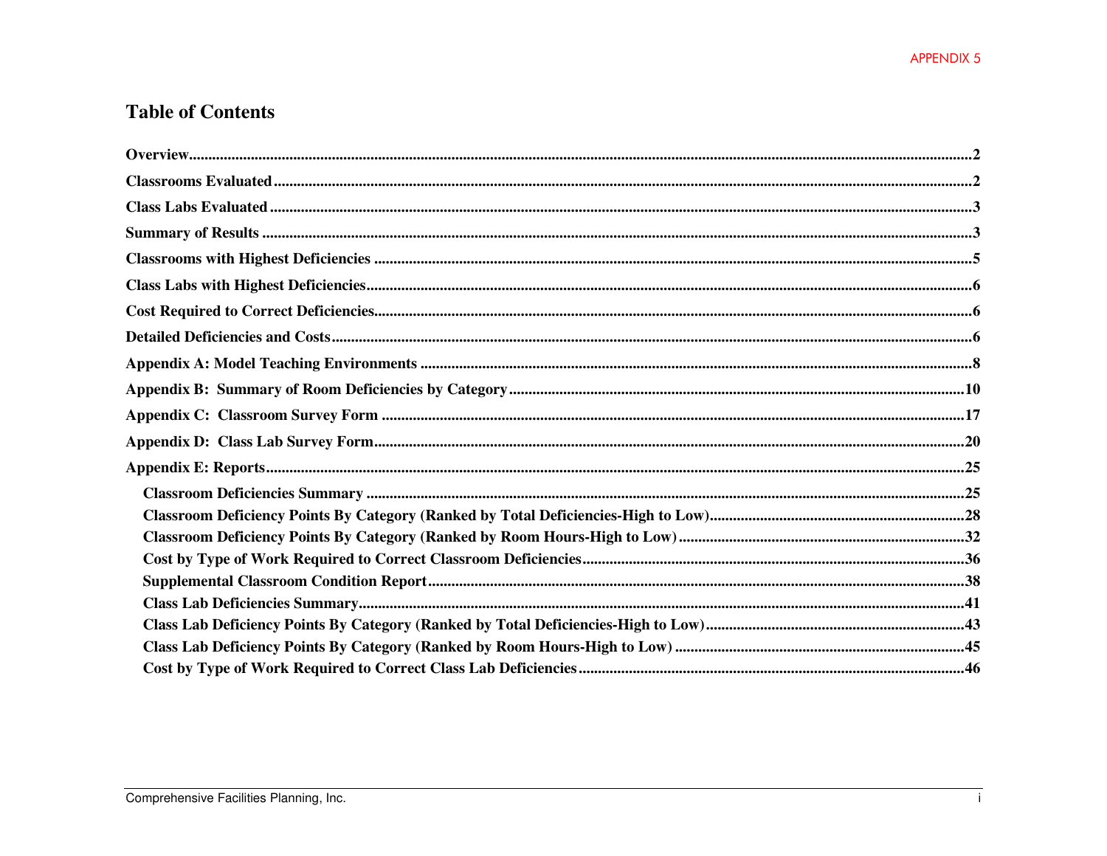$\mathbf{i}$ 

### **Table of Contents**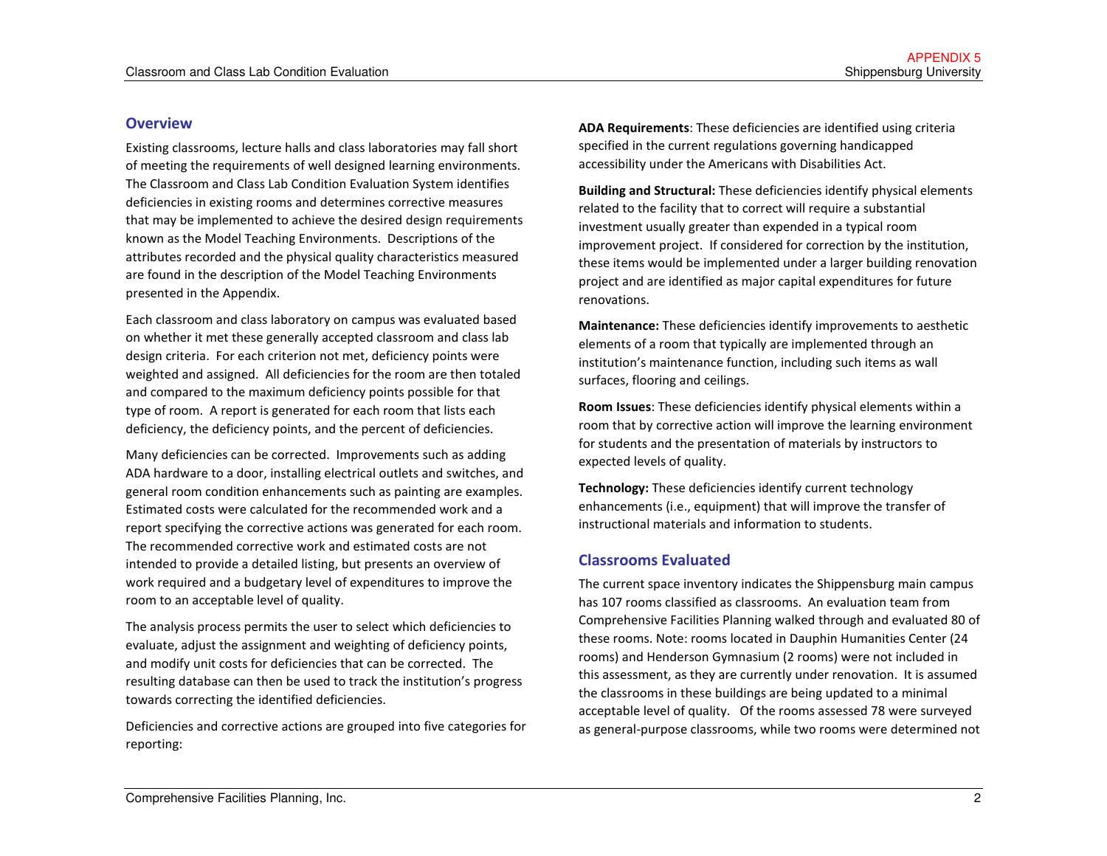#### **Overview**

Existing classrooms, lecture halls and class laboratories may fall short of meeting the requirements of well designed learning environments. The Classroom and Class Lab Condition Evaluation System identifies deficiencies in existing rooms and determines corrective measures that may be implemented to achieve the desired design requirements known as the Model Teaching Environments. Descriptions of the attributes recorded and the physical quality characteristics measured are found in the description of the Model Teaching Environments presented in the Appendix.

Each classroom and class laboratory on campus was evaluated based on whether it met these generally accepted classroom and class lab design criteria. For each criterion not met, deficiency points were weighted and assigned. All deficiencies for the room are then totaled and compared to the maximum deficiency points possible for that type of room. A report is generated for each room that lists each deficiency, the deficiency points, and the percent of deficiencies.

Many deficiencies can be corrected. Improvements such as adding ADA hardware to a door, installing electrical outlets and switches, and general room condition enhancements such as painting are examples. Estimated costs were calculated for the recommended work and a report specifying the corrective actions was generated for each room. The recommended corrective work and estimated costs are not intended to provide a detailed listing, but presents an overview of work required and a budgetary level of expenditures to improve the room to an acceptable level of quality.

The analysis process permits the user to select which deficiencies to evaluate, adjust the assignment and weighting of deficiency points, and modify unit costs for deficiencies that can be corrected. The resulting database can then be used to track the institution's progress towards correcting the identified deficiencies.

Deficiencies and corrective actions are grouped into five categories for reporting:

ADA Requirements: These deficiencies are identified using criteria specified in the current regulations governing handicapped accessibility under the Americans with Disabilities Act.

Building and Structural: These deficiencies identify physical elements related to the facility that to correct will require a substantial investment usually greater than expended in a typical room improvement project. If considered for correction by the institution, these items would be implemented under a larger building renovation project and are identified as major capital expenditures for future renovations.

Maintenance: These deficiencies identify improvements to aesthetic elements of a room that typically are implemented through an institution's maintenance function, including such items as wall surfaces, flooring and ceilings.

Room Issues: These deficiencies identify physical elements within a room that by corrective action will improve the learning environment for students and the presentation of materials by instructors to expected levels of quality.

Technology: These deficiencies identify current technology enhancements (i.e., equipment) that will improve the transfer of instructional materials and information to students.

#### Classrooms Evaluated

The current space inventory indicates the Shippensburg main campus has 107 rooms classified as classrooms. An evaluation team from Comprehensive Facilities Planning walked through and evaluated 80 of these rooms. Note: rooms located in Dauphin Humanities Center (24 rooms) and Henderson Gymnasium (2 rooms) were not included in this assessment, as they are currently under renovation. It is assumed the classrooms in these buildings are being updated to a minimal acceptable level of quality. Of the rooms assessed 78 were surveyed as general-purpose classrooms, while two rooms were determined not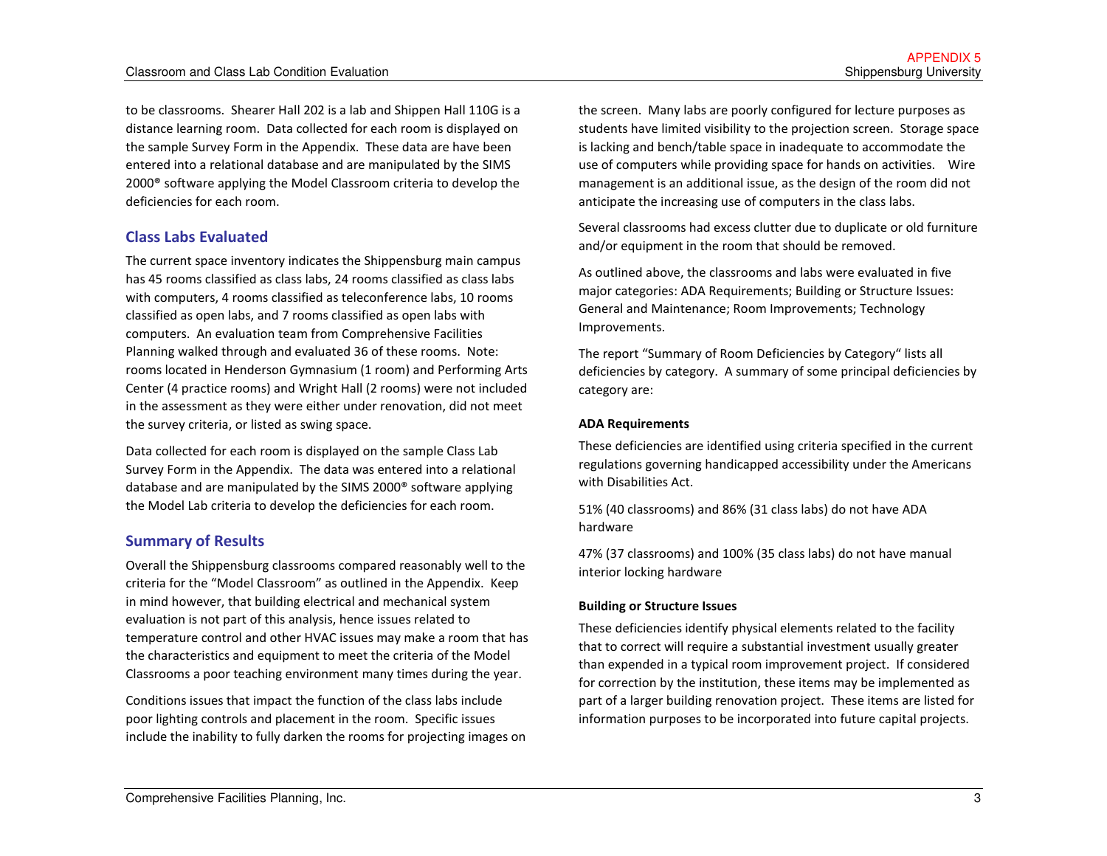to be classrooms. Shearer Hall 202 is a lab and Shippen Hall 110G is a distance learning room. Data collected for each room is displayed on the sample Survey Form in the Appendix. These data are have been entered into a relational database and are manipulated by the SIMS 2000® software applying the Model Classroom criteria to develop the deficiencies for each room.

#### Class Labs Evaluated

The current space inventory indicates the Shippensburg main campus has 45 rooms classified as class labs, 24 rooms classified as class labs with computers, 4 rooms classified as teleconference labs, 10 rooms classified as open labs, and 7 rooms classified as open labs with computers. An evaluation team from Comprehensive Facilities Planning walked through and evaluated 36 of these rooms. Note: rooms located in Henderson Gymnasium (1 room) and Performing Arts Center (4 practice rooms) and Wright Hall (2 rooms) were not included in the assessment as they were either under renovation, did not meet the survey criteria, or listed as swing space.

Data collected for each room is displayed on the sample Class Lab Survey Form in the Appendix. The data was entered into a relational database and are manipulated by the SIMS 2000® software applying the Model Lab criteria to develop the deficiencies for each room.

#### Summary of Results

Overall the Shippensburg classrooms compared reasonably well to the criteria for the "Model Classroom" as outlined in the Appendix. Keep in mind however, that building electrical and mechanical system evaluation is not part of this analysis, hence issues related to temperature control and other HVAC issues may make a room that has the characteristics and equipment to meet the criteria of the Model Classrooms a poor teaching environment many times during the year.

Conditions issues that impact the function of the class labs include poor lighting controls and placement in the room. Specific issues include the inability to fully darken the rooms for projecting images on

the screen. Many labs are poorly configured for lecture purposes as students have limited visibility to the projection screen. Storage space is lacking and bench/table space in inadequate to accommodate the use of computers while providing space for hands on activities. Wire management is an additional issue, as the design of the room did not anticipate the increasing use of computers in the class labs.

Several classrooms had excess clutter due to duplicate or old furniture and/or equipment in the room that should be removed.

As outlined above, the classrooms and labs were evaluated in five major categories: ADA Requirements; Building or Structure Issues: General and Maintenance; Room Improvements; Technology Improvements.

The report "Summary of Room Deficiencies by Category" lists all deficiencies by category. A summary of some principal deficiencies by category are:

#### ADA Requirements

These deficiencies are identified using criteria specified in the current regulations governing handicapped accessibility under the Americans with Disabilities Act.

51% (40 classrooms) and 86% (31 class labs) do not have ADA hardware

47% (37 classrooms) and 100% (35 class labs) do not have manual interior locking hardware

#### Building or Structure Issues

These deficiencies identify physical elements related to the facility that to correct will require a substantial investment usually greater than expended in a typical room improvement project. If considered for correction by the institution, these items may be implemented as part of a larger building renovation project. These items are listed for information purposes to be incorporated into future capital projects.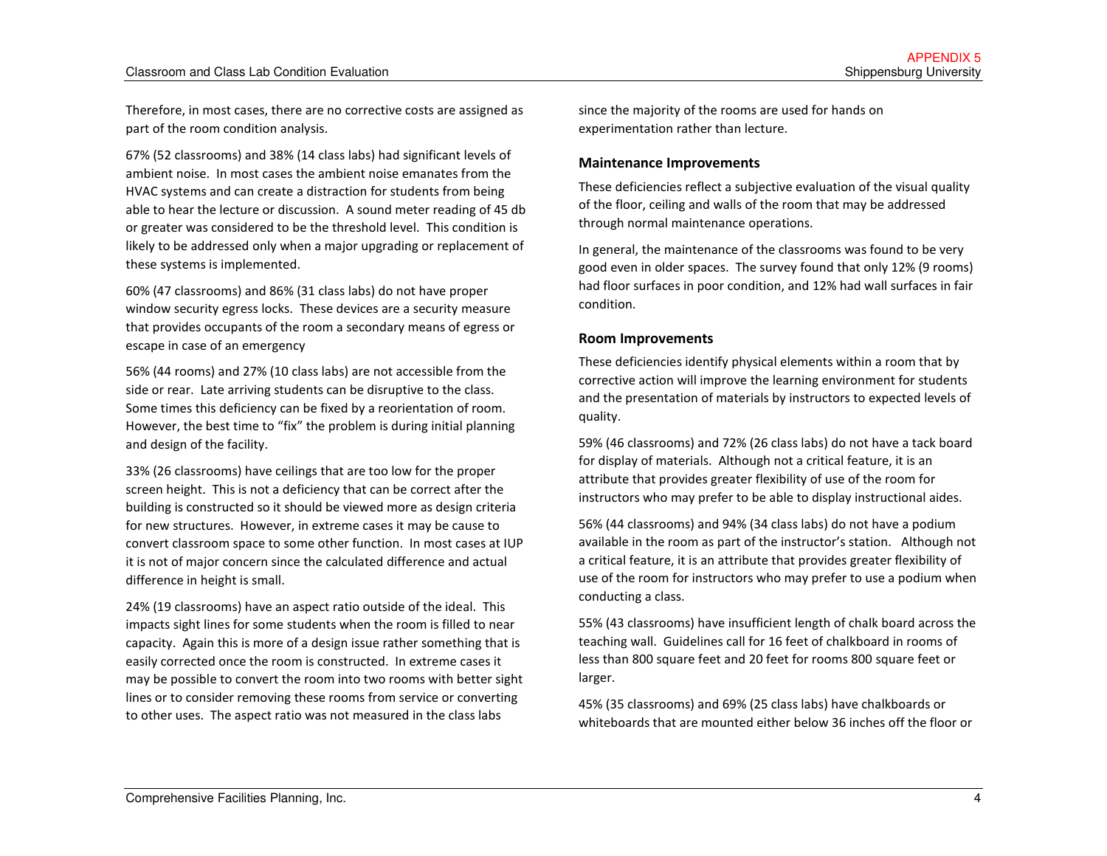Therefore, in most cases, there are no corrective costs are assigned as part of the room condition analysis.

67% (52 classrooms) and 38% (14 class labs) had significant levels of ambient noise. In most cases the ambient noise emanates from the HVAC systems and can create a distraction for students from being able to hear the lecture or discussion. A sound meter reading of 45 db or greater was considered to be the threshold level. This condition is likely to be addressed only when a major upgrading or replacement of these systems is implemented.

60% (47 classrooms) and 86% (31 class labs) do not have proper window security egress locks. These devices are a security measure that provides occupants of the room a secondary means of egress or escape in case of an emergency

56% (44 rooms) and 27% (10 class labs) are not accessible from the side or rear. Late arriving students can be disruptive to the class. Some times this deficiency can be fixed by a reorientation of room. However, the best time to "fix" the problem is during initial planning and design of the facility.

33% (26 classrooms) have ceilings that are too low for the proper screen height. This is not a deficiency that can be correct after the building is constructed so it should be viewed more as design criteria for new structures. However, in extreme cases it may be cause to convert classroom space to some other function. In most cases at IUP it is not of major concern since the calculated difference and actual difference in height is small.

24% (19 classrooms) have an aspect ratio outside of the ideal. This impacts sight lines for some students when the room is filled to near capacity. Again this is more of a design issue rather something that is easily corrected once the room is constructed. In extreme cases it may be possible to convert the room into two rooms with better sight lines or to consider removing these rooms from service or converting to other uses. The aspect ratio was not measured in the class labs

since the majority of the rooms are used for hands on experimentation rather than lecture.

#### Maintenance Improvements

These deficiencies reflect a subjective evaluation of the visual quality of the floor, ceiling and walls of the room that may be addressed through normal maintenance operations.

In general, the maintenance of the classrooms was found to be very good even in older spaces. The survey found that only 12% (9 rooms) had floor surfaces in poor condition, and 12% had wall surfaces in fair condition.

#### Room Improvements

These deficiencies identify physical elements within a room that by corrective action will improve the learning environment for students and the presentation of materials by instructors to expected levels of quality.

59% (46 classrooms) and 72% (26 class labs) do not have a tack board for display of materials. Although not a critical feature, it is an attribute that provides greater flexibility of use of the room for instructors who may prefer to be able to display instructional aides.

56% (44 classrooms) and 94% (34 class labs) do not have a podium available in the room as part of the instructor's station. Although not a critical feature, it is an attribute that provides greater flexibility of use of the room for instructors who may prefer to use a podium when conducting a class.

55% (43 classrooms) have insufficient length of chalk board across the teaching wall. Guidelines call for 16 feet of chalkboard in rooms of less than 800 square feet and 20 feet for rooms 800 square feet or larger.

45% (35 classrooms) and 69% (25 class labs) have chalkboards or whiteboards that are mounted either below 36 inches off the floor or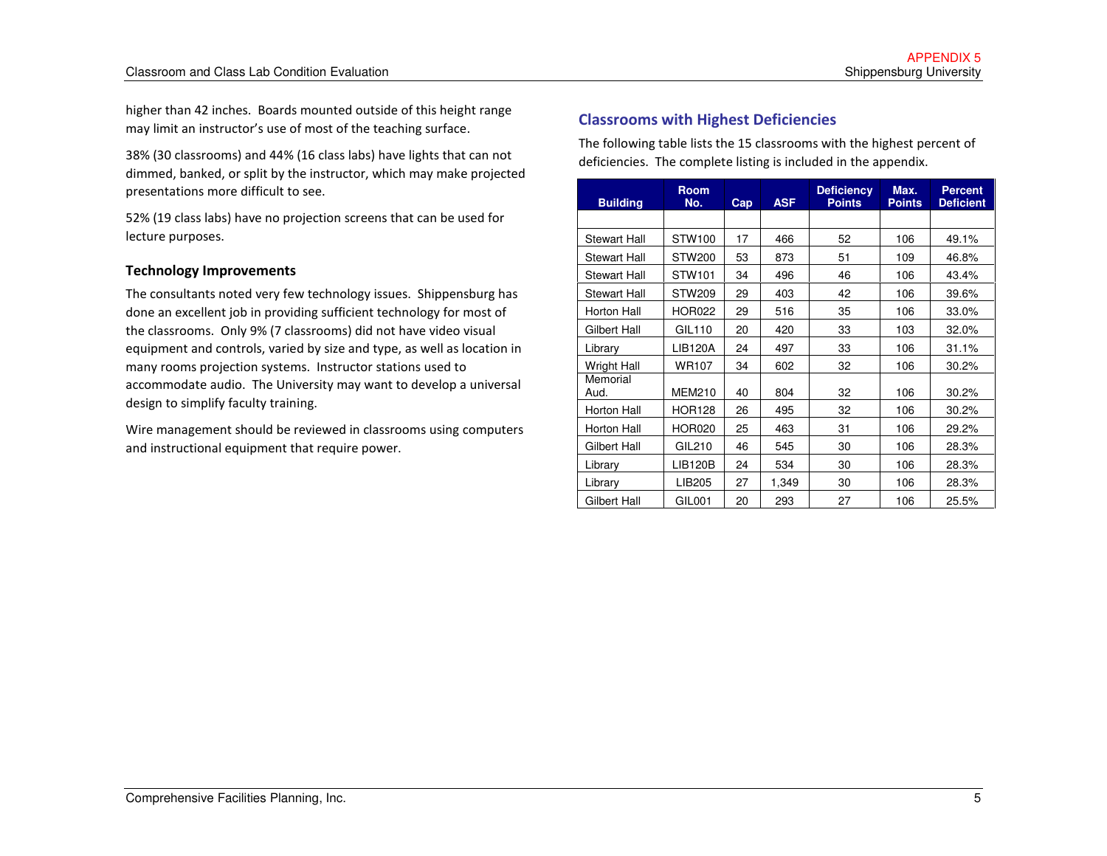higher than 42 inches. Boards mounted outside of this height range may limit an instructor's use of most of the teaching surface.

38% (30 classrooms) and 44% (16 class labs) have lights that can not dimmed, banked, or split by the instructor, which may make projected presentations more difficult to see.

52% (19 class labs) have no projection screens that can be used for lecture purposes.

#### Technology Improvements

The consultants noted very few technology issues. Shippensburg has done an excellent job in providing sufficient technology for most of the classrooms. Only 9% (7 classrooms) did not have video visual equipment and controls, varied by size and type, as well as location in many rooms projection systems. Instructor stations used to accommodate audio. The University may want to develop a universal design to simplify faculty training.

Wire management should be reviewed in classrooms using computers and instructional equipment that require power.

#### Classrooms with Highest Deficiencies

The following table lists the 15 classrooms with the highest percent of deficiencies. The complete listing is included in the appendix.

| <b>Building</b>     | <b>Room</b><br>No. | Cap | <b>ASF</b> | <b>Deficiency</b><br><b>Points</b> | Max.<br><b>Points</b> | <b>Percent</b><br><b>Deficient</b> |
|---------------------|--------------------|-----|------------|------------------------------------|-----------------------|------------------------------------|
|                     |                    |     |            |                                    |                       |                                    |
| Stewart Hall        | STW100             | 17  | 466        | 52                                 | 106                   | 49.1%                              |
| <b>Stewart Hall</b> | <b>STW200</b>      | 53  | 873        | 51                                 | 109                   | 46.8%                              |
| <b>Stewart Hall</b> | STW101             | 34  | 496        | 46                                 | 106                   | 43.4%                              |
| <b>Stewart Hall</b> | <b>STW209</b>      | 29  | 403        | 42                                 | 106                   | 39.6%                              |
| Horton Hall         | <b>HOR022</b>      | 29  | 516        | 35                                 | 106                   | 33.0%                              |
| Gilbert Hall        | GIL110             | 20  | 420        | 33                                 | 103                   | 32.0%                              |
| Library             | <b>LIB120A</b>     | 24  | 497        | 33                                 | 106                   | 31.1%                              |
| <b>Wright Hall</b>  | <b>WR107</b>       | 34  | 602        | 32                                 | 106                   | 30.2%                              |
| Memorial<br>Aud.    | <b>MEM210</b>      | 40  | 804        | 32                                 | 106                   | 30.2%                              |
| Horton Hall         | <b>HOR128</b>      | 26  | 495        | 32                                 | 106                   | 30.2%                              |
| Horton Hall         | <b>HOR020</b>      | 25  | 463        | 31                                 | 106                   | 29.2%                              |
| Gilbert Hall        | GIL210             | 46  | 545        | 30                                 | 106                   | 28.3%                              |
| Library             | LIB120B            | 24  | 534        | 30                                 | 106                   | 28.3%                              |
| Library             | LIB <sub>205</sub> | 27  | 1,349      | 30                                 | 106                   | 28.3%                              |
| Gilbert Hall        | GIL001             | 20  | 293        | 27                                 | 106                   | 25.5%                              |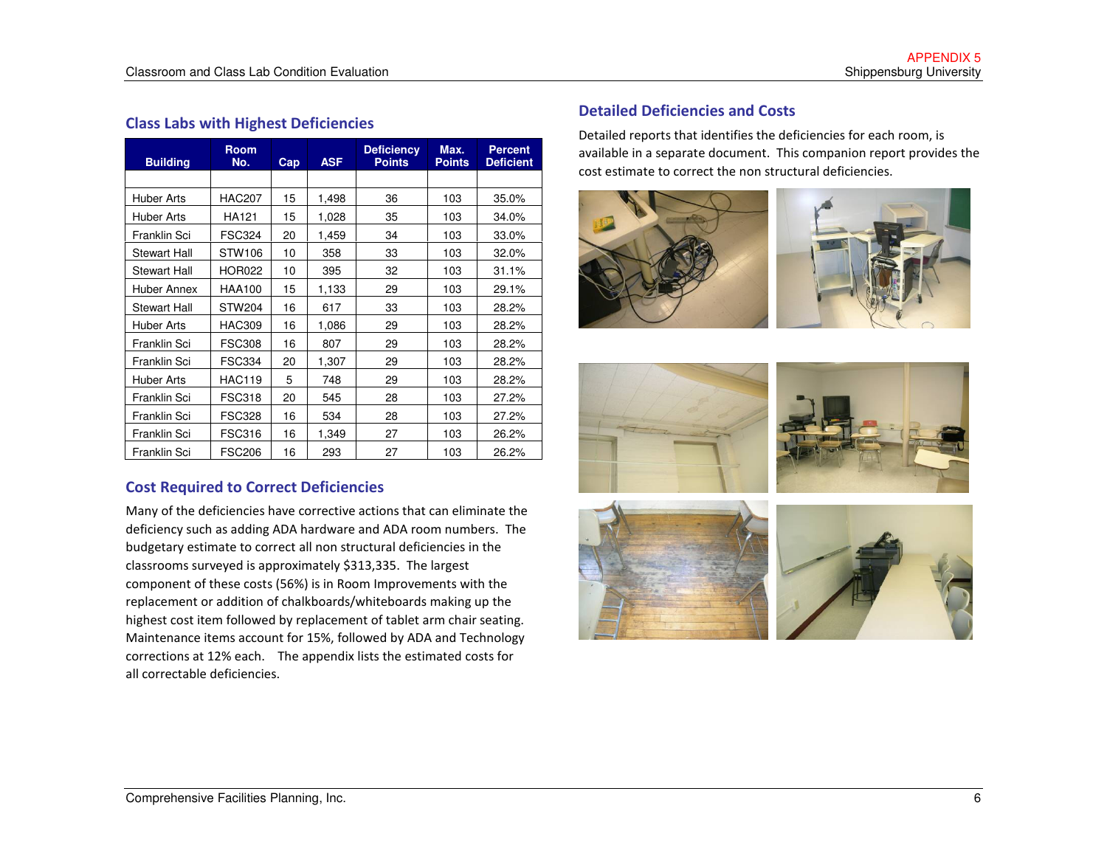#### Class Labs with Highest Deficiencies

| <b>Building</b>     | <b>Room</b><br>No. | Cap | <b>ASF</b> | <b>Deficiency</b><br><b>Points</b> | Max.<br><b>Points</b> | <b>Percent</b><br><b>Deficient</b> |
|---------------------|--------------------|-----|------------|------------------------------------|-----------------------|------------------------------------|
|                     |                    |     |            |                                    |                       |                                    |
| <b>Huber Arts</b>   | <b>HAC207</b>      | 15  | 1,498      | 36                                 | 103                   | 35.0%                              |
| Huber Arts          | HA121              | 15  | 1,028      | 35                                 | 103                   | 34.0%                              |
| Franklin Sci        | <b>FSC324</b>      | 20  | 1,459      | 34                                 | 103                   | 33.0%                              |
| <b>Stewart Hall</b> | STW106             | 10  | 358        | 33                                 | 103                   | 32.0%                              |
| <b>Stewart Hall</b> | <b>HOR022</b>      | 10  | 395        | 32                                 | 103                   | 31.1%                              |
| Huber Annex         | <b>HAA100</b>      | 15  | 1,133      | 29                                 | 103                   | 29.1%                              |
| <b>Stewart Hall</b> | <b>STW204</b>      | 16  | 617        | 33                                 | 103                   | 28.2%                              |
| Huber Arts          | <b>HAC309</b>      | 16  | 1,086      | 29                                 | 103                   | 28.2%                              |
| Franklin Sci        | <b>FSC308</b>      | 16  | 807        | 29                                 | 103                   | 28.2%                              |
| Franklin Sci        | <b>FSC334</b>      | 20  | 1,307      | 29                                 | 103                   | 28.2%                              |
| Huber Arts          | <b>HAC119</b>      | 5   | 748        | 29                                 | 103                   | 28.2%                              |
| Franklin Sci        | <b>FSC318</b>      | 20  | 545        | 28                                 | 103                   | 27.2%                              |
| Franklin Sci        | <b>FSC328</b>      | 16  | 534        | 28                                 | 103                   | 27.2%                              |
| Franklin Sci        | <b>FSC316</b>      | 16  | 1,349      | 27                                 | 103                   | 26.2%                              |
| Franklin Sci        | <b>FSC206</b>      | 16  | 293        | 27                                 | 103                   | 26.2%                              |

#### Cost Required to Correct Deficiencies

Many of the deficiencies have corrective actions that can eliminate the deficiency such as adding ADA hardware and ADA room numbers. The budgetary estimate to correct all non structural deficiencies in the classrooms surveyed is approximately \$313,335. The largest component of these costs (56%) is in Room Improvements with the replacement or addition of chalkboards/whiteboards making up the highest cost item followed by replacement of tablet arm chair seating. Maintenance items account for 15%, followed by ADA and Technology corrections at 12% each. The appendix lists the estimated costs for all correctable deficiencies.

#### Detailed Deficiencies and Costs

Detailed reports that identifies the deficiencies for each room, is available in a separate document. This companion report provides the cost estimate to correct the non structural deficiencies.





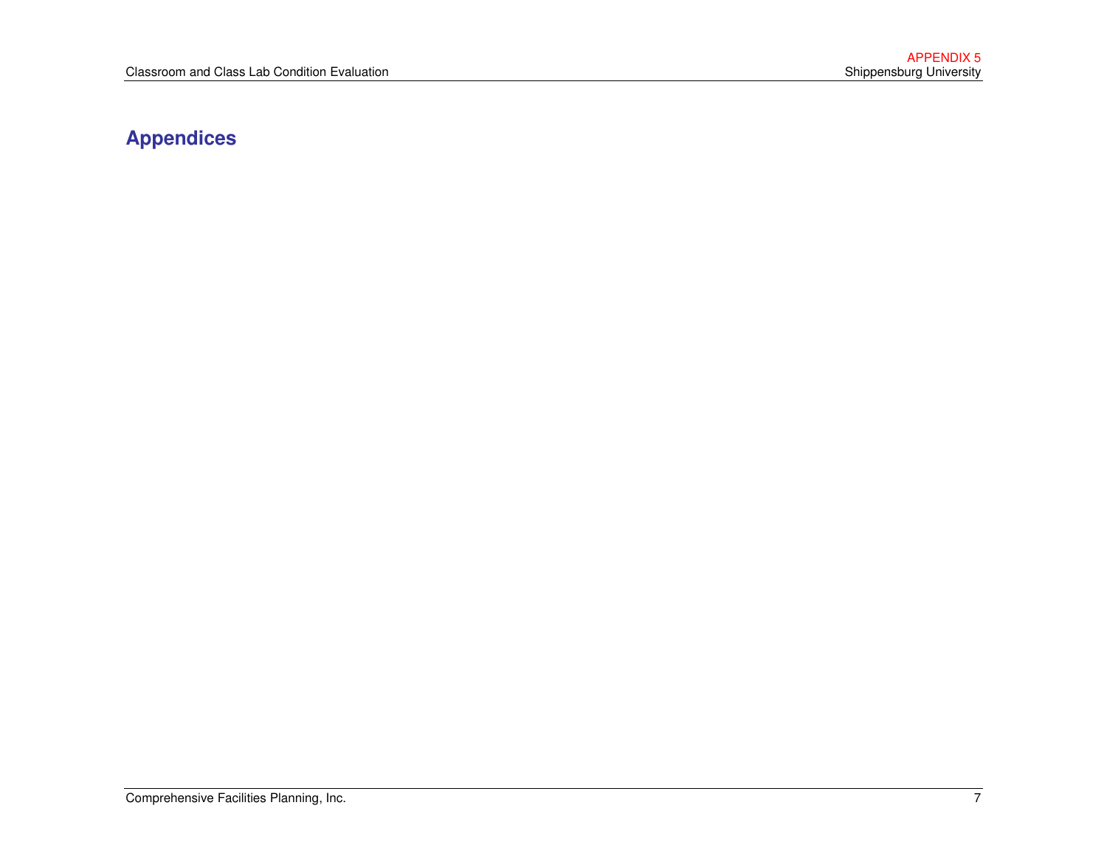### **Appendices**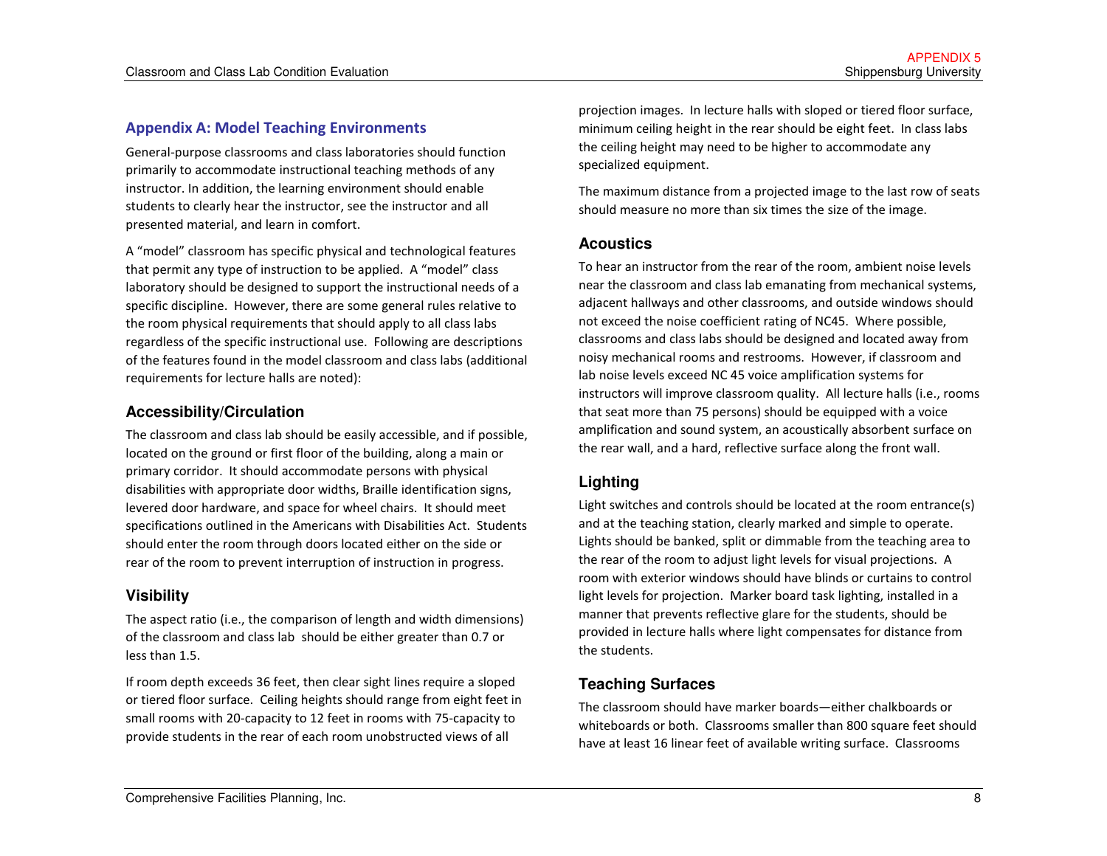#### Appendix A: Model Teaching Environments

General-purpose classrooms and class laboratories should function primarily to accommodate instructional teaching methods of any instructor. In addition, the learning environment should enable students to clearly hear the instructor, see the instructor and all presented material, and learn in comfort.

A "model" classroom has specific physical and technological features that permit any type of instruction to be applied. A "model" class laboratory should be designed to support the instructional needs of a specific discipline. However, there are some general rules relative to the room physical requirements that should apply to all class labs regardless of the specific instructional use. Following are descriptions of the features found in the model classroom and class labs (additional requirements for lecture halls are noted):

#### **Accessibility/Circulation**

The classroom and class lab should be easily accessible, and if possible, located on the ground or first floor of the building, along a main or primary corridor. It should accommodate persons with physical disabilities with appropriate door widths, Braille identification signs, levered door hardware, and space for wheel chairs. It should meet specifications outlined in the Americans with Disabilities Act. Students should enter the room through doors located either on the side or rear of the room to prevent interruption of instruction in progress.

#### **Visibility**

The aspect ratio (i.e., the comparison of length and width dimensions) of the classroom and class lab should be either greater than 0.7 or less than 1.5.

If room depth exceeds 36 feet, then clear sight lines require a sloped or tiered floor surface. Ceiling heights should range from eight feet in small rooms with 20-capacity to 12 feet in rooms with 75-capacity to provide students in the rear of each room unobstructed views of all

projection images. In lecture halls with sloped or tiered floor surface, minimum ceiling height in the rear should be eight feet. In class labs the ceiling height may need to be higher to accommodate any specialized equipment.

The maximum distance from a projected image to the last row of seats should measure no more than six times the size of the image.

#### **Acoustics**

To hear an instructor from the rear of the room, ambient noise levels near the classroom and class lab emanating from mechanical systems, adjacent hallways and other classrooms, and outside windows should not exceed the noise coefficient rating of NC45. Where possible, classrooms and class labs should be designed and located away from noisy mechanical rooms and restrooms. However, if classroom and lab noise levels exceed NC 45 voice amplification systems for instructors will improve classroom quality. All lecture halls (i.e., rooms that seat more than 75 persons) should be equipped with a voice amplification and sound system, an acoustically absorbent surface on the rear wall, and a hard, reflective surface along the front wall.

#### **Lighting**

Light switches and controls should be located at the room entrance(s) and at the teaching station, clearly marked and simple to operate. Lights should be banked, split or dimmable from the teaching area to the rear of the room to adjust light levels for visual projections. A room with exterior windows should have blinds or curtains to control light levels for projection. Marker board task lighting, installed in a manner that prevents reflective glare for the students, should be provided in lecture halls where light compensates for distance from the students.

#### **Teaching Surfaces**

The classroom should have marker boards—either chalkboards or whiteboards or both. Classrooms smaller than 800 square feet should have at least 16 linear feet of available writing surface. Classrooms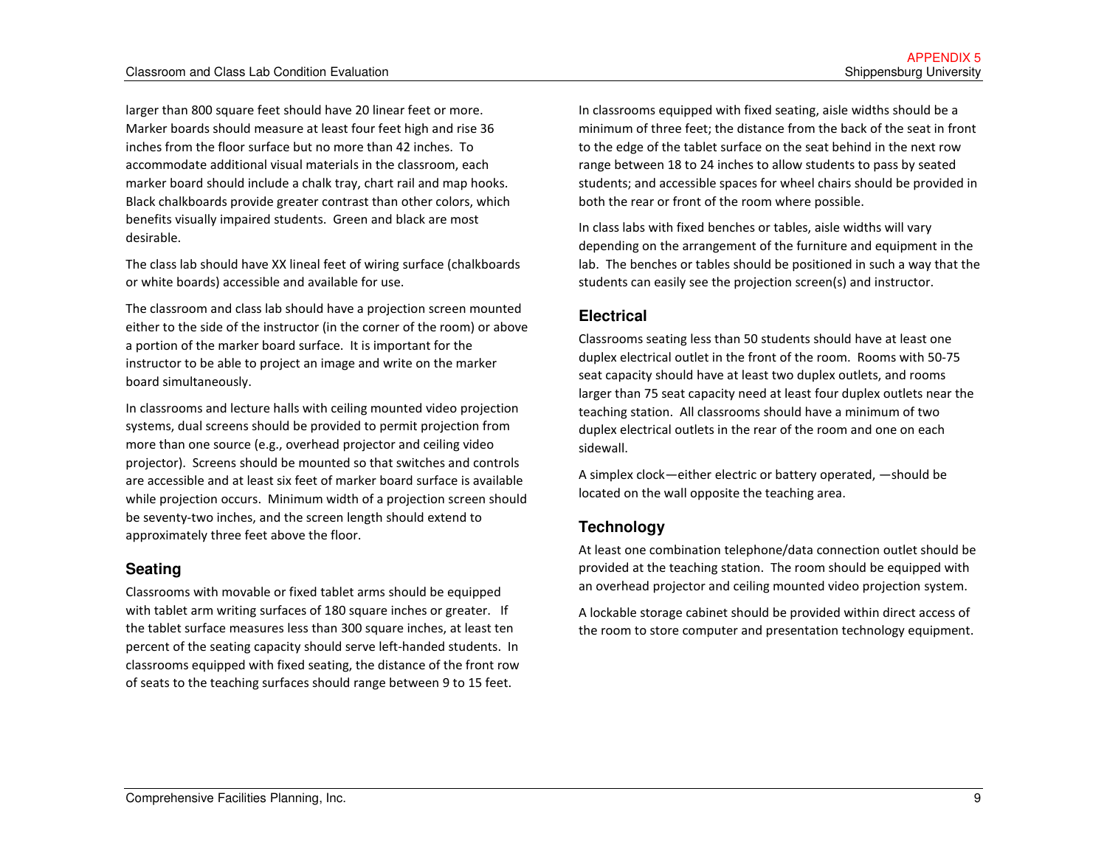larger than 800 square feet should have 20 linear feet or more. Marker boards should measure at least four feet high and rise 36 inches from the floor surface but no more than 42 inches. To accommodate additional visual materials in the classroom, each marker board should include a chalk tray, chart rail and map hooks. Black chalkboards provide greater contrast than other colors, which benefits visually impaired students. Green and black are most desirable.

The class lab should have XX lineal feet of wiring surface (chalkboards or white boards) accessible and available for use.

The classroom and class lab should have a projection screen mounted either to the side of the instructor (in the corner of the room) or above a portion of the marker board surface. It is important for the instructor to be able to project an image and write on the marker board simultaneously.

In classrooms and lecture halls with ceiling mounted video projection systems, dual screens should be provided to permit projection from more than one source (e.g., overhead projector and ceiling video projector). Screens should be mounted so that switches and controls are accessible and at least six feet of marker board surface is available while projection occurs. Minimum width of a projection screen should be seventy-two inches, and the screen length should extend to approximately three feet above the floor.

#### **Seating**

Classrooms with movable or fixed tablet arms should be equipped with tablet arm writing surfaces of 180 square inches or greater. If the tablet surface measures less than 300 square inches, at least ten percent of the seating capacity should serve left-handed students. In classrooms equipped with fixed seating, the distance of the front row of seats to the teaching surfaces should range between 9 to 15 feet.

In classrooms equipped with fixed seating, aisle widths should be a minimum of three feet; the distance from the back of the seat in front to the edge of the tablet surface on the seat behind in the next row range between 18 to 24 inches to allow students to pass by seated students; and accessible spaces for wheel chairs should be provided in both the rear or front of the room where possible.

In class labs with fixed benches or tables, aisle widths will vary depending on the arrangement of the furniture and equipment in the lab. The benches or tables should be positioned in such a way that the students can easily see the projection screen(s) and instructor.

#### **Electrical**

Classrooms seating less than 50 students should have at least one duplex electrical outlet in the front of the room. Rooms with 50-75 seat capacity should have at least two duplex outlets, and rooms larger than 75 seat capacity need at least four duplex outlets near the teaching station. All classrooms should have a minimum of two duplex electrical outlets in the rear of the room and one on each sidewall.

A simplex clock—either electric or battery operated, —should be located on the wall opposite the teaching area.

#### **Technology**

At least one combination telephone/data connection outlet should be provided at the teaching station. The room should be equipped with an overhead projector and ceiling mounted video projection system.

A lockable storage cabinet should be provided within direct access of the room to store computer and presentation technology equipment.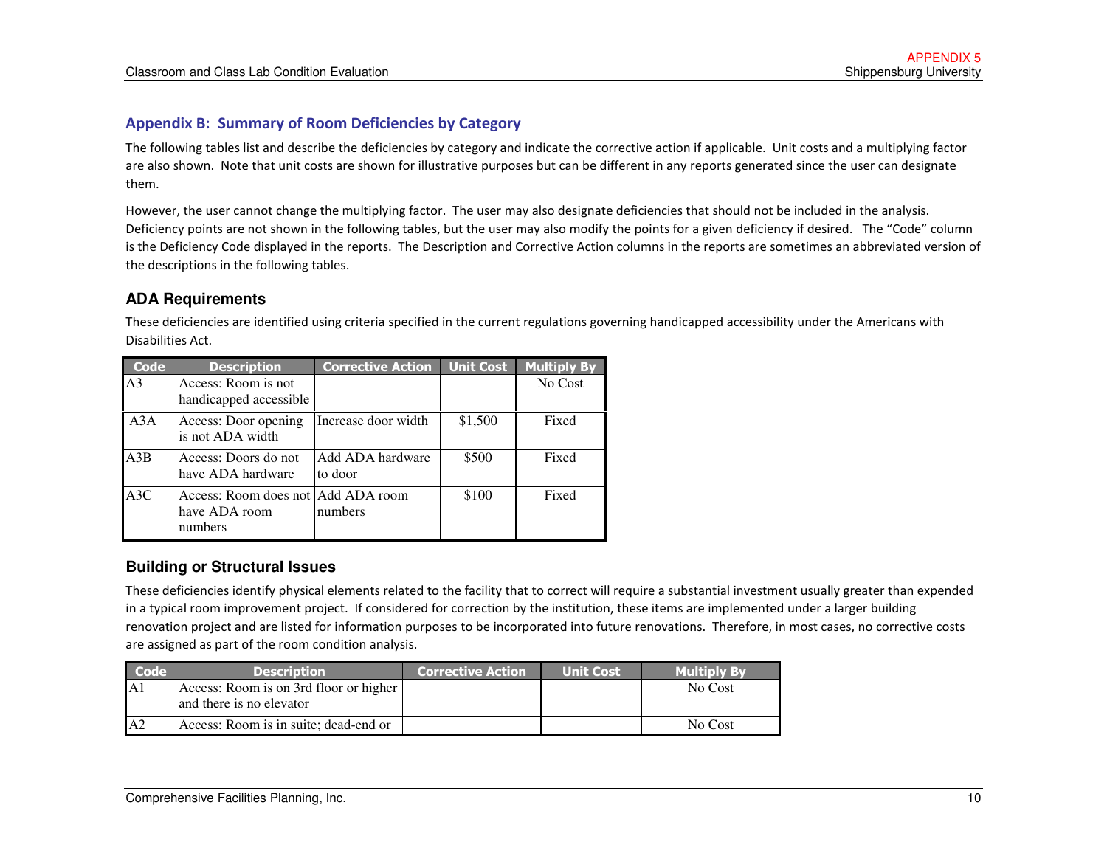#### Appendix B: Summary of Room Deficiencies by Category

The following tables list and describe the deficiencies by category and indicate the corrective action if applicable. Unit costs and a multiplying factor are also shown. Note that unit costs are shown for illustrative purposes but can be different in any reports generated since the user can designate them.

However, the user cannot change the multiplying factor. The user may also designate deficiencies that should not be included in the analysis. Deficiency points are not shown in the following tables, but the user may also modify the points for a given deficiency if desired. The "Code" column is the Deficiency Code displayed in the reports. The Description and Corrective Action columns in the reports are sometimes an abbreviated version of the descriptions in the following tables.

#### **ADA Requirements**

| Code           | <b>Description</b>                                             | <b>Corrective Action</b>    | <b>Unit Cost</b> | <b>Multiply By</b> |
|----------------|----------------------------------------------------------------|-----------------------------|------------------|--------------------|
| A <sub>3</sub> | Access: Room is not<br>handicapped accessible                  |                             |                  | No Cost            |
| A3A            | Access: Door opening<br>is not ADA width                       | Increase door width         | \$1,500          | Fixed              |
| A3B            | Access: Doors do not<br>have ADA hardware                      | Add ADA hardware<br>to door | \$500            | Fixed              |
| A3C            | Access: Room does not Add ADA room<br>have ADA room<br>numbers | numbers                     | \$100            | Fixed              |

These deficiencies are identified using criteria specified in the current regulations governing handicapped accessibility under the Americans with Disabilities Act.

#### **Building or Structural Issues**

These deficiencies identify physical elements related to the facility that to correct will require a substantial investment usually greater than expendedin a typical room improvement project. If considered for correction by the institution, these items are implemented under a larger building renovation project and are listed for information purposes to be incorporated into future renovations. Therefore, in most cases, no corrective costs are assigned as part of the room condition analysis.

| $\overline{\phantom{a}}$ Code <sup>1</sup> | <b>Description</b>                                                 | <b>Corrective Action</b> | <b>Unit Cost</b> | <b>Multiply By</b> |
|--------------------------------------------|--------------------------------------------------------------------|--------------------------|------------------|--------------------|
| A1                                         | Access: Room is on 3rd floor or higher<br>and there is no elevator |                          |                  | No Cost            |
| A2                                         | Access: Room is in suite; dead-end or                              |                          |                  | No Cost            |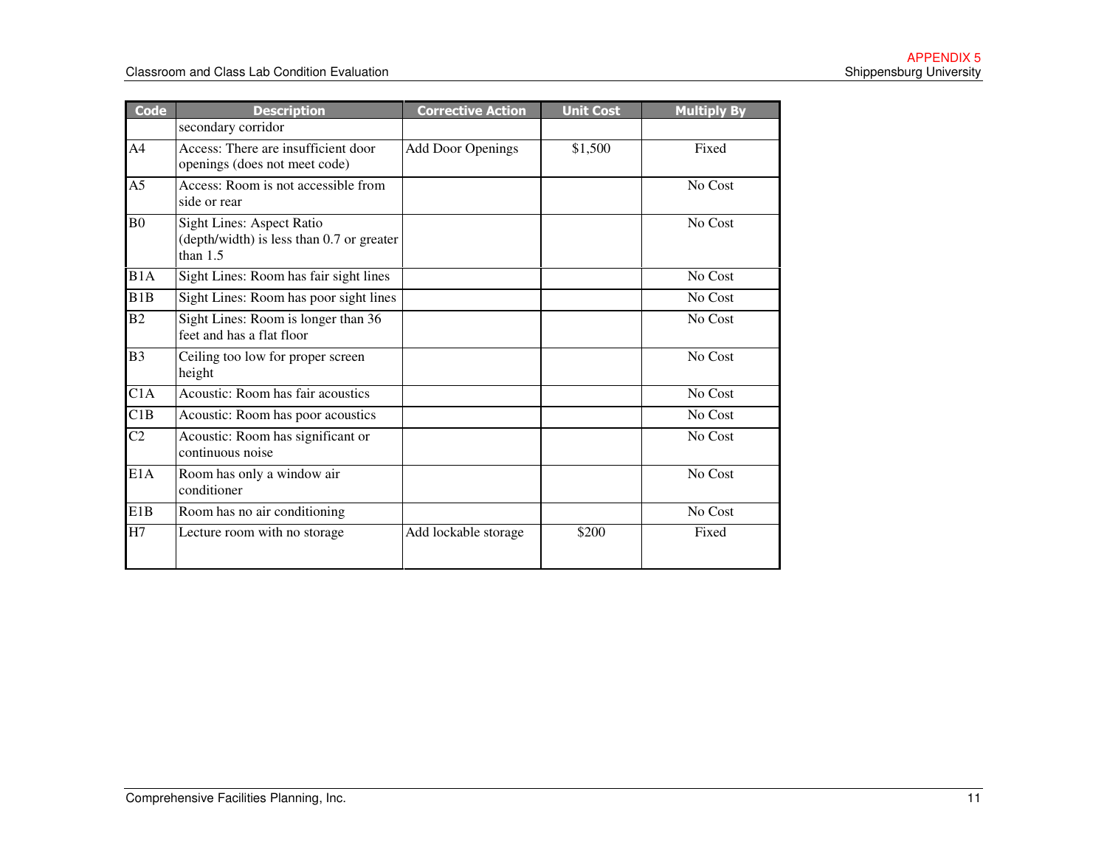| <b>Code</b>    | <b>Description</b>                                                                          | <b>Corrective Action</b> | <b>Unit Cost</b> | <b>Multiply By</b> |
|----------------|---------------------------------------------------------------------------------------------|--------------------------|------------------|--------------------|
|                | secondary corridor                                                                          |                          |                  |                    |
| A4             | Access: There are insufficient door<br>openings (does not meet code)                        | <b>Add Door Openings</b> | \$1,500          | Fixed              |
| A5             | Access: Room is not accessible from<br>side or rear                                         |                          |                  | No Cost            |
| B <sub>0</sub> | <b>Sight Lines: Aspect Ratio</b><br>(depth/width) is less than 0.7 or greater<br>than $1.5$ |                          |                  | No Cost            |
| B1A            | Sight Lines: Room has fair sight lines                                                      |                          |                  | No Cost            |
| B1B            | Sight Lines: Room has poor sight lines                                                      |                          |                  | No Cost            |
| B2             | Sight Lines: Room is longer than 36<br>feet and has a flat floor                            |                          |                  | No Cost            |
| B <sub>3</sub> | Ceiling too low for proper screen<br>height                                                 |                          |                  | No Cost            |
| C1A            | Acoustic: Room has fair acoustics                                                           |                          |                  | No Cost            |
| C1B            | Acoustic: Room has poor acoustics                                                           |                          |                  | No Cost            |
| C <sub>2</sub> | Acoustic: Room has significant or<br>continuous noise                                       |                          |                  | No Cost            |
| E1A            | Room has only a window air<br>conditioner                                                   |                          |                  | No Cost            |
| E1B            | Room has no air conditioning                                                                |                          |                  | No Cost            |
| H7             | Lecture room with no storage                                                                | Add lockable storage     | \$200            | Fixed              |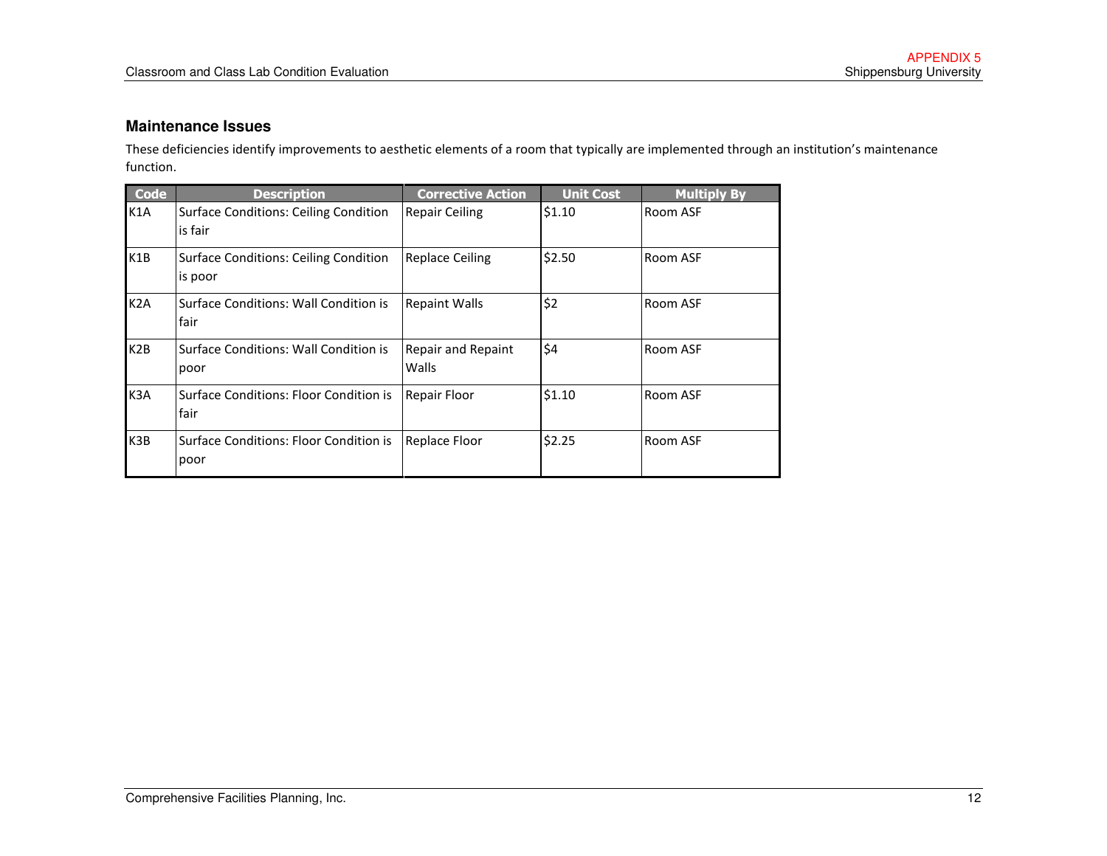#### **Maintenance Issues**

These deficiencies identify improvements to aesthetic elements of a room that typically are implemented through an institution's maintenance function.

| <b>Code</b>      | <b>Description</b>                                      | <b>Corrective Action</b>    | <b>Unit Cost</b> | <b>Multiply By</b> |
|------------------|---------------------------------------------------------|-----------------------------|------------------|--------------------|
| K1A              | <b>Surface Conditions: Ceiling Condition</b><br>is fair | <b>Repair Ceiling</b>       | \$1.10           | Room ASF           |
| K <sub>1</sub> B | <b>Surface Conditions: Ceiling Condition</b><br>is poor | <b>Replace Ceiling</b>      | \$2.50           | Room ASF           |
| K <sub>2</sub> A | Surface Conditions: Wall Condition is<br>fair           | <b>Repaint Walls</b>        | \$2              | Room ASF           |
| K <sub>2</sub> B | Surface Conditions: Wall Condition is<br>poor           | Repair and Repaint<br>Walls | \$4              | Room ASF           |
| K <sub>3</sub> A | Surface Conditions: Floor Condition is<br>fair          | Repair Floor                | \$1.10           | Room ASF           |
| K <sub>3</sub> B | Surface Conditions: Floor Condition is<br>poor          | <b>Replace Floor</b>        | \$2.25           | Room ASF           |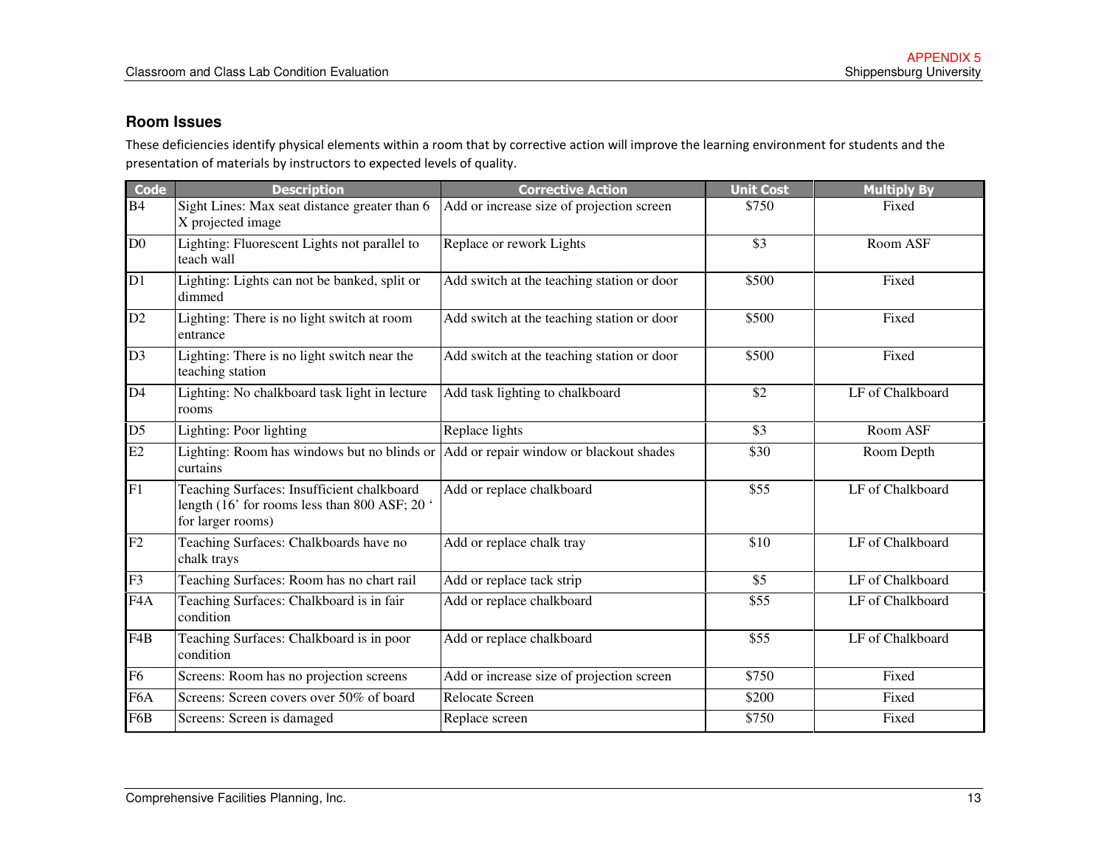#### **Room Issues**

These deficiencies identify physical elements within a room that by corrective action will improve the learning environment for students and the presentation of materials by instructors to expected levels of quality.

| <b>Code</b>      | <b>Description</b>                                                                                               | <b>Corrective Action</b>                   | <b>Unit Cost</b> | <b>Multiply By</b> |
|------------------|------------------------------------------------------------------------------------------------------------------|--------------------------------------------|------------------|--------------------|
| B <sub>4</sub>   | Sight Lines: Max seat distance greater than 6<br>X projected image                                               | Add or increase size of projection screen  | \$750            | Fixed              |
| D <sub>0</sub>   | Lighting: Fluorescent Lights not parallel to<br>teach wall                                                       | Replace or rework Lights                   | \$3              | Room ASF           |
| D1               | Lighting: Lights can not be banked, split or<br>dimmed                                                           | Add switch at the teaching station or door | \$500            | Fixed              |
| D2               | Lighting: There is no light switch at room<br>entrance                                                           | Add switch at the teaching station or door | \$500            | Fixed              |
| D <sub>3</sub>   | Lighting: There is no light switch near the<br>teaching station                                                  | Add switch at the teaching station or door | \$500            | Fixed              |
| D <sub>4</sub>   | Lighting: No chalkboard task light in lecture<br>rooms                                                           | Add task lighting to chalkboard            | \$2              | LF of Chalkboard   |
| D <sub>5</sub>   | Lighting: Poor lighting                                                                                          | Replace lights                             | \$3              | Room ASF           |
| E2               | Lighting: Room has windows but no blinds or<br>curtains                                                          | Add or repair window or blackout shades    | \$30             | Room Depth         |
| F1               | Teaching Surfaces: Insufficient chalkboard<br>length (16' for rooms less than 800 ASF; 20 '<br>for larger rooms) | Add or replace chalkboard                  | \$55             | LF of Chalkboard   |
| F2               | Teaching Surfaces: Chalkboards have no<br>chalk trays                                                            | Add or replace chalk tray                  | \$10             | LF of Chalkboard   |
| F <sub>3</sub>   | Teaching Surfaces: Room has no chart rail                                                                        | Add or replace tack strip                  | \$5              | LF of Chalkboard   |
| F <sub>4</sub> A | Teaching Surfaces: Chalkboard is in fair<br>condition                                                            | Add or replace chalkboard                  | \$55             | LF of Chalkboard   |
| F <sub>4</sub> B | Teaching Surfaces: Chalkboard is in poor<br>condition                                                            | Add or replace chalkboard                  | \$55             | LF of Chalkboard   |
| F <sub>6</sub>   | Screens: Room has no projection screens                                                                          | Add or increase size of projection screen  | \$750            | Fixed              |
| F <sub>6</sub> A | Screens: Screen covers over 50% of board                                                                         | Relocate Screen                            | \$200            | Fixed              |
| F6B              | Screens: Screen is damaged                                                                                       | Replace screen                             | \$750            | Fixed              |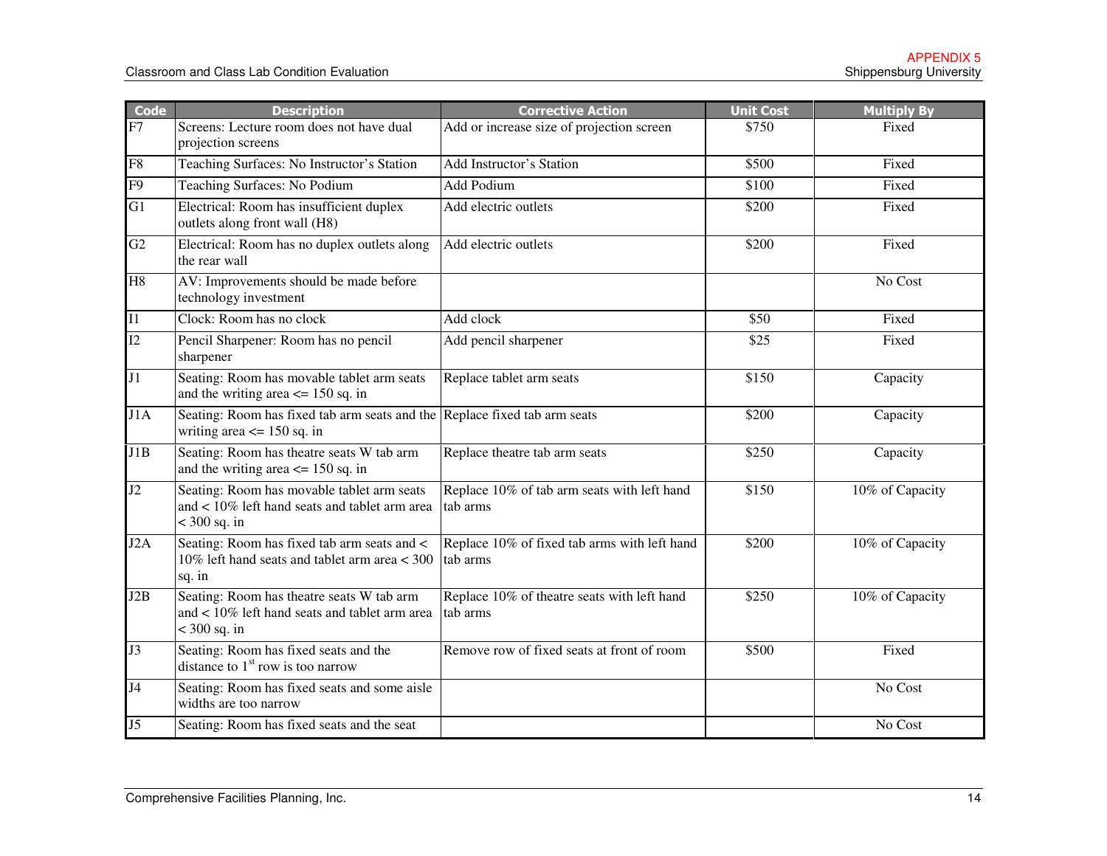| <b>Code</b>     | <b>Description</b>                                                                                               | <b>Corrective Action</b>                                 | <b>Unit Cost</b> | <b>Multiply By</b> |
|-----------------|------------------------------------------------------------------------------------------------------------------|----------------------------------------------------------|------------------|--------------------|
| F7              | Screens: Lecture room does not have dual<br>projection screens                                                   | Add or increase size of projection screen                | \$750            | Fixed              |
| F <sub>8</sub>  | Teaching Surfaces: No Instructor's Station                                                                       | Add Instructor's Station                                 | \$500            | Fixed              |
| $\overline{F9}$ | Teaching Surfaces: No Podium                                                                                     | <b>Add Podium</b>                                        | \$100            | Fixed              |
| $\overline{G1}$ | Electrical: Room has insufficient duplex<br>outlets along front wall (H8)                                        | Add electric outlets                                     | \$200            | Fixed              |
| G2              | Electrical: Room has no duplex outlets along<br>the rear wall                                                    | Add electric outlets                                     | \$200            | Fixed              |
| H <sub>8</sub>  | AV: Improvements should be made before<br>technology investment                                                  |                                                          |                  | No Cost            |
| I1              | Clock: Room has no clock                                                                                         | Add clock                                                | \$50             | Fixed              |
| $\overline{12}$ | Pencil Sharpener: Room has no pencil<br>sharpener                                                                | Add pencil sharpener                                     | \$25             | Fixed              |
| J1              | Seating: Room has movable tablet arm seats<br>and the writing area $\leq$ 150 sq. in                             | Replace tablet arm seats                                 | \$150            | Capacity           |
| J1A             | Seating: Room has fixed tab arm seats and the Replace fixed tab arm seats<br>writing area $\leq$ 150 sq. in      |                                                          | \$200            | Capacity           |
| J1B             | Seating: Room has theatre seats W tab arm<br>and the writing area $\le$ 150 sq. in                               | Replace theatre tab arm seats                            | \$250            | Capacity           |
| J2              | Seating: Room has movable tablet arm seats<br>and $< 10\%$ left hand seats and tablet arm area<br>$<$ 300 sq. in | Replace 10% of tab arm seats with left hand<br>tab arms  | \$150            | 10% of Capacity    |
| J2A             | Seating: Room has fixed tab arm seats and <<br>10% left hand seats and tablet arm area $<$ 300<br>sq. in         | Replace 10% of fixed tab arms with left hand<br>tab arms | \$200            | 10% of Capacity    |
| J2B             | Seating: Room has theatre seats W tab arm<br>and < 10% left hand seats and tablet arm area<br>$<$ 300 sq. in     | Replace 10% of theatre seats with left hand<br>tab arms  | \$250            | 10% of Capacity    |
| J3              | Seating: Room has fixed seats and the<br>distance to $1st$ row is too narrow                                     | Remove row of fixed seats at front of room               | \$500            | Fixed              |
| J <sub>4</sub>  | Seating: Room has fixed seats and some aisle<br>widths are too narrow                                            |                                                          |                  | No Cost            |
| J <sub>5</sub>  | Seating: Room has fixed seats and the seat                                                                       |                                                          |                  | No Cost            |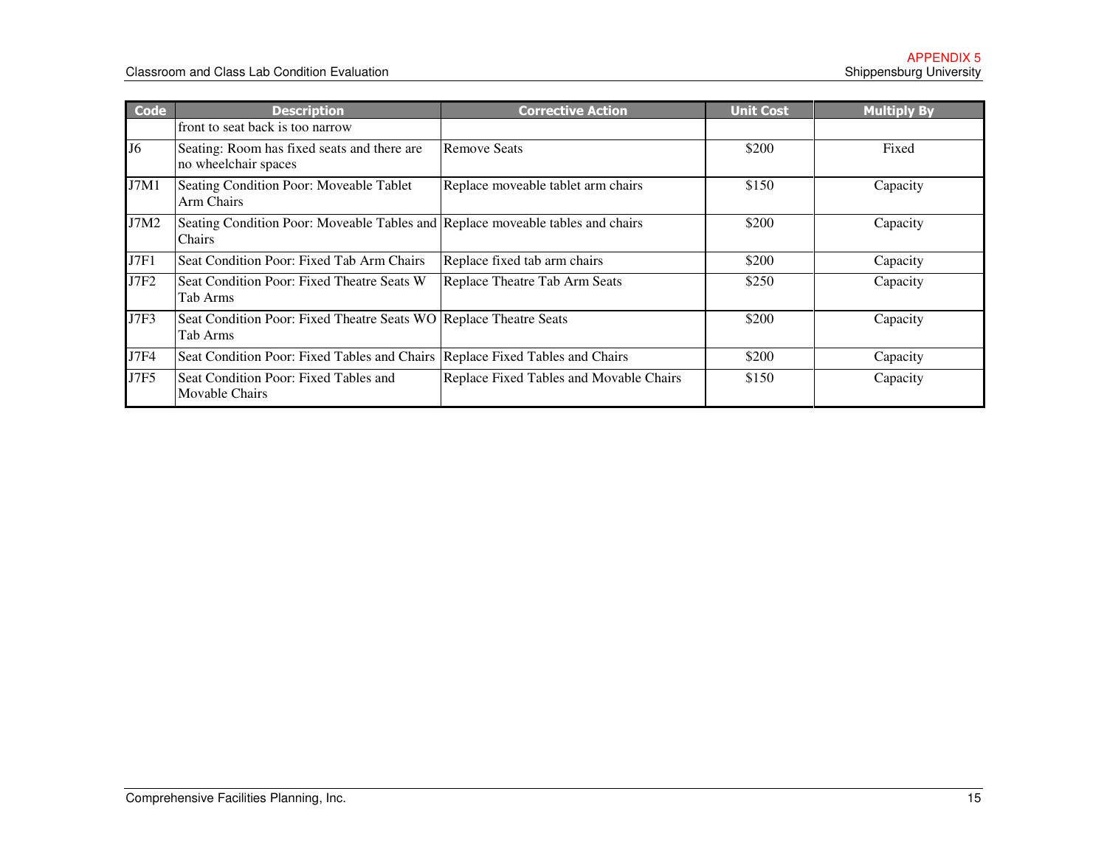| <b>Code</b>    | <b>Description</b>                                                                       | <b>Corrective Action</b>                | <b>Unit Cost</b> | <b>Multiply By</b> |
|----------------|------------------------------------------------------------------------------------------|-----------------------------------------|------------------|--------------------|
|                | front to seat back is too narrow                                                         |                                         |                  |                    |
| J <sub>6</sub> | Seating: Room has fixed seats and there are<br>no wheelchair spaces                      | <b>Remove Seats</b>                     | \$200            | Fixed              |
| J7M1           | Seating Condition Poor: Moveable Tablet<br>Arm Chairs                                    | Replace moveable tablet arm chairs      | \$150            | Capacity           |
| J7M2           | Seating Condition Poor: Moveable Tables and Replace moveable tables and chairs<br>Chairs |                                         | \$200            | Capacity           |
| J7F1           | Seat Condition Poor: Fixed Tab Arm Chairs                                                | Replace fixed tab arm chairs            | \$200            | Capacity           |
| <b>J7F2</b>    | Seat Condition Poor: Fixed Theatre Seats W<br>Tab Arms                                   | Replace Theatre Tab Arm Seats           | \$250            | Capacity           |
| J7F3           | Seat Condition Poor: Fixed Theatre Seats WO Replace Theatre Seats<br>Tab Arms            |                                         | \$200            | Capacity           |
| J7F4           | Seat Condition Poor: Fixed Tables and Chairs   Replace Fixed Tables and Chairs           |                                         | \$200            | Capacity           |
| <b>J7F5</b>    | Seat Condition Poor: Fixed Tables and<br>Movable Chairs                                  | Replace Fixed Tables and Movable Chairs | \$150            | Capacity           |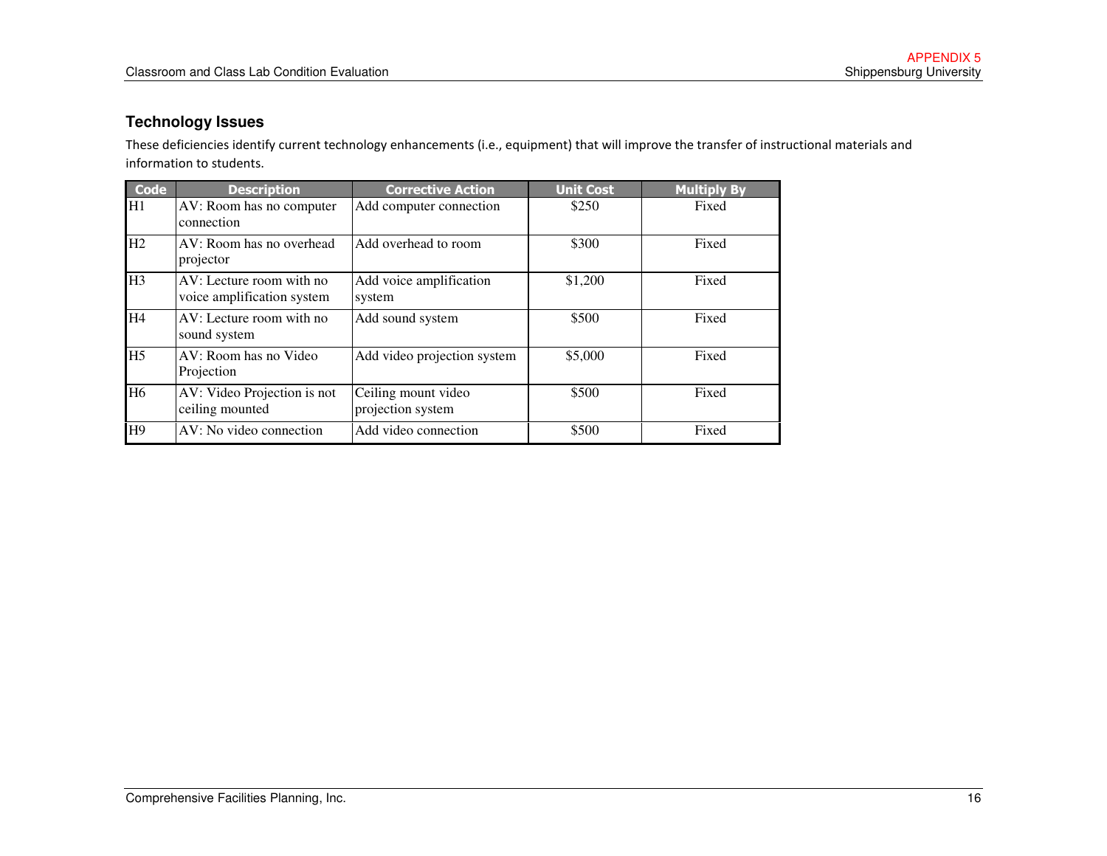#### **Technology Issues**

These deficiencies identify current technology enhancements (i.e., equipment) that will improve the transfer of instructional materials and information to students.

| <b>Code</b>    | <b>Description</b>                                     | <b>Corrective Action</b>                 | <b>Unit Cost</b> | <b>Multiply By</b> |
|----------------|--------------------------------------------------------|------------------------------------------|------------------|--------------------|
| H1             | AV: Room has no computer<br>connection                 | Add computer connection                  | \$250            | Fixed              |
| H2             | AV: Room has no overhead<br>projector                  | Add overhead to room                     | \$300            | Fixed              |
| H <sub>3</sub> | AV: Lecture room with no<br>voice amplification system | Add voice amplification<br>system        | \$1,200          | Fixed              |
| H <sub>4</sub> | AV: Lecture room with no<br>sound system               | Add sound system                         | \$500            | Fixed              |
| H <sub>5</sub> | AV: Room has no Video<br>Projection                    | Add video projection system              | \$5,000          | Fixed              |
| H <sub>6</sub> | AV: Video Projection is not<br>ceiling mounted         | Ceiling mount video<br>projection system | \$500            | Fixed              |
| H9             | AV: No video connection                                | Add video connection                     | \$500            | Fixed              |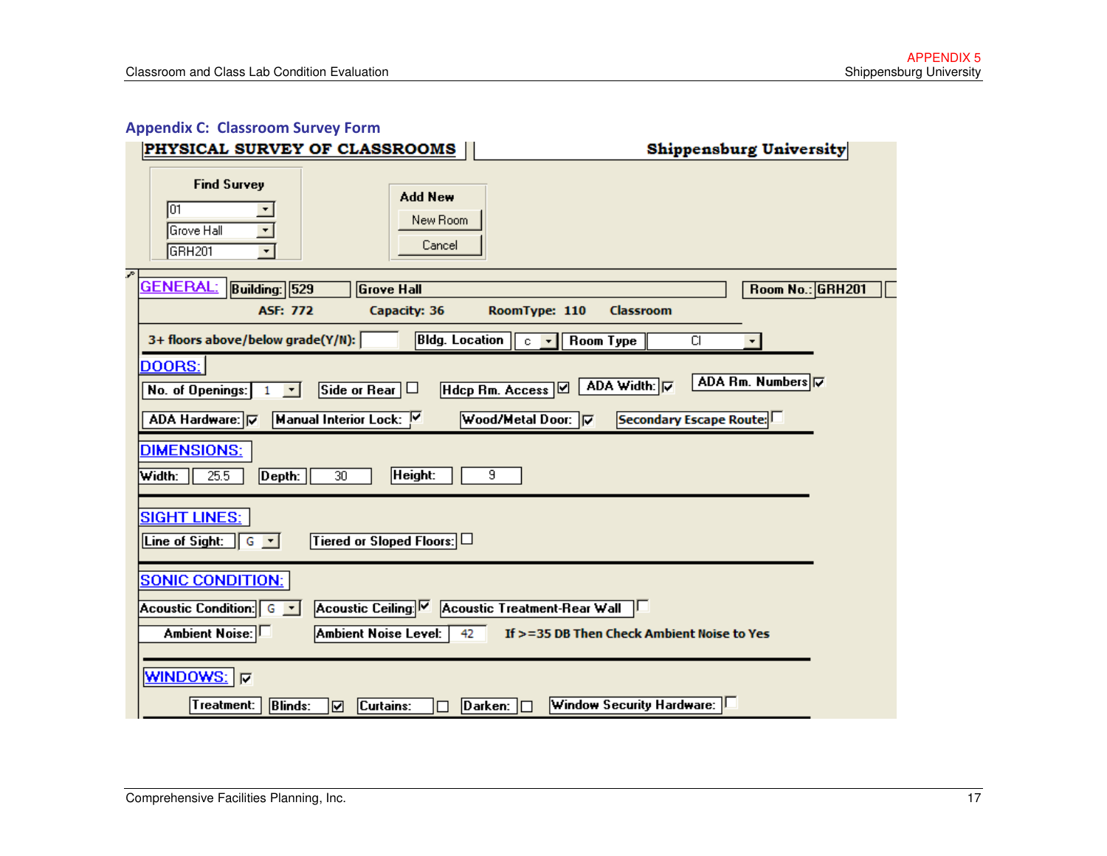### Appendix C: Classroom Survey Form

| <b>PHYSICAL SURVEY OF CLASSROOMS</b>                                                                                                        | Shippensburg University      |
|---------------------------------------------------------------------------------------------------------------------------------------------|------------------------------|
| <b>Find Survey</b><br><b>Add New</b><br>lū1<br>New Room<br>Grove Hall<br>$\blacktriangledown$<br>Cancel<br>GRH <sub>201</sub>               |                              |
| P.<br><b>GENERAL:</b><br><b>Building: 529</b><br><b>Grove Hall</b>                                                                          | Room No.: GRH201             |
| <b>ASF: 772</b><br>Capacity: 36<br>RoomType: 110<br><b>Classroom</b>                                                                        |                              |
| 3+ floors above/below grade(Y/N):<br><b>Bldg.</b> Location<br><b>Room Type</b><br>$c - \star$                                               | CI                           |
| DOORS:<br>ADA Width: 区<br>Hdcp Rm. Access Ø<br>Side or Rear $\Box$<br>No. of Openings:<br>$\vert \cdot \vert$                               | ADA Rm. Numbers <del>V</del> |
| Manual Interior Lock:<br>Wood/Metal Door: V<br>ADA Hardware: V                                                                              | Secondary Escape Route:      |
| <b>DIMENSIONS:</b><br>25.5<br>Height:<br>9<br>Width:<br>Depth:<br>30                                                                        |                              |
| <b>SIGHT LINES:</b><br>Tiered or Sloped Floors:<br>Line of Sight:<br>$G - T$                                                                |                              |
| <b>SONIC CONDITION:</b>                                                                                                                     |                              |
| Acoustic Ceiling:<br>Acoustic Treatment-Rear Wall<br>Acoustic Condition: G v                                                                |                              |
| <b>Ambient Noise Level:</b><br><b>Ambient Noise:</b><br>If >=35 DB Then Check Ambient Noise to Yes<br>42                                    |                              |
| WINDOWS: <b>⊽</b>                                                                                                                           |                              |
| Window Security Hardware:<br>Treatment:<br><b>Blinds:</b><br>$\boxed{\mathsf{D}}$ arken: $\boxed{\Box}$<br>Curtains:<br>$\blacksquare$<br>П |                              |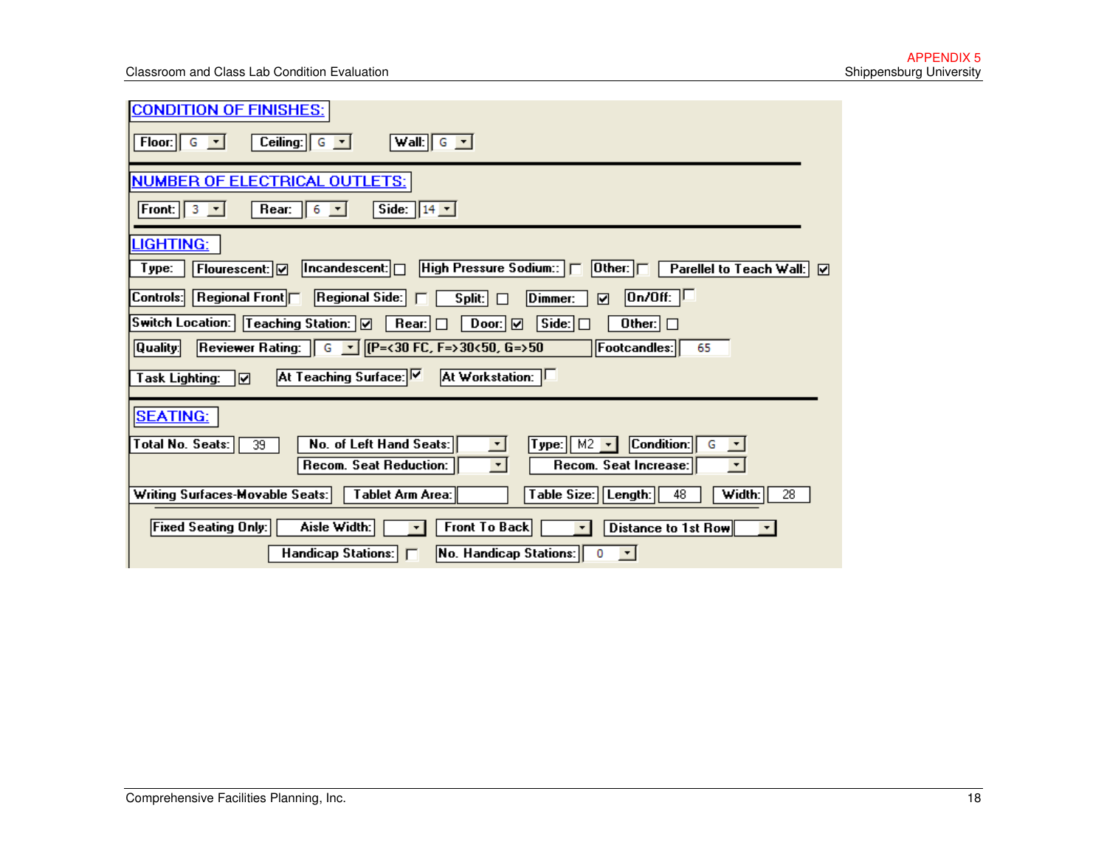| <b>CONDITION OF FINISHES:</b>                                                                                                                                       |
|---------------------------------------------------------------------------------------------------------------------------------------------------------------------|
| Ceiling: $\begin{bmatrix} G & \mathbf{r} \end{bmatrix}$<br>Floor: $\begin{bmatrix} G & \star \end{bmatrix}$<br>Wall: $\begin{bmatrix} G & \mathbf{r} \end{bmatrix}$ |
| <b>NUMBER OF ELECTRICAL OUTLETS:</b>                                                                                                                                |
| Front: $3 \times$<br>Rear: $\begin{bmatrix} 6 & \bullet \end{bmatrix}$<br>Side: $14 -$                                                                              |
| LIGHTING:                                                                                                                                                           |
| High Pressure Sodium::<br>$ $ Incandescent: $  \Box$<br>$ $ Other: $ \Box $<br>Parellel to Teach Wall: Ø<br>Type:<br>Flourescent: Ø                                 |
| $\boxed{0n/0ff: \Box}$<br>Controls:<br>Regional Front<br>Regional Side: $\Box$<br>Split: $\Box$<br>Dimmer:<br>$\blacksquare$                                        |
| <b>Switch Location:</b><br>Teaching Station: Ø<br>Side:<br>$\mathsf{Rear}$<br>Door: <b>Ø</b><br>Other: $\Box$                                                       |
| Reviewer Rating:   G   T   [(P=<30 FC, F=>30<50, G=>50<br>$ $ Quality: $ $<br>Footcandles:<br>65                                                                    |
| At Teaching Surface: V<br>At Workstation: L<br><b>Task Lighting:</b><br> ⊠                                                                                          |
| <b>SEATING:</b>                                                                                                                                                     |
| Total No. Seats:<br>No. of Left Hand Seats:<br>Condition:<br>Type: $M2$ $\rightarrow$<br>39<br>G                                                                    |
| Recom. Seat Reduction:<br>Recom. Seat Increase:<br>$\star$                                                                                                          |
| Writing Surfaces-Movable Seats:<br>Table Size: Length:<br>Tablet Arm Area:<br>48<br>Width:<br>28                                                                    |
| Aisle Width:<br><b>Front To Back</b><br> Fixed Seating Only: <br>Distance to 1st Row<br>$\star$<br>$\mathbf{r}$<br>▾∣                                               |
| Handicap Stations: F<br>No. Handicap Stations:<br>0<br>$\left\vert \mathbf{v}\right\vert$                                                                           |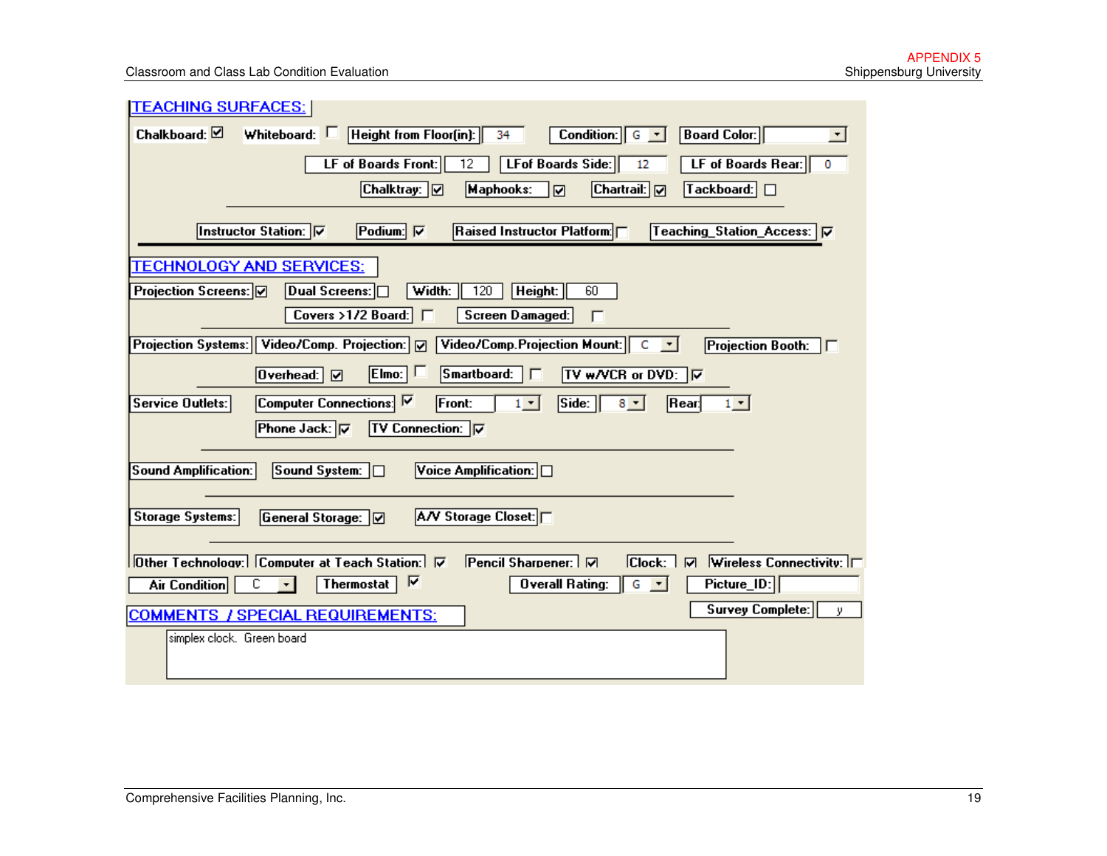| <b>TEACHING SURFACES:</b>                                                                                                                 |
|-------------------------------------------------------------------------------------------------------------------------------------------|
| Height from Floor(in):<br>Chalkboard: $\boxtimes$<br>Whiteboard: C<br>Condition:<br><b>Board Color:</b><br>34<br>$\vert \cdot \vert$<br>G |
| $\overline{12}$<br>LF of Boards Front:<br>LFof Boards Side:<br>LF of Boards Rear:<br>12<br>0                                              |
| Chalktray:   [7]<br>Maphooks:<br>Chartrail:   [v]<br>$\lceil$ Tackboard: $\lceil$ $\Box$<br>☑                                             |
| <b>Instructor Station:</b> ⊽<br>Podium: $\nabla$<br>Raised Instructor Platform: [<br>Teaching_Station_Access:   V                         |
| <b>TECHNOLOGY AND SERVICES:</b>                                                                                                           |
| Projection Screens: Ø<br>Dual Screens: $\Box$<br>120<br>Height:<br>60<br>Width:                                                           |
| Covers >1/2 Board: $\Box$<br>Screen Damaged:<br>г                                                                                         |
| Projection Systems: Video/Comp. Projection: v<br>Video/Comp.Projection Mount:<br>C<br><b>Projection Booth:</b><br>$\vert \cdot \vert$     |
| $E$ Imo: $ $<br>Smartboard:<br>TV w/VCR or DVD: 区<br>$0$ verhead:<br>г<br>☑                                                               |
| Computer Connections: V<br>Side:<br><b>Service Outlets:</b><br><b>Front:</b><br>$[$ Rear:<br>$1 -$<br>$8 - 1$<br>$1 -$                    |
| <b>Phone Jack:</b><br><b>TV Connection:</b>                                                                                               |
| <b>Sound Amplification:</b><br>Sound System: □<br>Voice Amplification: $\Box$                                                             |
|                                                                                                                                           |
| A/V Storage Closet:<br><b>Storage Systems:</b><br>General Storage:                                                                        |
| Other Technology: Computer at Teach Station: V<br>Pencil Sharpener: M<br> Check:  <br><b>Wireless Connectivity:</b><br>$\overline{v}$     |
| ⊽<br>$G - 1$<br>с<br>Overall Rating:<br>$Picture\_ID:$<br><b>Thermostat</b><br><b>Air Condition</b><br>$\mathbf{r}$                       |
| <b>Survey Complete:</b><br>у.<br><b>COMMENTS / SPECIAL REQUIREMENTS:</b>                                                                  |
| simplex clock. Green board                                                                                                                |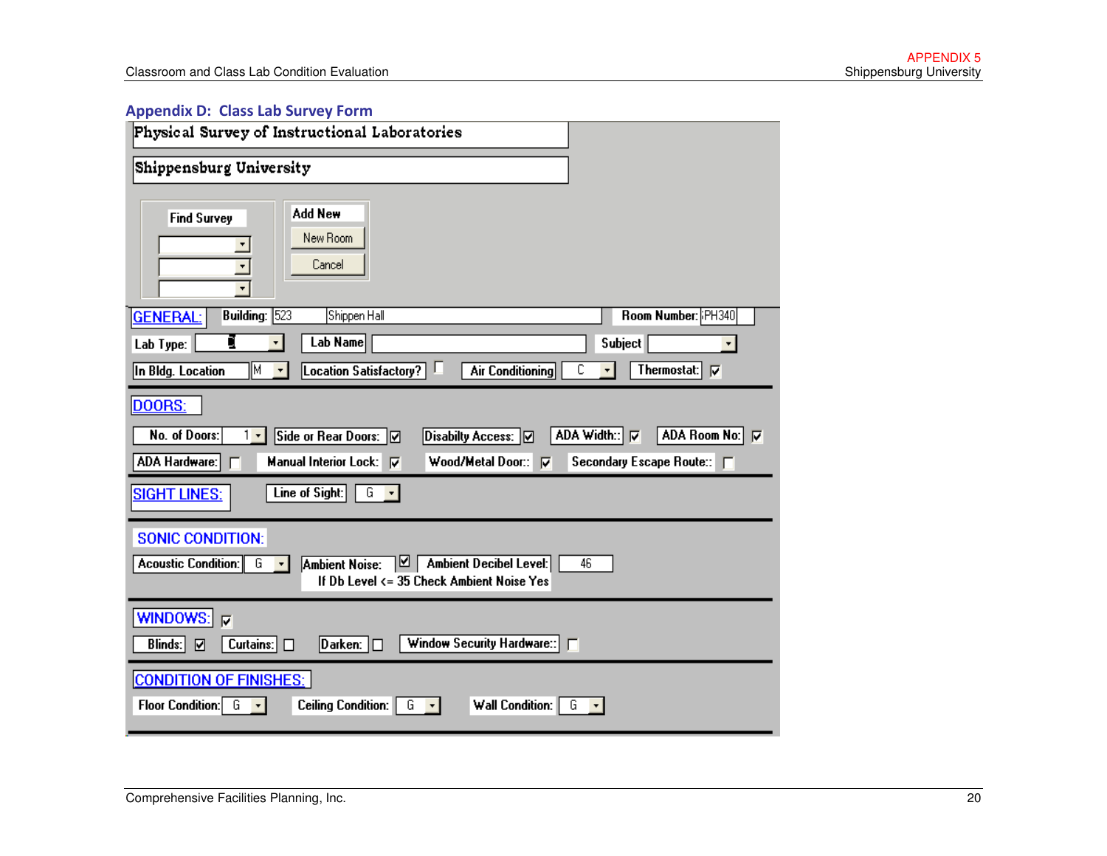#### Appendix D: Class Lab Survey Form

| Physical Survey of Instructional Laboratories                                                                                                                                 |                                                                |
|-------------------------------------------------------------------------------------------------------------------------------------------------------------------------------|----------------------------------------------------------------|
| Shippensburg University                                                                                                                                                       |                                                                |
| Add New<br><b>Find Survey</b><br>New Room<br>Cancel                                                                                                                           |                                                                |
| Building: $\sqrt{523}$<br>Shippen Hall<br><b>GENERAL:</b>                                                                                                                     | Room Number: PH340                                             |
| Lab Name<br>g<br>Lab Type:<br>۰ı                                                                                                                                              | <b>Subject</b>                                                 |
| In Bldg. Location<br>lМ<br>Location Satisfactory?<br><b>Air Conditioning</b><br>$\blacktriangledown$                                                                          | Thermostat: $\nabla$<br>С                                      |
| DOORS:<br>Side or Rear Doors: Ø<br>No. of Doors:<br>Disabilty Access: 0<br>$1 -$<br>Wood/Metal Door:<br>ADA Hardware:<br>Manual Interior Lock:   ▽<br>$\overline{\mathbf{v}}$ | ADA Room No: V<br>ADA Width: 区<br>Secondary Escape Route:: [7] |
| Line of Sight:<br>G<br><b>SIGHT LINES:</b>                                                                                                                                    |                                                                |
| <b>SONIC CONDITION:</b>                                                                                                                                                       |                                                                |
| Ambient Noise:   9   Ambient Decibel Level:<br>Acoustic Condition: G<br>$\vert \cdot \vert$<br>If Db Level <= 35 Check Ambient Noise Yes                                      | 46                                                             |
| WINDOWS:<br>$\overline{\mathbf{v}}$<br>Window Security Hardware::<br>Blinds:<br>Curtains: $\Box$<br>☑                                                                         |                                                                |
| <b>CONDITION OF FINISHES:</b><br>Floor Condition: $G \rightarrow$<br><b>Ceiling Condition:</b><br>G<br>Wall Condition:<br>$\vert \cdot \vert$                                 | G                                                              |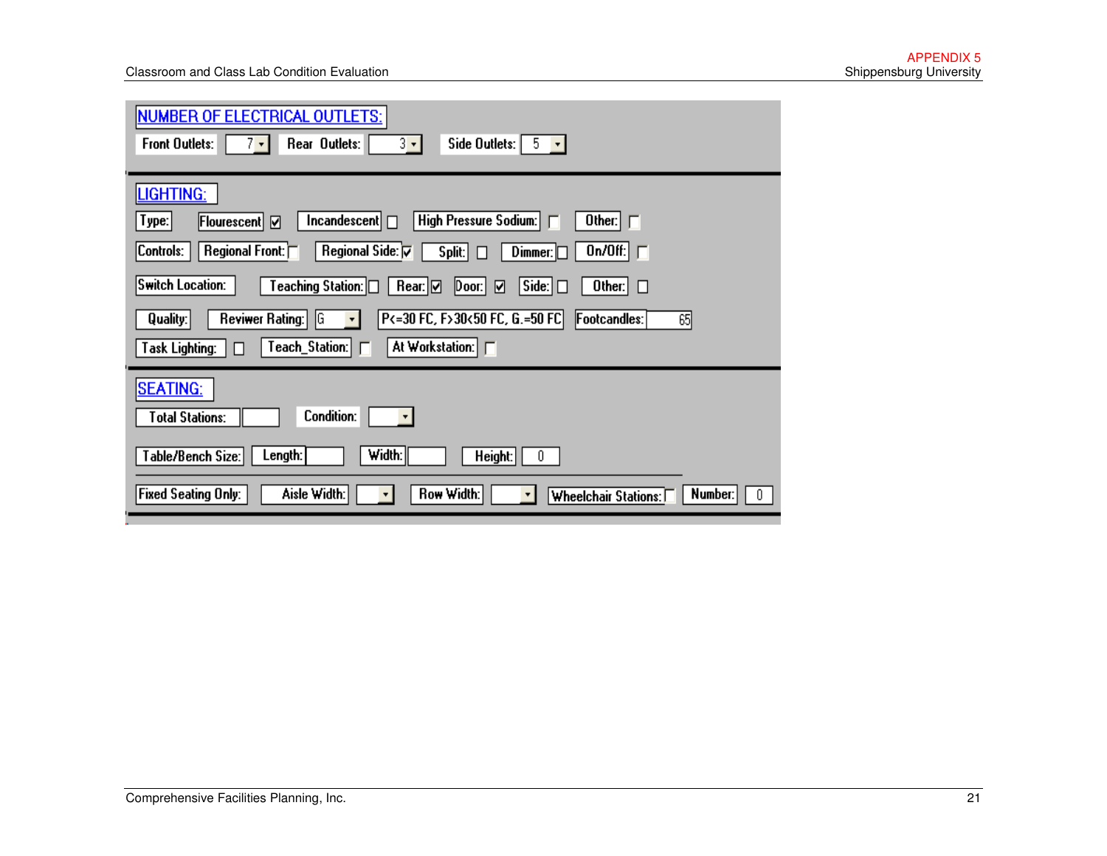| <b>NUMBER OF ELECTRICAL OUTLETS:</b><br>$3 - 1$<br>$7 \cdot 1$<br><b>Front Outlets:</b><br>Rear Outlets:<br>Side Outlets: $\begin{bmatrix} 5 & -1 \end{bmatrix}$                                                                                                                                                                                                   |
|--------------------------------------------------------------------------------------------------------------------------------------------------------------------------------------------------------------------------------------------------------------------------------------------------------------------------------------------------------------------|
| <b>LIGHTING:</b><br>High Pressure Sodium:<br>$Incandescent$ $\Box$<br>Other: $\Box$<br>Flourescent   Ø<br>Type:<br>Regional Side: <b>⊽</b><br>Regional Front: $\Box$<br>On/Off: $\Box$<br> Controls:<br>Split: $\Box$<br>$Dimmer: \Box$<br>Switch Location:<br>Teaching Station: □<br>Side: $\Box$<br>Rear: ☑<br>$\vert$ Door: $\vert \vert$<br>Other: $\Box$<br>☑ |
| P<=30 FC, F>30<50 FC, G.=50 FC<br>Reviwer Rating:<br> G<br>Footcandles:<br>65<br>Quality:<br>$\overline{\mathbf{r}}$<br>Teach_Station: <br>At Workstation: F<br><b>Task Lighting:</b><br>l I                                                                                                                                                                       |
| <b>SEATING:</b><br><b>Condition:</b><br><b>Total Stations:</b>                                                                                                                                                                                                                                                                                                     |
| Width:<br>Table/Bench Size:<br>Length:<br>Height:<br>0<br><b>Row Width:</b><br><b>Fixed Seating Only:</b><br>Aisle Width:<br>Number:<br><b>Wheelchair Stations:</b>                                                                                                                                                                                                |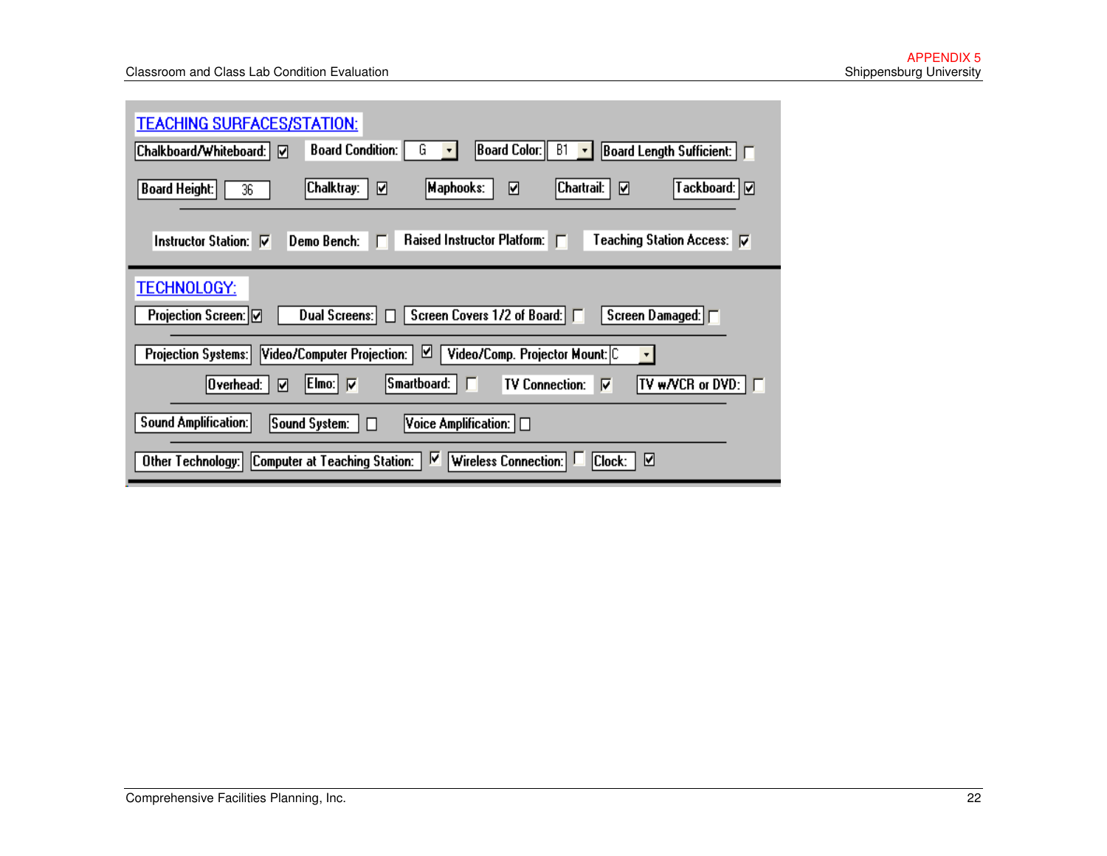| <b>TEACHING SURFACES/STATION:</b>                                                                                                                                                                            |
|--------------------------------------------------------------------------------------------------------------------------------------------------------------------------------------------------------------|
| Board Color:   <br><b>Board Condition:</b><br><b>B1</b><br>$\vert$ Board Length Sufficient: $\vert \vert$<br> Chalkboard/Whiteboard:  <br>ᢊ<br>u<br>$\mathbf{v}$                                             |
| Chartrail:<br>Tackboard:   [Ø<br>Chalktray:<br> Maphooks:<br>☑<br><b>Board Height:</b><br>☑<br>ا⊽<br>36                                                                                                      |
| Teaching Station Access: V<br>Raised Instructor Platform:  <br>Demo Bench: $\Box$<br>Instructor Station: <b>▽</b>                                                                                            |
| <b>TECHNOLOGY:</b><br>Screen Covers 1/2 of Board:   □<br>Projection Screen:   Ø<br>Screen Damaged: ∏<br>Dual Screens:  <br>H                                                                                 |
| ☑<br>Video/Comp. Projector Mount: C<br>Projection Systems:  <br>Video/Computer Projection:  <br>۰.<br>$ S$ martboard: $ \Gamma $<br><b>TV w/VCR or DVD:</b> $\Box$<br> Overhead:<br>TV Connection:<br>☑<br>⊽ |
| <b>Sound Amplification:</b><br>$ {\sf Voice}$ Amplification: $ \hspace{-.06in} \hspace{-.06in} \hspace{-.06in} $<br> Sound System:<br>П                                                                      |
| ⊽<br>☑<br>Wireless Connection:<br>Clock:<br> Computer at Teaching Station:  <br>Other Technology:                                                                                                            |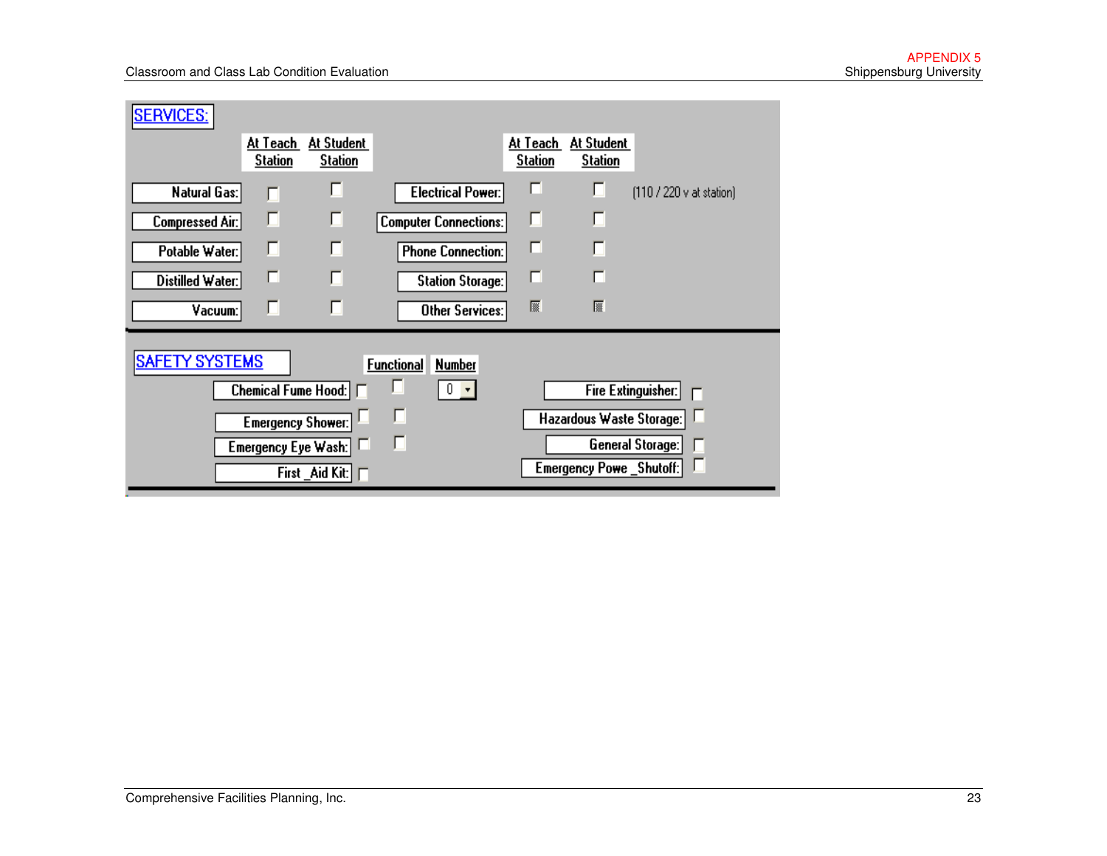| <b>SERVICES:</b>       |                            |                              |                                    |                            |                                |                          |
|------------------------|----------------------------|------------------------------|------------------------------------|----------------------------|--------------------------------|--------------------------|
|                        | At Teach<br><b>Station</b> | At Student<br><b>Station</b> |                                    | At Teach<br><b>Station</b> | At Student<br><b>Station</b>   |                          |
| Natural Gas:           | г                          | г                            | Electrical Power:                  | п                          | Г                              | (110 / 220 v at station) |
| <b>Compressed Air:</b> | г                          | г                            | <b>Computer Connections:</b>       | П                          | ш                              |                          |
| Potable Water:         | П                          | п                            | <b>Phone Connection:</b>           | г                          |                                |                          |
| Distilled Water:       | г                          |                              | <b>Station Storage:</b>            | г                          | г                              |                          |
| Vacuum:                | г                          |                              | <b>Other Services:</b>             | 屬                          | 屦                              |                          |
| <b>SAFETY SYSTEMS</b>  |                            |                              | <b>Functional</b><br><b>Number</b> |                            |                                |                          |
|                        | <b>Chemical Fume Hood:</b> |                              | П<br>f.<br>$\bar{\mathbf{v}}$      |                            |                                | Fire Extinguisher:       |
|                        | <b>Emergency Shower:</b>   |                              | □                                  |                            | Hazardous Waste Storage:       |                          |
|                        |                            | Emergency Eye Wash:          | П                                  |                            |                                | General Storage:         |
|                        |                            | First _Aid Kit: $\Box$       |                                    |                            | <b>Emergency Powe_Shutoff:</b> |                          |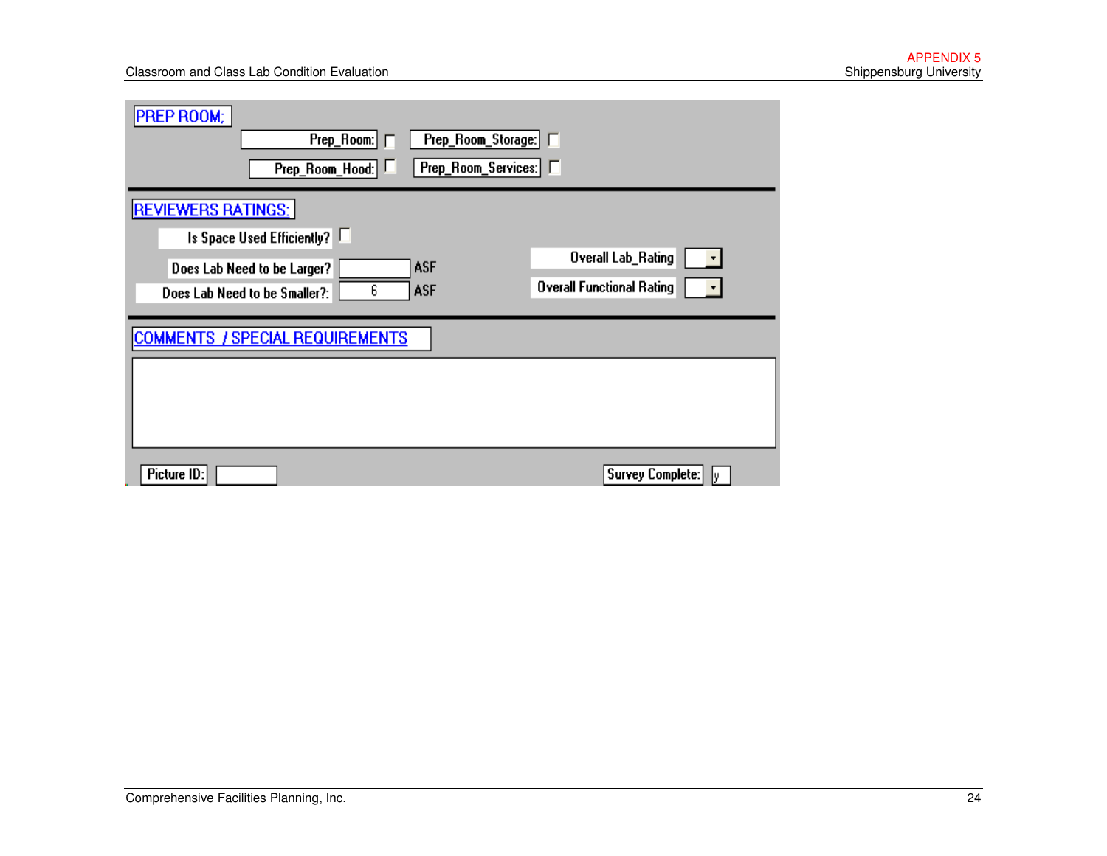| <b>PREP ROOM:</b><br>Prep_Room:<br>Prep_Room_Storage: F<br>Prep_Room_Services: F<br>Prep_Room_Hood:                                                      |                                                        |
|----------------------------------------------------------------------------------------------------------------------------------------------------------|--------------------------------------------------------|
| <b>REVIEWERS RATINGS:</b><br>Is Space Used Efficiently?<br><b>ASF</b><br>Does Lab Need to be Larger?<br>6<br><b>ASF</b><br>Does Lab Need to be Smaller?: | Overall Lab_Rating<br><b>Overall Functional Rating</b> |
| <b>COMMENTS</b><br>/ SPECIAL REQUIREMENTS<br>Picture ID:                                                                                                 | <b>Survey Complete:</b><br>I۷                          |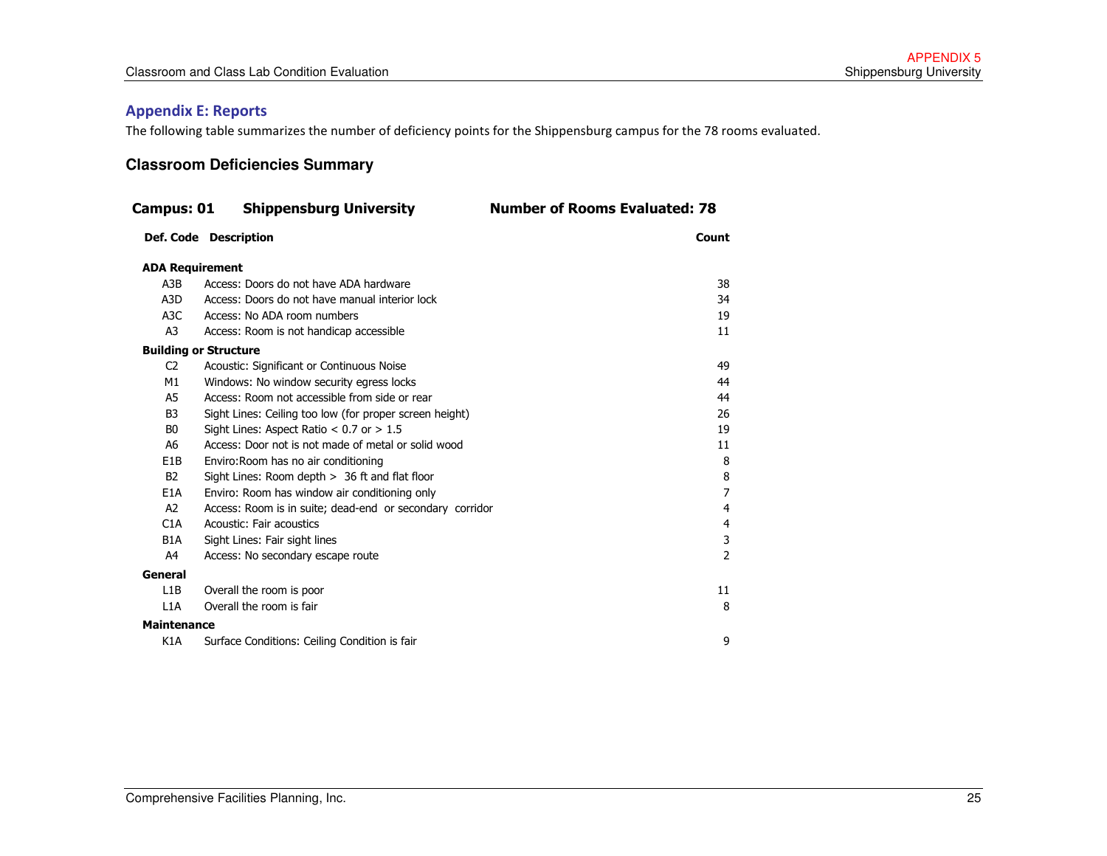#### Appendix E: Reports

The following table summarizes the number of deficiency points for the Shippensburg campus for the 78 rooms evaluated.

#### **Classroom Deficiencies Summary**

| Campus: 01                   | <b>Shippensburg University</b>                           | <b>Number of Rooms Evaluated: 78</b> |
|------------------------------|----------------------------------------------------------|--------------------------------------|
|                              | Def. Code Description                                    | Count                                |
| <b>ADA Requirement</b>       |                                                          |                                      |
| A3B                          | Access: Doors do not have ADA hardware                   | 38                                   |
| A3D                          | Access: Doors do not have manual interior lock           | 34                                   |
| A3C                          | Access: No ADA room numbers                              | 19                                   |
| A3                           | Access: Room is not handicap accessible                  | 11                                   |
| <b>Building or Structure</b> |                                                          |                                      |
| C <sub>2</sub>               | Acoustic: Significant or Continuous Noise                | 49                                   |
| M1                           | Windows: No window security egress locks                 | 44                                   |
| A <sub>5</sub>               | Access: Room not accessible from side or rear            | 44                                   |
| B <sub>3</sub>               | Sight Lines: Ceiling too low (for proper screen height)  | 26                                   |
| B <sub>0</sub>               | Sight Lines: Aspect Ratio $< 0.7$ or $> 1.5$             | 19                                   |
| A6                           | Access: Door not is not made of metal or solid wood      | 11                                   |
| E <sub>1</sub> B             | Enviro: Room has no air conditioning                     | 8                                    |
| <b>B2</b>                    | Sight Lines: Room depth $> 36$ ft and flat floor         | 8                                    |
| E <sub>1</sub> A             | Enviro: Room has window air conditioning only            | 7                                    |
| A2                           | Access: Room is in suite; dead-end or secondary corridor | 4                                    |
| C1A                          | Acoustic: Fair acoustics                                 | 4                                    |
| B <sub>1</sub> A             | Sight Lines: Fair sight lines                            | 3                                    |
| A4                           | Access: No secondary escape route                        | $\overline{\phantom{a}}$             |
| General                      |                                                          |                                      |
| L1B                          | Overall the room is poor                                 | 11                                   |
| L1A                          | Overall the room is fair                                 | 8                                    |
| <b>Maintenance</b>           |                                                          |                                      |
| K <sub>1</sub> A             | Surface Conditions: Ceiling Condition is fair            | 9                                    |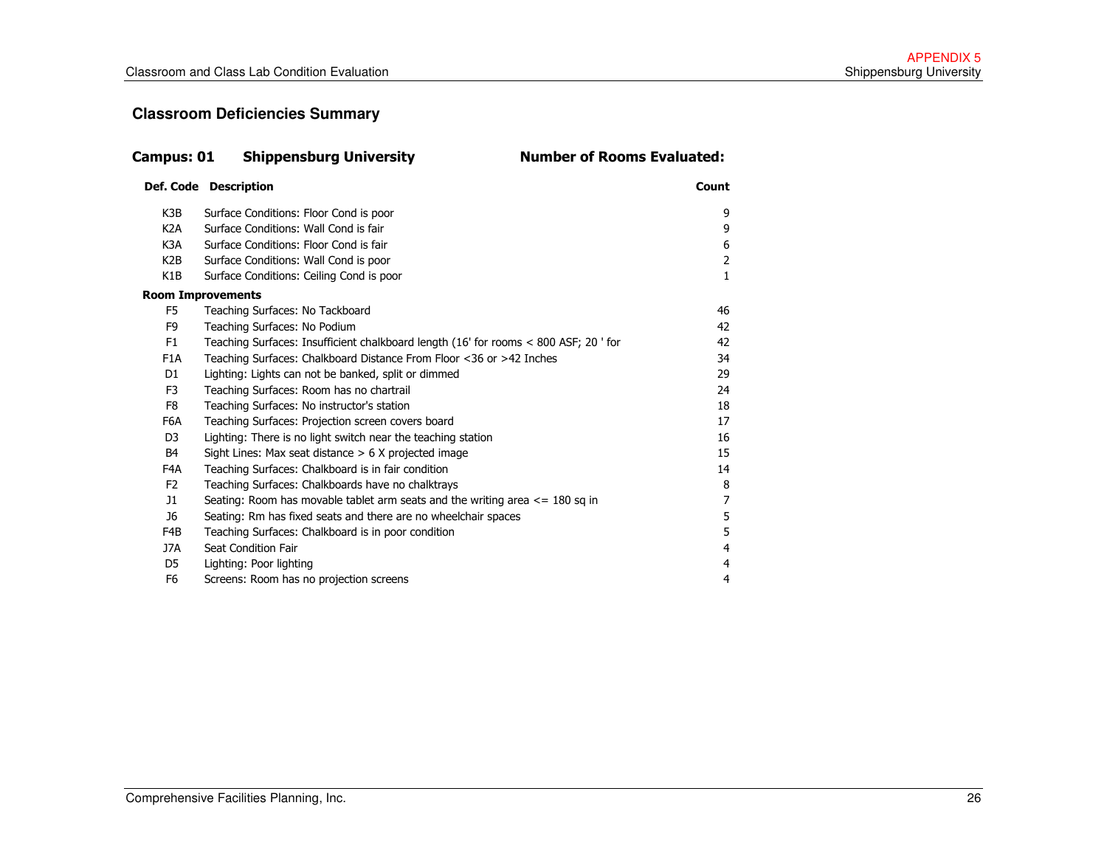#### **Classroom Deficiencies Summary**

| Campus: 01               | <b>Shippensburg University</b>                                                       | <b>Number of Rooms Evaluated:</b> |
|--------------------------|--------------------------------------------------------------------------------------|-----------------------------------|
|                          | Def. Code Description                                                                | Count                             |
| K3B                      | Surface Conditions: Floor Cond is poor                                               | 9                                 |
| K <sub>2</sub> A         | Surface Conditions: Wall Cond is fair                                                | 9                                 |
| K3A                      | Surface Conditions: Floor Cond is fair                                               | 6                                 |
| K <sub>2</sub> B         | Surface Conditions: Wall Cond is poor                                                | 2                                 |
| K <sub>1</sub> B         | Surface Conditions: Ceiling Cond is poor                                             | 1                                 |
| <b>Room Improvements</b> |                                                                                      |                                   |
| F5                       | Teaching Surfaces: No Tackboard                                                      | 46                                |
| F <sub>9</sub>           | Teaching Surfaces: No Podium                                                         | 42                                |
| F <sub>1</sub>           | Teaching Surfaces: Insufficient chalkboard length (16' for rooms < 800 ASF; 20 ' for | 42                                |
| F <sub>1</sub> A         | Teaching Surfaces: Chalkboard Distance From Floor <36 or >42 Inches                  | 34                                |
| D <sub>1</sub>           | Lighting: Lights can not be banked, split or dimmed                                  | 29                                |
| F <sub>3</sub>           | Teaching Surfaces: Room has no chartrail                                             | 24                                |
| F8                       | Teaching Surfaces: No instructor's station                                           | 18                                |
| F6A                      | Teaching Surfaces: Projection screen covers board                                    | 17                                |
| D <sub>3</sub>           | Lighting: There is no light switch near the teaching station                         | 16                                |
| <b>B4</b>                | Sight Lines: Max seat distance $> 6$ X projected image                               | 15                                |
| F4A                      | Teaching Surfaces: Chalkboard is in fair condition                                   | 14                                |
| F <sub>2</sub>           | Teaching Surfaces: Chalkboards have no chalktrays                                    | 8                                 |
| 11                       | Seating: Room has movable tablet arm seats and the writing area $\le$ = 180 sq in    | 7                                 |
| J6                       | Seating: Rm has fixed seats and there are no wheelchair spaces                       | 5                                 |
| F4B                      | Teaching Surfaces: Chalkboard is in poor condition                                   | 5                                 |
| J7A                      | Seat Condition Fair                                                                  | 4                                 |
| D <sub>5</sub>           | Lighting: Poor lighting                                                              | 4                                 |
| F <sub>6</sub>           | Screens: Room has no projection screens                                              | 4                                 |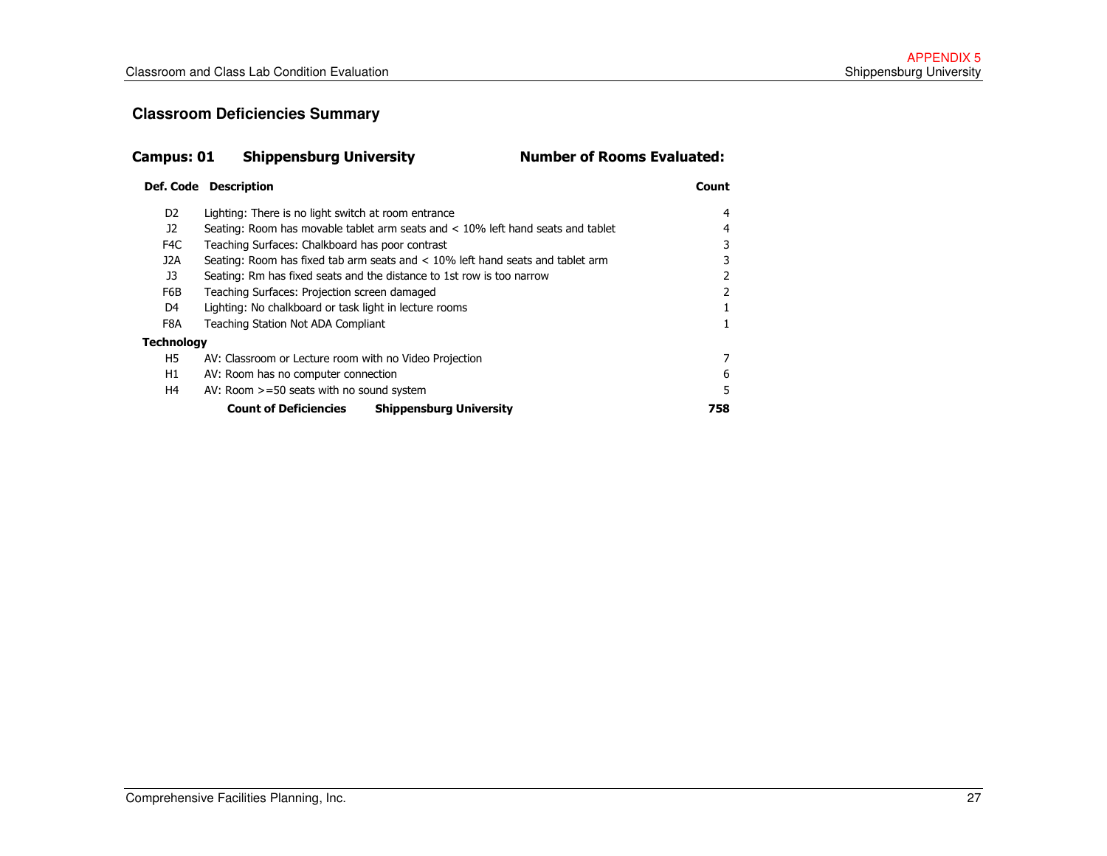#### **Classroom Deficiencies Summary**

| <b>Campus: 01</b> | <b>Shippensburg University</b>                                                     | <b>Number of Rooms Evaluated:</b> |  |  |  |  |  |  |  |  |
|-------------------|------------------------------------------------------------------------------------|-----------------------------------|--|--|--|--|--|--|--|--|
|                   | <b>Def. Code Description</b>                                                       | Count                             |  |  |  |  |  |  |  |  |
| D <sub>2</sub>    | Lighting: There is no light switch at room entrance                                | 4                                 |  |  |  |  |  |  |  |  |
| 12                | Seating: Room has movable tablet arm seats and $< 10\%$ left hand seats and tablet |                                   |  |  |  |  |  |  |  |  |
| F4C               | Teaching Surfaces: Chalkboard has poor contrast                                    |                                   |  |  |  |  |  |  |  |  |
| J2A               | Seating: Room has fixed tab arm seats and $< 10\%$ left hand seats and tablet arm  |                                   |  |  |  |  |  |  |  |  |
| J3                | Seating: Rm has fixed seats and the distance to 1st row is too narrow              | 2                                 |  |  |  |  |  |  |  |  |
| F6B               | Teaching Surfaces: Projection screen damaged                                       | 2                                 |  |  |  |  |  |  |  |  |
| D4                | Lighting: No chalkboard or task light in lecture rooms                             |                                   |  |  |  |  |  |  |  |  |
| F8A               | Teaching Station Not ADA Compliant                                                 |                                   |  |  |  |  |  |  |  |  |
| <b>Technology</b> |                                                                                    |                                   |  |  |  |  |  |  |  |  |
| H5                | AV: Classroom or Lecture room with no Video Projection                             | 7                                 |  |  |  |  |  |  |  |  |
| H1                | AV: Room has no computer connection                                                | 6                                 |  |  |  |  |  |  |  |  |
| H4                | AV: Room $>=50$ seats with no sound system                                         | 5                                 |  |  |  |  |  |  |  |  |
|                   | <b>Count of Deficiencies</b><br><b>Shippensburg University</b>                     | 758                               |  |  |  |  |  |  |  |  |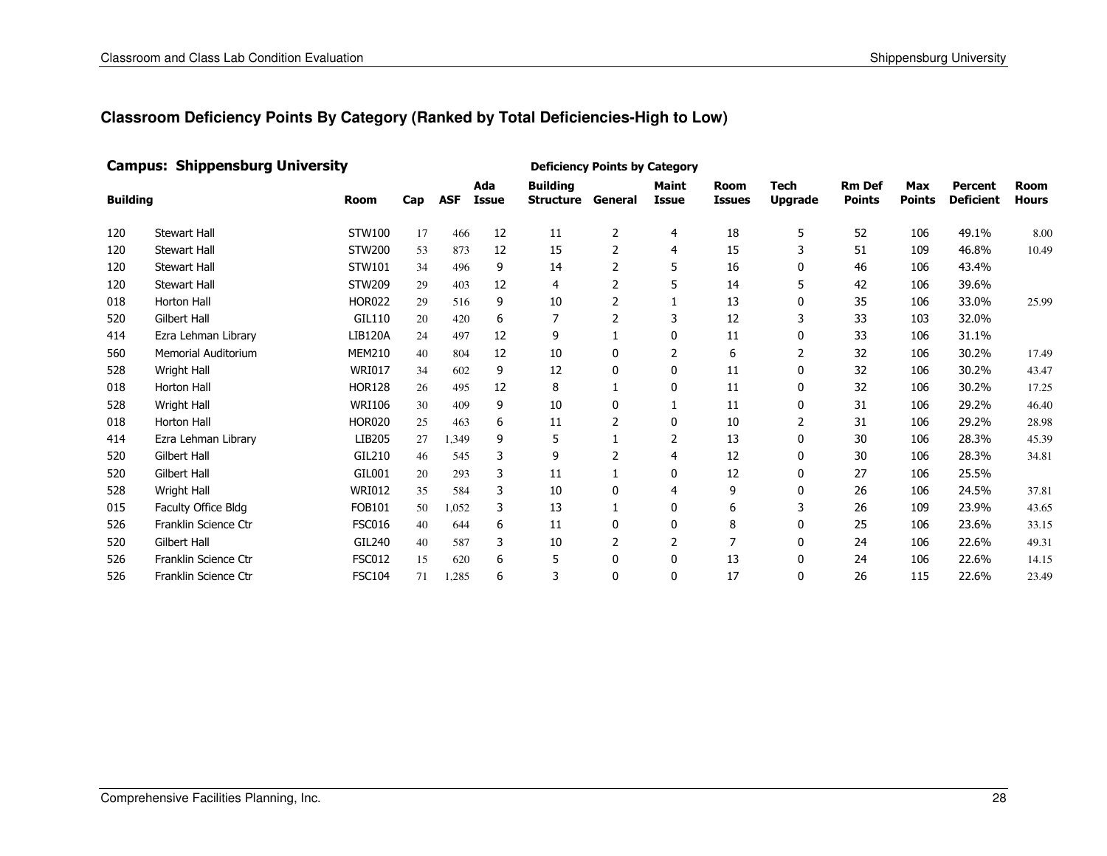#### Campus: Shippensburg University

| <b>Building</b> |                            | <b>Room</b>    | Cap | <b>ASF</b> | Ada<br>Issue | <b>Building</b><br><b>Structure</b> | General        | <b>Maint</b><br>Issue | Room<br><b>Issues</b> | <b>Tech</b><br><b>Upgrade</b> | <b>Rm Def</b><br><b>Points</b> | Max<br><b>Points</b> | Percent<br><b>Deficient</b> | <b>Room</b><br><b>Hours</b> |
|-----------------|----------------------------|----------------|-----|------------|--------------|-------------------------------------|----------------|-----------------------|-----------------------|-------------------------------|--------------------------------|----------------------|-----------------------------|-----------------------------|
| 120             | <b>Stewart Hall</b>        | STW100         | 17  | 466        | 12           | 11                                  | 2              | 4                     | 18                    | 5                             | 52                             | 106                  | 49.1%                       | 8.00                        |
| 120             | <b>Stewart Hall</b>        | STW200         | 53  | 873        | 12           | 15                                  | 2              | 4                     | 15                    | 3                             | 51                             | 109                  | 46.8%                       | 10.49                       |
| 120             | <b>Stewart Hall</b>        | STW101         | 34  | 496        | 9            | 14                                  | 2              | 5                     | 16                    | 0                             | 46                             | 106                  | 43.4%                       |                             |
| 120             | <b>Stewart Hall</b>        | <b>STW209</b>  | 29  | 403        | 12           | 4                                   | 2              | 5                     | 14                    | 5                             | 42                             | 106                  | 39.6%                       |                             |
| 018             | Horton Hall                | <b>HOR022</b>  | 29  | 516        | 9            | 10                                  | 2              |                       | 13                    | 0                             | 35                             | 106                  | 33.0%                       | 25.99                       |
| 520             | <b>Gilbert Hall</b>        | GIL110         | 20  | 420        | 6            | 7                                   |                | 3                     | 12                    | 3                             | 33                             | 103                  | 32.0%                       |                             |
| 414             | Ezra Lehman Library        | <b>LIB120A</b> | 24  | 497        | 12           | 9                                   |                | $\mathbf{0}$          | 11                    | $\mathbf{0}$                  | 33                             | 106                  | 31.1%                       |                             |
| 560             | <b>Memorial Auditorium</b> | <b>MEM210</b>  | 40  | 804        | 12           | 10                                  | 0              | 2                     | 6                     | 2                             | 32                             | 106                  | 30.2%                       | 17.49                       |
| 528             | Wright Hall                | <b>WRI017</b>  | 34  | 602        | 9            | 12                                  | 0              | $\mathbf{0}$          | 11                    | 0                             | 32                             | 106                  | 30.2%                       | 43.47                       |
| 018             | <b>Horton Hall</b>         | <b>HOR128</b>  | 26  | 495        | 12           | 8                                   |                | 0                     | 11                    | 0                             | 32                             | 106                  | 30.2%                       | 17.25                       |
| 528             | <b>Wright Hall</b>         | <b>WRI106</b>  | 30  | 409        | 9            | 10                                  | 0              |                       | 11                    | 0                             | 31                             | 106                  | 29.2%                       | 46.40                       |
| 018             | <b>Horton Hall</b>         | <b>HOR020</b>  | 25  | 463        | 6            | 11                                  | $\overline{2}$ | $\mathbf{0}$          | 10                    | 2                             | 31                             | 106                  | 29.2%                       | 28.98                       |
| 414             | Ezra Lehman Library        | LIB205         | 27  | 1,349      | 9            | 5                                   |                | 2                     | 13                    | 0                             | 30                             | 106                  | 28.3%                       | 45.39                       |
| 520             | <b>Gilbert Hall</b>        | GIL210         | 46  | 545        | 3            | 9                                   | フ              | 4                     | 12                    | 0                             | 30                             | 106                  | 28.3%                       | 34.81                       |
| 520             | <b>Gilbert Hall</b>        | GIL001         | 20  | 293        | 3            | 11                                  |                | 0                     | 12                    | 0                             | 27                             | 106                  | 25.5%                       |                             |
| 528             | <b>Wright Hall</b>         | <b>WRI012</b>  | 35  | 584        | 3            | 10                                  | 0              | 4                     | 9                     | 0                             | 26                             | 106                  | 24.5%                       | 37.81                       |
| 015             | Faculty Office Bldg        | <b>FOB101</b>  | 50  | 1,052      | 3            | 13                                  |                | 0                     | 6                     | 3                             | 26                             | 109                  | 23.9%                       | 43.65                       |
| 526             | Franklin Science Ctr       | <b>FSC016</b>  | 40  | 644        | 6            | 11                                  | 0              | $\mathbf{0}$          | 8                     | $\mathbf{0}$                  | 25                             | 106                  | 23.6%                       | 33.15                       |
| 520             | <b>Gilbert Hall</b>        | GIL240         | 40  | 587        | 3            | 10                                  | 2              | 2                     |                       | $\mathbf{0}$                  | 24                             | 106                  | 22.6%                       | 49.31                       |
| 526             | Franklin Science Ctr       | <b>FSC012</b>  | 15  | 620        | 6            | 5                                   | 0              | $\mathbf{0}$          | 13                    | 0                             | 24                             | 106                  | 22.6%                       | 14.15                       |
| 526             | Franklin Science Ctr       | <b>FSC104</b>  | 71  | 1,285      | 6            | 3                                   | 0              | $\mathbf{0}$          | 17                    | $\mathbf{0}$                  | 26                             | 115                  | 22.6%                       | 23.49                       |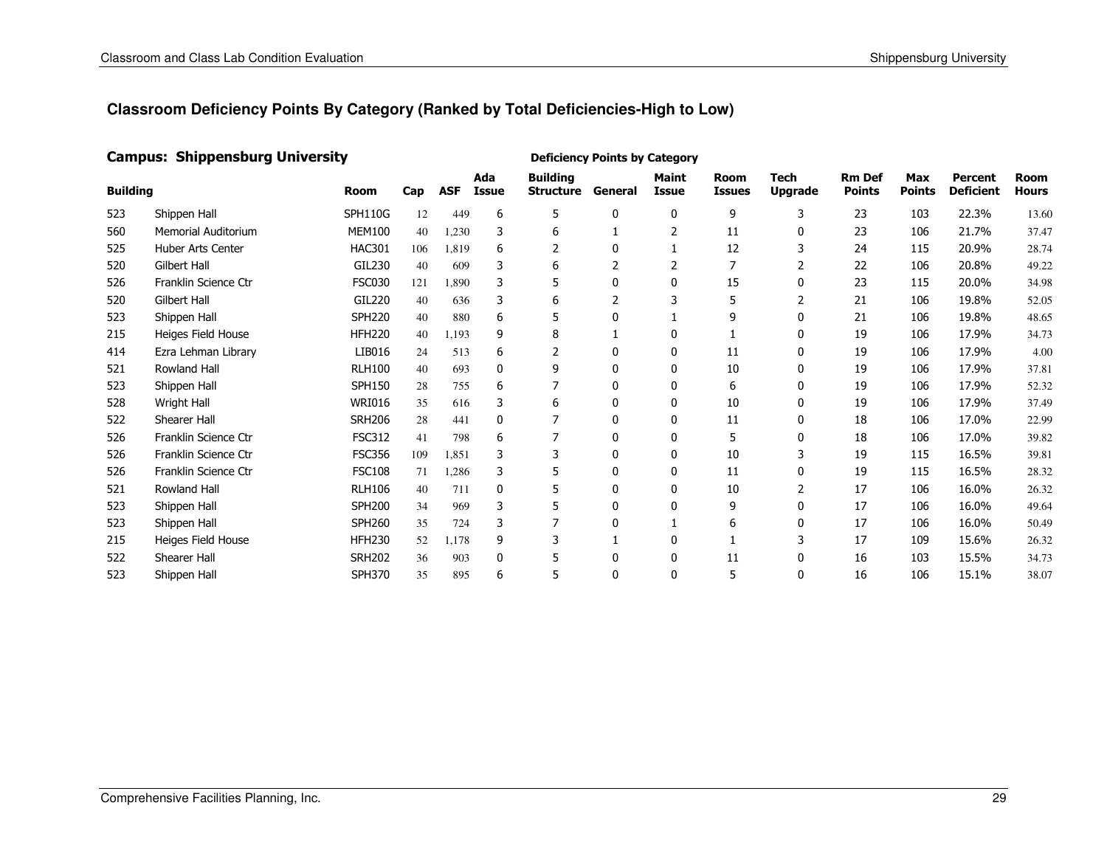#### Campus: Shippensburg University

| <b>Building</b> |                            | <b>Room</b>    | Cap | <b>ASF</b> | Ada<br><b>Issue</b> | <b>Building</b><br><b>Structure</b> | General  | <b>Maint</b><br><b>Issue</b> | <b>Room</b><br><b>Issues</b> | <b>Tech</b><br><b>Upgrade</b> | <b>Rm Def</b><br><b>Points</b> | <b>Max</b><br><b>Points</b> | <b>Percent</b><br><b>Deficient</b> | Room<br><b>Hours</b> |
|-----------------|----------------------------|----------------|-----|------------|---------------------|-------------------------------------|----------|------------------------------|------------------------------|-------------------------------|--------------------------------|-----------------------------|------------------------------------|----------------------|
| 523             | Shippen Hall               | <b>SPH110G</b> | 12  | 449        | 6                   | 5                                   | 0        | $\mathbf{0}$                 | 9                            | 3                             | 23                             | 103                         | 22.3%                              | 13.60                |
| 560             | <b>Memorial Auditorium</b> | <b>MEM100</b>  | 40  | 1,230      | 3                   | 6                                   |          | 2                            | 11                           | 0                             | 23                             | 106                         | 21.7%                              | 37.47                |
| 525             | Huber Arts Center          | <b>HAC301</b>  | 106 | 1,819      | 6                   |                                     | 0        |                              | 12                           |                               | 24                             | 115                         | 20.9%                              | 28.74                |
| 520             | <b>Gilbert Hall</b>        | GIL230         | 40  | 609        | 3                   | 6                                   |          |                              |                              |                               | 22                             | 106                         | 20.8%                              | 49.22                |
| 526             | Franklin Science Ctr       | <b>FSC030</b>  | 121 | 1,890      | 3                   | 5                                   | 0        | $\mathbf{0}$                 | 15                           | $\mathbf{0}$                  | 23                             | 115                         | 20.0%                              | 34.98                |
| 520             | <b>Gilbert Hall</b>        | <b>GIL220</b>  | 40  | 636        | 3                   | 6                                   |          | 3                            | 5                            |                               | 21                             | 106                         | 19.8%                              | 52.05                |
| 523             | Shippen Hall               | <b>SPH220</b>  | 40  | 880        | 6                   | 5                                   | ŋ        |                              | 9                            | $\mathbf{0}$                  | 21                             | 106                         | 19.8%                              | 48.65                |
| 215             | Heiges Field House         | <b>HFH220</b>  | 40  | 1,193      | 9                   | 8                                   |          | 0                            |                              | 0                             | 19                             | 106                         | 17.9%                              | 34.73                |
| 414             | Ezra Lehman Library        | LIB016         | 24  | 513        | 6                   | 2                                   | 0        | 0                            | 11                           | 0                             | 19                             | 106                         | 17.9%                              | 4.00                 |
| 521             | <b>Rowland Hall</b>        | <b>RLH100</b>  | 40  | 693        | $\mathbf{0}$        | 9                                   | $\Omega$ | 0                            | 10                           | 0                             | 19                             | 106                         | 17.9%                              | 37.81                |
| 523             | Shippen Hall               | <b>SPH150</b>  | 28  | 755        | 6                   |                                     | 0        | 0                            | 6                            | 0                             | 19                             | 106                         | 17.9%                              | 52.32                |
| 528             | Wright Hall                | <b>WRI016</b>  | 35  | 616        | 3                   | 6                                   | 0        | 0                            | 10                           | 0                             | 19                             | 106                         | 17.9%                              | 37.49                |
| 522             | Shearer Hall               | <b>SRH206</b>  | 28  | 441        | 0                   | 7                                   | 0        | 0                            | 11                           | 0                             | 18                             | 106                         | 17.0%                              | 22.99                |
| 526             | Franklin Science Ctr       | <b>FSC312</b>  | 41  | 798        | 6                   | 7                                   | 0        | 0                            | 5                            | 0                             | 18                             | 106                         | 17.0%                              | 39.82                |
| 526             | Franklin Science Ctr       | <b>FSC356</b>  | 109 | 1,851      | 3                   | 3                                   | 0        | 0                            | 10                           | 3                             | 19                             | 115                         | 16.5%                              | 39.81                |
| 526             | Franklin Science Ctr       | <b>FSC108</b>  | 71  | 1.286      | 3                   | 5                                   | 0        | 0                            | 11                           | 0                             | 19                             | 115                         | 16.5%                              | 28.32                |
| 521             | <b>Rowland Hall</b>        | <b>RLH106</b>  | 40  | 711        | $\mathbf{0}$        | 5                                   | 0        | 0                            | 10                           | 2                             | 17                             | 106                         | 16.0%                              | 26.32                |
| 523             | Shippen Hall               | <b>SPH200</b>  | 34  | 969        | 3                   | 5                                   | 0        | $\mathbf{0}$                 | 9                            | $\mathbf{0}$                  | 17                             | 106                         | 16.0%                              | 49.64                |
| 523             | Shippen Hall               | <b>SPH260</b>  | 35  | 724        | 3                   | 7                                   | 0        |                              | 6                            | 0                             | 17                             | 106                         | 16.0%                              | 50.49                |
| 215             | Heiges Field House         | <b>HFH230</b>  | 52  | 1.178      | 9                   | 3                                   |          | $\Omega$                     |                              | 3                             | 17                             | 109                         | 15.6%                              | 26.32                |
| 522             | Shearer Hall               | <b>SRH202</b>  | 36  | 903        | $\mathbf{0}$        | 5                                   | 0        | 0                            | 11                           | 0                             | 16                             | 103                         | 15.5%                              | 34.73                |
| 523             | Shippen Hall               | <b>SPH370</b>  | 35  | 895        | 6                   | 5                                   | 0        | $\Omega$                     | 5                            | 0                             | 16                             | 106                         | 15.1%                              | 38.07                |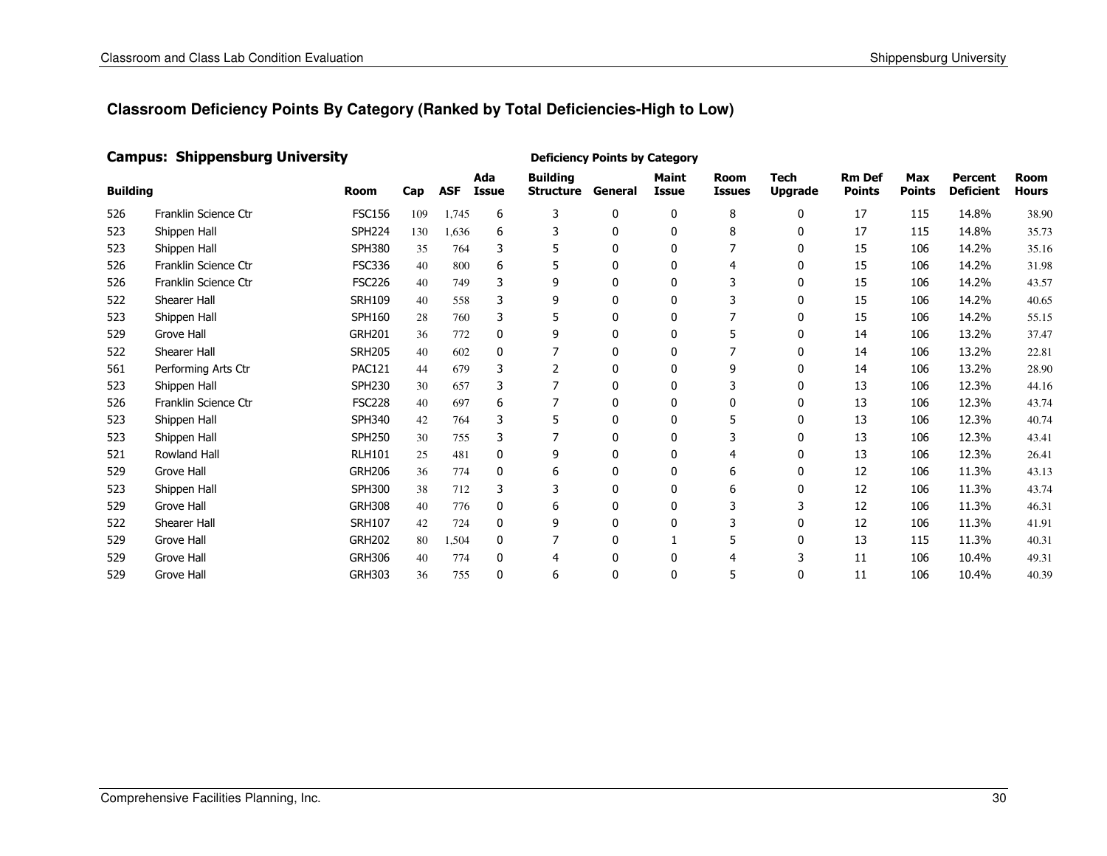#### Campus: Shippensburg University

| <b>Building</b> |                      | <b>Room</b>   | Cap | <b>ASF</b> | Ada<br>Issue | <b>Building</b><br><b>Structure</b> | General      | <b>Maint</b><br><b>Issue</b> | <b>Room</b><br><b>Issues</b> | <b>Tech</b><br><b>Upgrade</b> | <b>Rm Def</b><br><b>Points</b> | <b>Max</b><br><b>Points</b> | <b>Percent</b><br><b>Deficient</b> | <b>Room</b><br>Hours |
|-----------------|----------------------|---------------|-----|------------|--------------|-------------------------------------|--------------|------------------------------|------------------------------|-------------------------------|--------------------------------|-----------------------------|------------------------------------|----------------------|
| 526             | Franklin Science Ctr | <b>FSC156</b> | 109 | 1,745      | 6            | 3                                   | 0            | $\mathbf{0}$                 | 8                            | $\mathbf{0}$                  | 17                             | 115                         | 14.8%                              | 38.90                |
| 523             | Shippen Hall         | <b>SPH224</b> | 130 | 1,636      | 6            | 3                                   | $\mathbf{0}$ | $\mathbf{0}$                 | 8                            | $\mathbf{0}$                  | 17                             | 115                         | 14.8%                              | 35.73                |
| 523             | Shippen Hall         | <b>SPH380</b> | 35  | 764        | 3            | 5                                   | $\mathbf{0}$ | $\mathbf{0}$                 |                              | $\mathbf{0}$                  | 15                             | 106                         | 14.2%                              | 35.16                |
| 526             | Franklin Science Ctr | <b>FSC336</b> | 40  | 800        | 6            | 5                                   | $\mathbf{0}$ | 0                            | 4                            | 0                             | 15                             | 106                         | 14.2%                              | 31.98                |
| 526             | Franklin Science Ctr | <b>FSC226</b> | 40  | 749        | 3            | 9                                   | 0            | 0                            |                              | $\mathbf{0}$                  | 15                             | 106                         | 14.2%                              | 43.57                |
| 522             | Shearer Hall         | <b>SRH109</b> | 40  | 558        | 3            | 9                                   | 0            | 0                            |                              | 0                             | 15                             | 106                         | 14.2%                              | 40.65                |
| 523             | Shippen Hall         | <b>SPH160</b> | 28  | 760        | 3            | 5                                   | 0            | 0                            |                              | 0                             | 15                             | 106                         | 14.2%                              | 55.15                |
| 529             | Grove Hall           | <b>GRH201</b> | 36  | 772        | $\mathbf{0}$ | 9                                   | 0            | 0                            | 5                            | 0                             | 14                             | 106                         | 13.2%                              | 37.47                |
| 522             | Shearer Hall         | <b>SRH205</b> | 40  | 602        | 0            | 7                                   | 0            | 0                            |                              | 0                             | 14                             | 106                         | 13.2%                              | 22.81                |
| 561             | Performing Arts Ctr  | <b>PAC121</b> | 44  | 679        | 3            | 2                                   | 0            | 0                            | 9                            | 0                             | 14                             | 106                         | 13.2%                              | 28.90                |
| 523             | Shippen Hall         | <b>SPH230</b> | 30  | 657        | 3            | 7                                   | 0            | 0                            | 3                            | 0                             | 13                             | 106                         | 12.3%                              | 44.16                |
| 526             | Franklin Science Ctr | <b>FSC228</b> | 40  | 697        | 6            | 7                                   | 0            | 0                            | 0                            | 0                             | 13                             | 106                         | 12.3%                              | 43.74                |
| 523             | Shippen Hall         | <b>SPH340</b> | 42  | 764        | 3            | 5                                   | 0            | 0                            | 5                            | 0                             | 13                             | 106                         | 12.3%                              | 40.74                |
| 523             | Shippen Hall         | <b>SPH250</b> | 30  | 755        | 3            | 7                                   | 0            | $\mathbf{0}$                 |                              | 0                             | 13                             | 106                         | 12.3%                              | 43.41                |
| 521             | <b>Rowland Hall</b>  | <b>RLH101</b> | 25  | 481        | $\mathbf{0}$ | 9                                   | $\mathbf{0}$ | $\mathbf{0}$                 |                              | $\mathbf{0}$                  | 13                             | 106                         | 12.3%                              | 26.41                |
| 529             | <b>Grove Hall</b>    | <b>GRH206</b> | 36  | 774        | $\mathbf{0}$ | 6                                   | 0            | 0                            | 6                            | $\mathbf{0}$                  | 12                             | 106                         | 11.3%                              | 43.13                |
| 523             | Shippen Hall         | <b>SPH300</b> | 38  | 712        | 3            | 3                                   | 0            | $\mathbf{0}$                 | 6                            | 0                             | 12                             | 106                         | 11.3%                              | 43.74                |
| 529             | Grove Hall           | <b>GRH308</b> | 40  | 776        | $\mathbf{0}$ | 6                                   | 0            | $\mathbf{0}$                 | 3                            | 3                             | 12                             | 106                         | 11.3%                              | 46.31                |
| 522             | Shearer Hall         | <b>SRH107</b> | 42  | 724        | $\mathbf{0}$ | 9                                   | 0            | $\mathbf{0}$                 | 3                            | $\mathbf{0}$                  | 12                             | 106                         | 11.3%                              | 41.91                |
| 529             | Grove Hall           | <b>GRH202</b> | 80  | 1,504      | $\mathbf{0}$ |                                     | 0            |                              | 5                            | 0                             | 13                             | 115                         | 11.3%                              | 40.31                |
| 529             | Grove Hall           | <b>GRH306</b> | 40  | 774        | $\mathbf{0}$ | 4                                   | 0            | $\Omega$                     |                              |                               | 11                             | 106                         | 10.4%                              | 49.31                |
| 529             | Grove Hall           | <b>GRH303</b> | 36  | 755        | $\mathbf{0}$ | 6                                   | 0            | $\Omega$                     | 5                            | 0                             | 11                             | 106                         | 10.4%                              | 40.39                |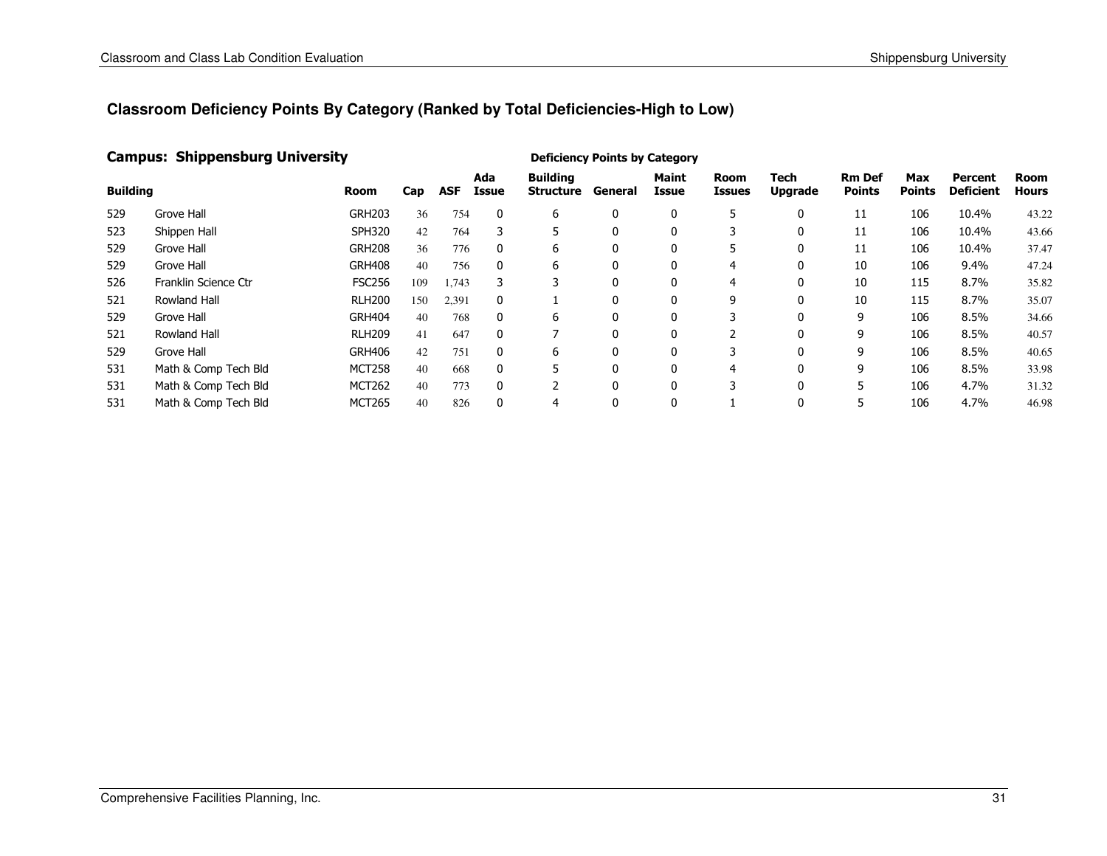#### Campus: Shippensburg University

| <b>Building</b> |                      | Room          | Cap | <b>ASF</b> | Ada<br>Issue | <b>Building</b><br>Structure | General      | <b>Maint</b><br>Issue | Room<br><b>Issues</b> | Tech<br><b>Upgrade</b> | <b>Rm Def</b><br><b>Points</b> | <b>Max</b><br><b>Points</b> | Percent<br><b>Deficient</b> | Room<br><b>Hours</b> |
|-----------------|----------------------|---------------|-----|------------|--------------|------------------------------|--------------|-----------------------|-----------------------|------------------------|--------------------------------|-----------------------------|-----------------------------|----------------------|
| 529             | Grove Hall           | <b>GRH203</b> | 36  | 754        | 0            | 6                            | 0            | 0                     | 5                     | 0                      | 11                             | 106                         | 10.4%                       | 43.22                |
| 523             | Shippen Hall         | <b>SPH320</b> | 42  | 764        |              |                              | 0            | $\mathbf{0}$          |                       | 0                      | 11                             | 106                         | 10.4%                       | 43.66                |
| 529             | Grove Hall           | <b>GRH208</b> | 36  | 776        | $\mathbf{0}$ | 6                            | 0            | 0                     | 5                     | 0                      | 11                             | 106                         | 10.4%                       | 37.47                |
| 529             | Grove Hall           | <b>GRH408</b> | 40  | 756        | 0            | 6                            | 0            | 0                     | 4                     | 0                      | 10                             | 106                         | 9.4%                        | 47.24                |
| 526             | Franklin Science Ctr | <b>FSC256</b> | 109 | 1,743      | 3            | 3                            | 0            | 0                     | 4                     | 0                      | 10                             | 115                         | 8.7%                        | 35.82                |
| 521             | Rowland Hall         | <b>RLH200</b> | 150 | 2,391      | 0            |                              | 0            | 0                     | 9                     | 0                      | 10                             | 115                         | 8.7%                        | 35.07                |
| 529             | Grove Hall           | <b>GRH404</b> | 40  | 768        | 0            | 6                            | 0            | 0                     |                       | 0                      | 9                              | 106                         | 8.5%                        | 34.66                |
| 521             | <b>Rowland Hall</b>  | <b>RLH209</b> | 41  | 647        | $\mathbf{0}$ |                              | 0            | 0                     |                       | 0                      | 9                              | 106                         | 8.5%                        | 40.57                |
| 529             | Grove Hall           | <b>GRH406</b> | 42  | 751        | 0            | 6                            | 0            | $\mathbf{0}$          |                       | 0                      | 9                              | 106                         | 8.5%                        | 40.65                |
| 531             | Math & Comp Tech Bld | <b>MCT258</b> | 40  | 668        | $\mathbf{0}$ | 5                            | $\mathbf{0}$ | 0                     | 4                     | $\mathbf{0}$           | 9                              | 106                         | 8.5%                        | 33.98                |
| 531             | Math & Comp Tech Bld | <b>MCT262</b> | 40  | 773        | 0            |                              | 0            | 0                     |                       | 0                      | 5                              | 106                         | 4.7%                        | 31.32                |
| 531             | Math & Comp Tech Bld | <b>MCT265</b> | 40  | 826        | $\mathbf{0}$ | 4                            | 0            | $\mathbf{0}$          |                       | $\mathbf{0}$           | 5                              | 106                         | 4.7%                        | 46.98                |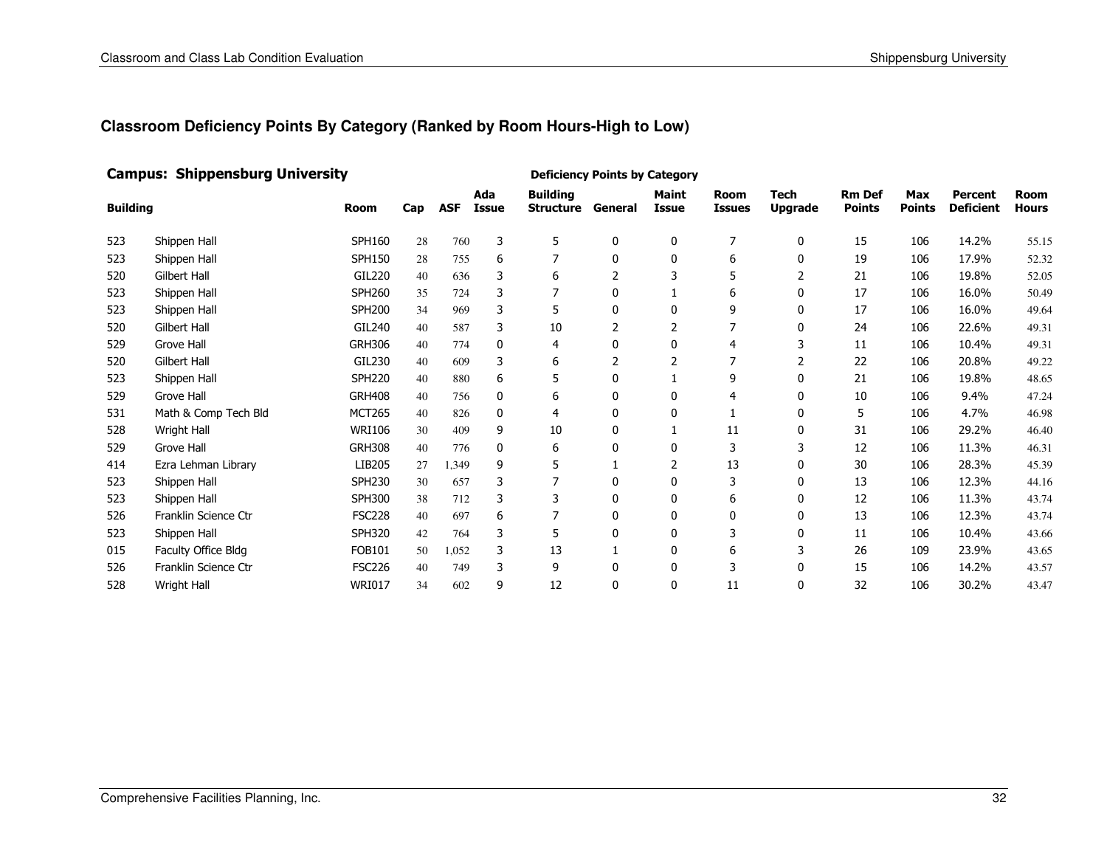#### Campus: Shippensburg University

| <b>Building</b> |                      | <b>Room</b>   | Cap | <b>ASF</b> | Ada<br><b>Issue</b> | <b>Building</b><br><b>Structure</b> | General      | <b>Maint</b><br><b>Issue</b> | <b>Room</b><br><b>Issues</b> | <b>Tech</b><br><b>Upgrade</b> | <b>Rm Def</b><br><b>Points</b> | <b>Max</b><br><b>Points</b> | Percent<br><b>Deficient</b> | <b>Room</b><br><b>Hours</b> |
|-----------------|----------------------|---------------|-----|------------|---------------------|-------------------------------------|--------------|------------------------------|------------------------------|-------------------------------|--------------------------------|-----------------------------|-----------------------------|-----------------------------|
| 523             | Shippen Hall         | <b>SPH160</b> | 28  | 760        | 3                   | 5                                   | 0            | 0                            | 7                            | 0                             | 15                             | 106                         | 14.2%                       | 55.15                       |
| 523             | Shippen Hall         | <b>SPH150</b> | 28  | 755        | 6                   | 7                                   | $\mathbf{0}$ | 0                            | 6                            | 0                             | 19                             | 106                         | 17.9%                       | 52.32                       |
| 520             | Gilbert Hall         | GIL220        | 40  | 636        | 3                   | 6                                   | 2            | 3                            | 5                            | 2                             | 21                             | 106                         | 19.8%                       | 52.05                       |
| 523             | Shippen Hall         | <b>SPH260</b> | 35  | 724        | 3                   |                                     | 0            |                              | 6                            | 0                             | 17                             | 106                         | 16.0%                       | 50.49                       |
| 523             | Shippen Hall         | <b>SPH200</b> | 34  | 969        | 3                   | 5                                   | 0            | 0                            | 9                            | $\mathbf{0}$                  | 17                             | 106                         | 16.0%                       | 49.64                       |
| 520             | <b>Gilbert Hall</b>  | GIL240        | 40  | 587        | 3                   | 10                                  |              | 2                            |                              | 0                             | 24                             | 106                         | 22.6%                       | 49.31                       |
| 529             | Grove Hall           | <b>GRH306</b> | 40  | 774        | $\mathbf{0}$        | 4                                   | 0            | $\mathbf{0}$                 | 4                            |                               | 11                             | 106                         | 10.4%                       | 49.31                       |
| 520             | <b>Gilbert Hall</b>  | GIL230        | 40  | 609        | 3                   | 6                                   |              |                              |                              | 2                             | 22                             | 106                         | 20.8%                       | 49.22                       |
| 523             | Shippen Hall         | <b>SPH220</b> | 40  | 880        | 6                   | 5                                   | 0            |                              | 9                            | $\mathbf{0}$                  | 21                             | 106                         | 19.8%                       | 48.65                       |
| 529             | <b>Grove Hall</b>    | <b>GRH408</b> | 40  | 756        | 0                   | 6                                   | 0            | 0                            |                              | 0                             | 10                             | 106                         | 9.4%                        | 47.24                       |
| 531             | Math & Comp Tech Bld | <b>MCT265</b> | 40  | 826        | 0                   | 4                                   | 0            | 0                            |                              | 0                             | 5                              | 106                         | 4.7%                        | 46.98                       |
| 528             | Wright Hall          | <b>WRI106</b> | 30  | 409        | 9                   | 10                                  | 0            |                              | 11                           | $\mathbf{0}$                  | 31                             | 106                         | 29.2%                       | 46.40                       |
| 529             | <b>Grove Hall</b>    | <b>GRH308</b> | 40  | 776        | 0                   | 6                                   | 0            | $\mathbf{0}$                 | 3                            | 3                             | 12                             | 106                         | 11.3%                       | 46.31                       |
| 414             | Ezra Lehman Library  | LIB205        | 27  | 1,349      | 9                   | 5                                   |              |                              | 13                           | 0                             | 30                             | 106                         | 28.3%                       | 45.39                       |
| 523             | Shippen Hall         | <b>SPH230</b> | 30  | 657        | 3                   |                                     | 0            | 0                            | 3                            | 0                             | 13                             | 106                         | 12.3%                       | 44.16                       |
| 523             | Shippen Hall         | <b>SPH300</b> | 38  | 712        | 3                   | 3                                   | 0            | 0                            | 6                            | 0                             | 12                             | 106                         | 11.3%                       | 43.74                       |
| 526             | Franklin Science Ctr | <b>FSC228</b> | 40  | 697        | 6                   |                                     | 0            | 0                            | 0                            | 0                             | 13                             | 106                         | 12.3%                       | 43.74                       |
| 523             | Shippen Hall         | <b>SPH320</b> | 42  | 764        | 3                   | 5                                   | 0            | 0                            |                              | 0                             | 11                             | 106                         | 10.4%                       | 43.66                       |
| 015             | Faculty Office Bldg  | <b>FOB101</b> | 50  | 1,052      | 3                   | 13                                  |              | $\mathbf{0}$                 | 6                            | 3                             | 26                             | 109                         | 23.9%                       | 43.65                       |
| 526             | Franklin Science Ctr | <b>FSC226</b> | 40  | 749        | 3                   | 9                                   | 0            | $\Omega$                     | 3                            | 0                             | 15                             | 106                         | 14.2%                       | 43.57                       |
| 528             | Wright Hall          | <b>WRI017</b> | 34  | 602        | 9                   | 12                                  | 0            | 0                            | 11                           | 0                             | 32                             | 106                         | 30.2%                       | 43.47                       |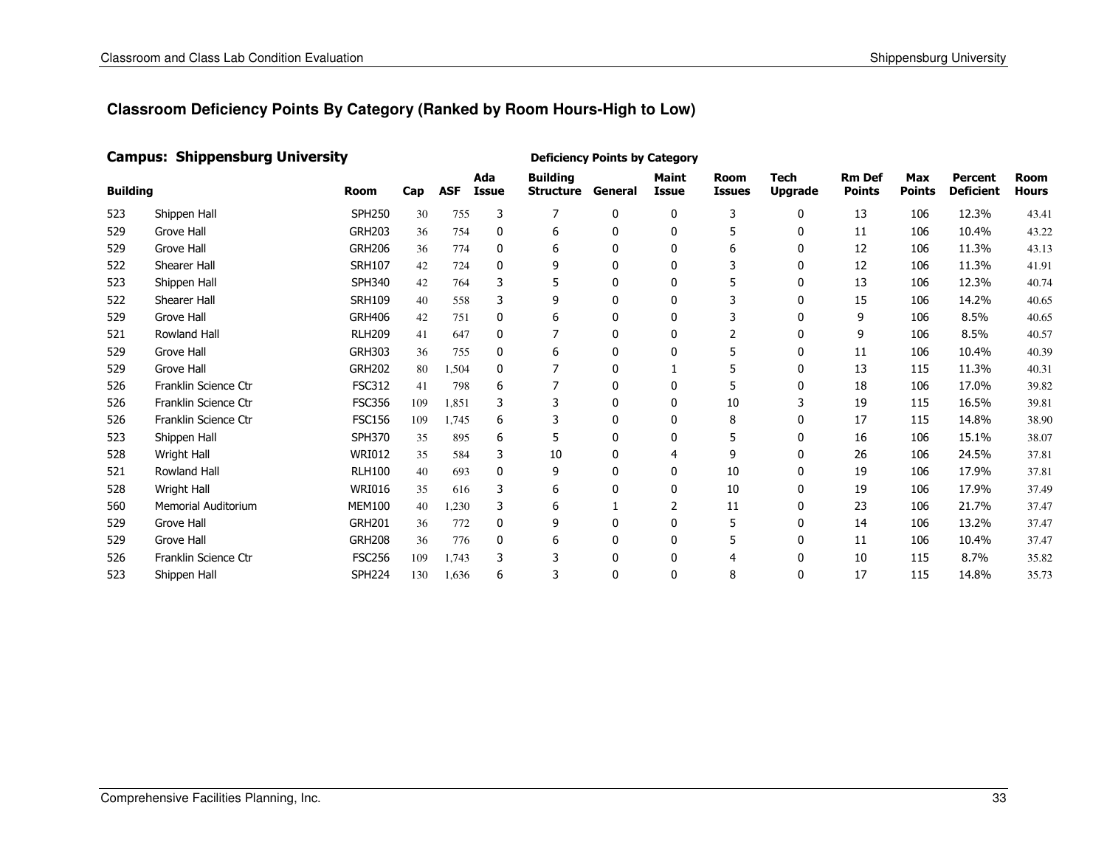#### Campus: Shippensburg University

| <b>Building</b> |                            | <b>Room</b>   | Cap | <b>ASF</b> | Ada<br>Issue | <b>Building</b><br><b>Structure</b> | General      | <b>Maint</b><br>Issue | <b>Room</b><br><b>Issues</b> | <b>Tech</b><br><b>Upgrade</b> | <b>Rm Def</b><br><b>Points</b> | <b>Max</b><br><b>Points</b> | Percent<br><b>Deficient</b> | <b>Room</b><br>Hours |
|-----------------|----------------------------|---------------|-----|------------|--------------|-------------------------------------|--------------|-----------------------|------------------------------|-------------------------------|--------------------------------|-----------------------------|-----------------------------|----------------------|
| 523             | Shippen Hall               | <b>SPH250</b> | 30  | 755        | 3            | $\overline{7}$                      | 0            | 0                     | 3                            | $\mathbf{0}$                  | 13                             | 106                         | 12.3%                       | 43.41                |
| 529             | <b>Grove Hall</b>          | <b>GRH203</b> | 36  | 754        | 0            | 6                                   | 0            | 0                     | 5                            | 0                             | 11                             | 106                         | 10.4%                       | 43.22                |
| 529             | <b>Grove Hall</b>          | <b>GRH206</b> | 36  | 774        | $\mathbf{0}$ | 6                                   | 0            | 0                     | 6                            | 0                             | 12                             | 106                         | 11.3%                       | 43.13                |
| 522             | Shearer Hall               | <b>SRH107</b> | 42  | 724        | $\mathbf{0}$ | 9                                   | 0            | 0                     |                              | 0                             | 12                             | 106                         | 11.3%                       | 41.91                |
| 523             | Shippen Hall               | <b>SPH340</b> | 42  | 764        | 3            | 5                                   | 0            | 0                     | 5                            | $\mathbf{0}$                  | 13                             | 106                         | 12.3%                       | 40.74                |
| 522             | Shearer Hall               | <b>SRH109</b> | 40  | 558        | 3            | 9                                   | 0            | 0                     |                              | 0                             | 15                             | 106                         | 14.2%                       | 40.65                |
| 529             | Grove Hall                 | <b>GRH406</b> | 42  | 751        | 0            | 6                                   | 0            | 0                     | 3                            | 0                             | 9                              | 106                         | 8.5%                        | 40.65                |
| 521             | Rowland Hall               | <b>RLH209</b> | 41  | 647        | 0            | 7                                   | 0            | 0                     |                              | 0                             | 9                              | 106                         | 8.5%                        | 40.57                |
| 529             | <b>Grove Hall</b>          | <b>GRH303</b> | 36  | 755        | 0            | 6                                   | 0            | 0                     | 5                            | 0                             | 11                             | 106                         | 10.4%                       | 40.39                |
| 529             | Grove Hall                 | <b>GRH202</b> | 80  | 1,504      | 0            | 7                                   | 0            |                       | 5                            | 0                             | 13                             | 115                         | 11.3%                       | 40.31                |
| 526             | Franklin Science Ctr       | <b>FSC312</b> | 41  | 798        | 6            | 7                                   | 0            | 0                     | 5                            | 0                             | 18                             | 106                         | 17.0%                       | 39.82                |
| 526             | Franklin Science Ctr       | <b>FSC356</b> | 109 | 1,851      | 3            | 3                                   | 0            | 0                     | 10                           | 3                             | 19                             | 115                         | 16.5%                       | 39.81                |
| 526             | Franklin Science Ctr       | <b>FSC156</b> | 109 | 1,745      | 6            | 3                                   | 0            | 0                     | 8                            | $\mathbf{0}$                  | 17                             | 115                         | 14.8%                       | 38.90                |
| 523             | Shippen Hall               | SPH370        | 35  | 895        | 6            | 5                                   | $\mathbf{0}$ | $\mathbf{0}$          | 5                            | $\mathbf{0}$                  | 16                             | 106                         | 15.1%                       | 38.07                |
| 528             | Wright Hall                | <b>WRI012</b> | 35  | 584        | 3            | 10                                  | 0            | 4                     | 9                            | $\mathbf{0}$                  | 26                             | 106                         | 24.5%                       | 37.81                |
| 521             | Rowland Hall               | <b>RLH100</b> | 40  | 693        | $\mathbf{0}$ | 9                                   | 0            | $\mathbf{0}$          | 10                           | $\mathbf{0}$                  | 19                             | 106                         | 17.9%                       | 37.81                |
| 528             | <b>Wright Hall</b>         | <b>WRI016</b> | 35  | 616        | 3            | 6                                   | ŋ            | 0                     | 10                           | $\mathbf{0}$                  | 19                             | 106                         | 17.9%                       | 37.49                |
| 560             | <b>Memorial Auditorium</b> | <b>MEM100</b> | 40  | 1,230      | 3            | 6                                   |              | 2                     | 11                           | 0                             | 23                             | 106                         | 21.7%                       | 37.47                |
| 529             | Grove Hall                 | <b>GRH201</b> | 36  | 772        | $\mathbf{0}$ | 9                                   | 0            | $\Omega$              | 5                            | 0                             | 14                             | 106                         | 13.2%                       | 37.47                |
| 529             | <b>Grove Hall</b>          | <b>GRH208</b> | 36  | 776        | $\mathbf{0}$ | 6                                   | 0            | 0                     |                              | 0                             | 11                             | 106                         | 10.4%                       | 37.47                |
| 526             | Franklin Science Ctr       | <b>FSC256</b> | 109 | 1,743      | 3            | 3                                   | 0            | 0                     |                              | 0                             | 10                             | 115                         | 8.7%                        | 35.82                |
| 523             | Shippen Hall               | <b>SPH224</b> | 130 | 1,636      | 6            | 3                                   | $\mathbf{0}$ | $\Omega$              | 8                            | $\Omega$                      | 17                             | 115                         | 14.8%                       | 35.73                |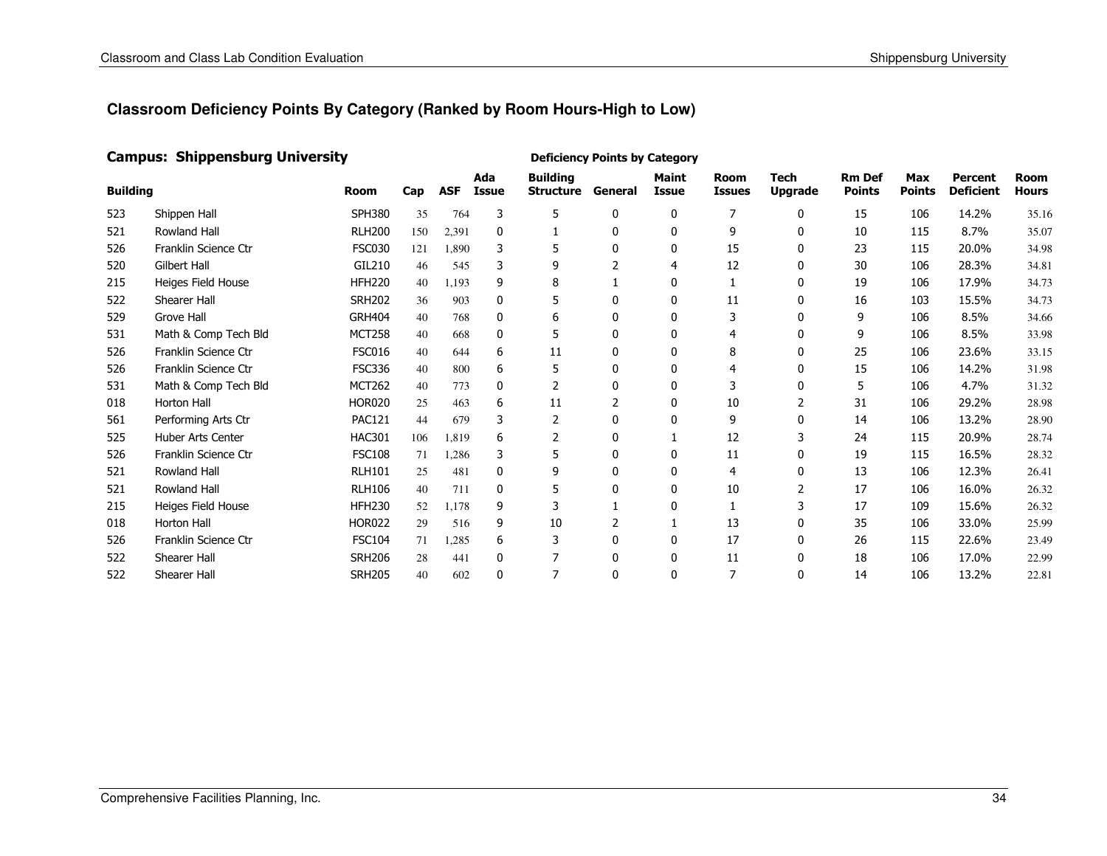#### Campus: Shippensburg University

| <b>Building</b> |                          | <b>Room</b>   | Cap | <b>ASF</b> | Ada<br><b>Issue</b> | <b>Building</b><br><b>Structure</b> | General      | <b>Maint</b><br>Issue | <b>Room</b><br><b>Issues</b> | <b>Tech</b><br><b>Upgrade</b> | <b>Rm Def</b><br><b>Points</b> | <b>Max</b><br><b>Points</b> | Percent<br><b>Deficient</b> | <b>Room</b><br>Hours |
|-----------------|--------------------------|---------------|-----|------------|---------------------|-------------------------------------|--------------|-----------------------|------------------------------|-------------------------------|--------------------------------|-----------------------------|-----------------------------|----------------------|
| 523             | Shippen Hall             | <b>SPH380</b> | 35  | 764        | 3                   | 5                                   | 0            | $\mathbf{0}$          | 7                            | $\mathbf{0}$                  | 15                             | 106                         | 14.2%                       | 35.16                |
| 521             | <b>Rowland Hall</b>      | <b>RLH200</b> | 150 | 2,391      | $\mathbf{0}$        | 1                                   | 0            | $\Omega$              | 9                            | 0                             | 10                             | 115                         | 8.7%                        | 35.07                |
| 526             | Franklin Science Ctr     | <b>FSC030</b> | 121 | 1,890      | 3                   | 5                                   | 0            | 0                     | 15                           | 0                             | 23                             | 115                         | 20.0%                       | 34.98                |
| 520             | Gilbert Hall             | GIL210        | 46  | 545        | 3                   | 9                                   |              | 4                     | 12                           | 0                             | 30                             | 106                         | 28.3%                       | 34.81                |
| 215             | Heiges Field House       | <b>HFH220</b> | 40  | 1,193      | 9                   | 8                                   |              | 0                     |                              | 0                             | 19                             | 106                         | 17.9%                       | 34.73                |
| 522             | Shearer Hall             | <b>SRH202</b> | 36  | 903        | $\mathbf{0}$        | 5                                   | 0            | 0                     | 11                           | 0                             | 16                             | 103                         | 15.5%                       | 34.73                |
| 529             | <b>Grove Hall</b>        | <b>GRH404</b> | 40  | 768        | 0                   | 6                                   | $\mathbf{0}$ | 0                     | 3                            | 0                             | 9                              | 106                         | 8.5%                        | 34.66                |
| 531             | Math & Comp Tech Bld     | <b>MCT258</b> | 40  | 668        | $\mathbf{0}$        | 5                                   | $\Omega$     | 0                     |                              | 0                             | 9                              | 106                         | 8.5%                        | 33.98                |
| 526             | Franklin Science Ctr     | <b>FSC016</b> | 40  | 644        | 6                   | 11                                  | 0            | 0                     | 8                            | 0                             | 25                             | 106                         | 23.6%                       | 33.15                |
| 526             | Franklin Science Ctr     | <b>FSC336</b> | 40  | 800        | 6                   | 5                                   | 0            | $\Omega$              |                              | 0                             | 15                             | 106                         | 14.2%                       | 31.98                |
| 531             | Math & Comp Tech Bld     | <b>MCT262</b> | 40  | 773        | 0                   | 2                                   | 0            | 0                     |                              | 0                             | 5                              | 106                         | 4.7%                        | 31.32                |
| 018             | Horton Hall              | <b>HOR020</b> | 25  | 463        | 6                   | 11                                  | 2            | 0                     | 10                           | 2                             | 31                             | 106                         | 29.2%                       | 28.98                |
| 561             | Performing Arts Ctr      | <b>PAC121</b> | 44  | 679        | 3                   | 2                                   | 0            | $\mathbf{0}$          | 9                            | $\mathbf{0}$                  | 14                             | 106                         | 13.2%                       | 28.90                |
| 525             | <b>Huber Arts Center</b> | <b>HAC301</b> | 106 | 1,819      | 6                   | 2                                   | 0            |                       | 12                           |                               | 24                             | 115                         | 20.9%                       | 28.74                |
| 526             | Franklin Science Ctr     | <b>FSC108</b> | 71  | 1,286      | 3                   | 5                                   | 0            | 0                     | 11                           | 0                             | 19                             | 115                         | 16.5%                       | 28.32                |
| 521             | <b>Rowland Hall</b>      | <b>RLH101</b> | 25  | 481        | $\mathbf{0}$        | 9                                   | 0            | $\mathbf{0}$          | 4                            | $\mathbf{0}$                  | 13                             | 106                         | 12.3%                       | 26.41                |
| 521             | <b>Rowland Hall</b>      | <b>RLH106</b> | 40  | 711        | $\mathbf{0}$        | 5                                   | N            | $\mathbf{0}$          | 10                           | 2                             | 17                             | 106                         | 16.0%                       | 26.32                |
| 215             | Heiges Field House       | <b>HFH230</b> | 52  | 1.178      | 9                   | 3                                   |              | 0                     |                              | 3                             | 17                             | 109                         | 15.6%                       | 26.32                |
| 018             | Horton Hall              | <b>HOR022</b> | 29  | 516        | 9                   | 10                                  |              |                       | 13                           | $\mathbf{0}$                  | 35                             | 106                         | 33.0%                       | 25.99                |
| 526             | Franklin Science Ctr     | <b>FSC104</b> | 71  | 1,285      | 6                   | 3                                   | 0            | $\Omega$              | 17                           | 0                             | 26                             | 115                         | 22.6%                       | 23.49                |
| 522             | Shearer Hall             | <b>SRH206</b> | 28  | 441        | $\mathbf{0}$        |                                     | 0            | 0                     | 11                           | 0                             | 18                             | 106                         | 17.0%                       | 22.99                |
| 522             | Shearer Hall             | <b>SRH205</b> | 40  | 602        | $\mathbf{0}$        | 7                                   | 0            | $\Omega$              |                              | 0                             | 14                             | 106                         | 13.2%                       | 22.81                |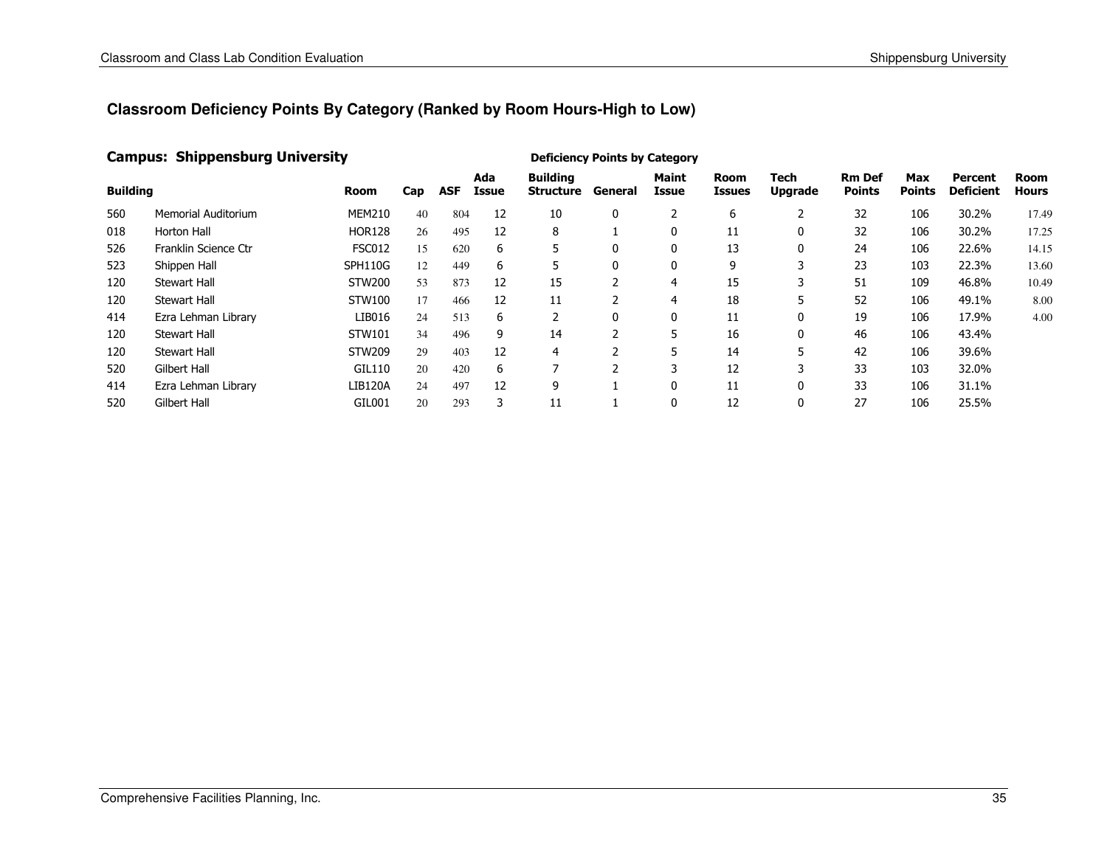#### Campus: Shippensburg University

| <b>Building</b> |                      | Room           | Cap | <b>ASF</b> | Ada<br>Issue | <b>Building</b><br><b>Structure</b> | General | <b>Maint</b><br>Issue | Room<br>Issues | Tech<br><b>Upgrade</b> | <b>Rm Def</b><br><b>Points</b> | <b>Max</b><br><b>Points</b> | Percent<br><b>Deficient</b> | Room<br><b>Hours</b> |
|-----------------|----------------------|----------------|-----|------------|--------------|-------------------------------------|---------|-----------------------|----------------|------------------------|--------------------------------|-----------------------------|-----------------------------|----------------------|
| 560             | Memorial Auditorium  | <b>MEM210</b>  | 40  | 804        | 12           | 10                                  | 0       |                       | 6              |                        | 32                             | 106                         | 30.2%                       | 17.49                |
| 018             | Horton Hall          | <b>HOR128</b>  | 26  | 495        | 12           | 8                                   |         | 0                     | 11             |                        | 32                             | 106                         | 30.2%                       | 17.25                |
| 526             | Franklin Science Ctr | <b>FSC012</b>  | 15  | 620        | 6            | 5                                   | 0       | 0                     | 13             | $\mathbf{0}$           | 24                             | 106                         | 22.6%                       | 14.15                |
| 523             | Shippen Hall         | SPH110G        | 12  | 449        | 6            | 5                                   | 0       | 0                     | 9              | 3                      | 23                             | 103                         | 22.3%                       | 13.60                |
| 120             | <b>Stewart Hall</b>  | <b>STW200</b>  | 53  | 873        | 12           | 15                                  |         | 4                     | 15             |                        | 51                             | 109                         | 46.8%                       | 10.49                |
| 120             | <b>Stewart Hall</b>  | STW100         | 17  | 466        | 12           | 11                                  |         | 4                     | 18             | 5                      | 52                             | 106                         | 49.1%                       | 8.00                 |
| 414             | Ezra Lehman Library  | LIB016         | 24  | 513        | 6            |                                     | 0       | 0                     | 11             | 0                      | 19                             | 106                         | 17.9%                       | 4.00                 |
| 120             | <b>Stewart Hall</b>  | STW101         | 34  | 496        | 9            | 14                                  | h       |                       | 16             | 0                      | 46                             | 106                         | 43.4%                       |                      |
| 120             | <b>Stewart Hall</b>  | STW209         | 29  | 403        | 12           | 4                                   |         |                       | 14             | 5                      | 42                             | 106                         | 39.6%                       |                      |
| 520             | Gilbert Hall         | GIL110         | 20  | 420        | 6            |                                     |         | 3                     | 12             | 3                      | 33                             | 103                         | 32.0%                       |                      |
| 414             | Ezra Lehman Library  | <b>LIB120A</b> | 24  | 497        | 12           | 9                                   |         | 0                     | 11             |                        | 33                             | 106                         | 31.1%                       |                      |
| 520             | Gilbert Hall         | GIL001         | 20  | 293        | 3            | 11                                  |         | 0                     | 12             |                        | 27                             | 106                         | 25.5%                       |                      |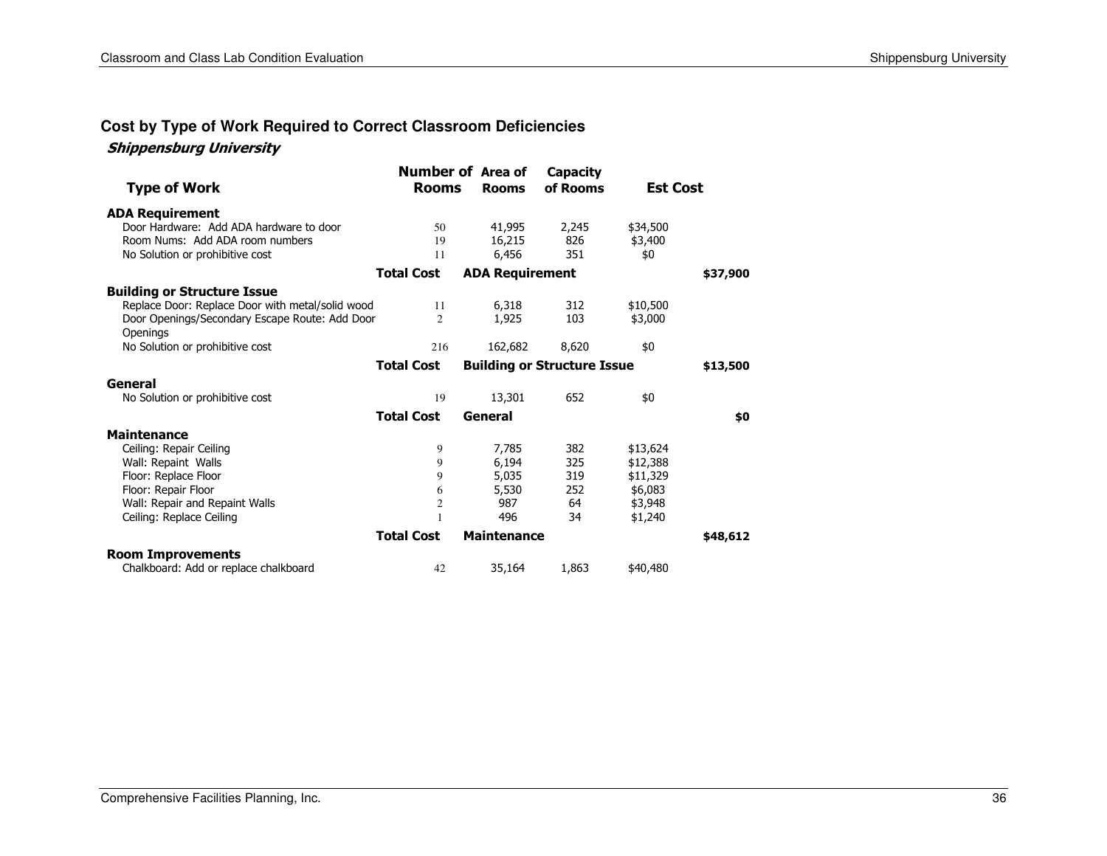#### **Cost by Type of Work Required to Correct Classroom Deficiencies**

#### Shippensburg University

| <b>Type of Work</b>                              | <b>Number of Area of</b><br><b>Rooms</b> | <b>Rooms</b>           | Capacity<br>of Rooms               | <b>Est Cost</b> |          |
|--------------------------------------------------|------------------------------------------|------------------------|------------------------------------|-----------------|----------|
| <b>ADA Requirement</b>                           |                                          |                        |                                    |                 |          |
| Door Hardware: Add ADA hardware to door          | 50                                       | 41,995                 | 2,245                              | \$34,500        |          |
| Room Nums: Add ADA room numbers                  | 19                                       | 16,215                 | 826                                | \$3,400         |          |
| No Solution or prohibitive cost                  | 11                                       | 6,456                  | 351                                | \$0             |          |
|                                                  | <b>Total Cost</b>                        | <b>ADA Requirement</b> |                                    |                 | \$37,900 |
| <b>Building or Structure Issue</b>               |                                          |                        |                                    |                 |          |
| Replace Door: Replace Door with metal/solid wood | 11                                       | 6,318                  | 312                                | \$10,500        |          |
| Door Openings/Secondary Escape Route: Add Door   | 2                                        | 1,925                  | 103                                | \$3,000         |          |
| Openings                                         |                                          |                        |                                    |                 |          |
| No Solution or prohibitive cost                  | 216                                      | 162,682                | 8,620                              | \$0             |          |
|                                                  | <b>Total Cost</b>                        |                        | <b>Building or Structure Issue</b> |                 | \$13,500 |
| General                                          |                                          |                        |                                    |                 |          |
| No Solution or prohibitive cost                  | 19                                       | 13,301                 | 652                                | \$0             |          |
|                                                  | <b>Total Cost</b>                        | General                |                                    |                 | \$0      |
| <b>Maintenance</b>                               |                                          |                        |                                    |                 |          |
| Ceiling: Repair Ceiling                          | 9                                        | 7,785                  | 382                                | \$13,624        |          |
| Wall: Repaint Walls                              | 9                                        | 6,194                  | 325                                | \$12,388        |          |
| Floor: Replace Floor                             | 9                                        | 5,035                  | 319                                | \$11,329        |          |
| Floor: Repair Floor                              | 6                                        | 5,530                  | 252                                | \$6,083         |          |
| Wall: Repair and Repaint Walls                   | $\mathfrak{2}$                           | 987                    | 64                                 | \$3,948         |          |
| Ceiling: Replace Ceiling                         |                                          | 496                    | 34                                 | \$1,240         |          |
|                                                  | <b>Total Cost</b>                        | <b>Maintenance</b>     |                                    |                 | \$48,612 |
| <b>Room Improvements</b>                         |                                          |                        |                                    |                 |          |
| Chalkboard: Add or replace chalkboard            | 42                                       | 35,164                 | 1,863                              | \$40,480        |          |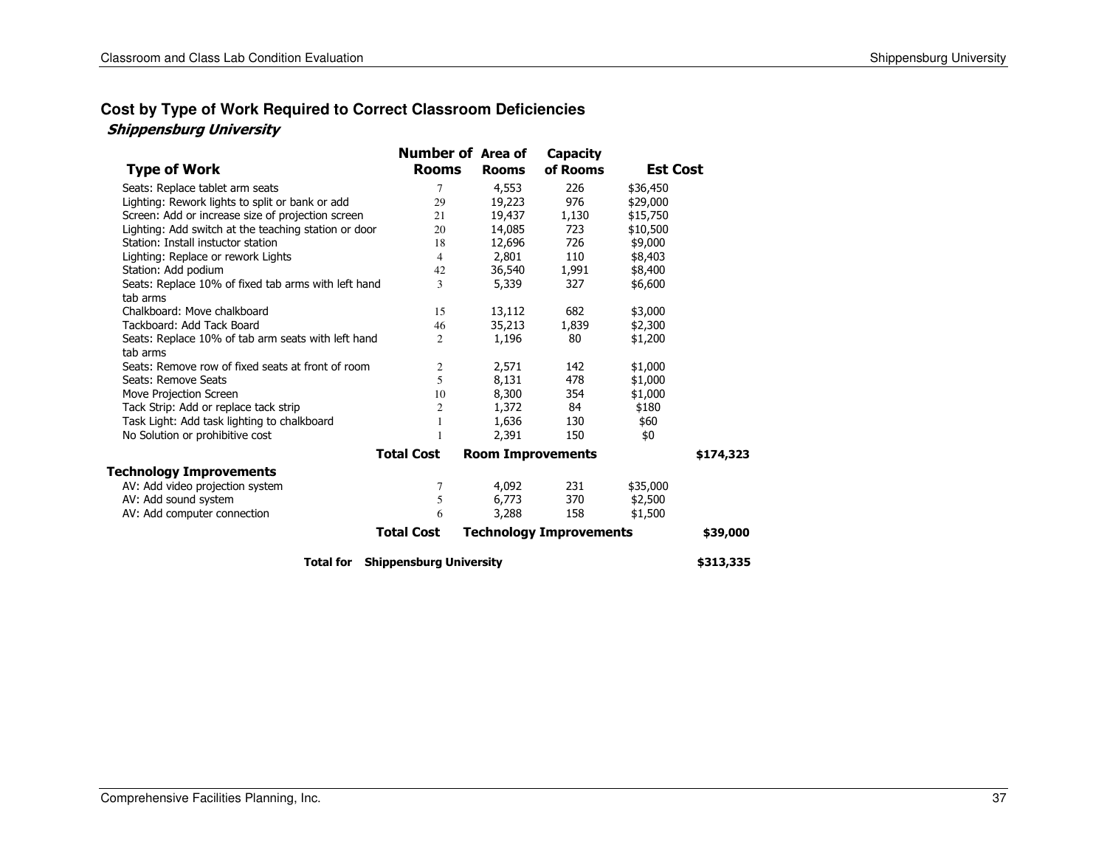#### **Cost by Type of Work Required to Correct Classroom Deficiencies** Shippensburg University

|                                                                 | <b>Number of Area of</b>       |                          | <b>Capacity</b>                |                 |           |
|-----------------------------------------------------------------|--------------------------------|--------------------------|--------------------------------|-----------------|-----------|
| <b>Type of Work</b>                                             | <b>Rooms</b>                   | <b>Rooms</b>             | of Rooms                       | <b>Est Cost</b> |           |
| Seats: Replace tablet arm seats                                 | 7                              | 4,553                    | 226                            | \$36,450        |           |
| Lighting: Rework lights to split or bank or add                 | 29                             | 19,223                   | 976                            | \$29,000        |           |
| Screen: Add or increase size of projection screen               | 21                             | 19,437                   | 1,130                          | \$15,750        |           |
| Lighting: Add switch at the teaching station or door            | 20                             | 14,085                   | 723                            | \$10,500        |           |
| Station: Install instuctor station                              | 18                             | 12,696                   | 726                            | \$9,000         |           |
| Lighting: Replace or rework Lights                              | 4                              | 2,801                    | 110                            | \$8,403         |           |
| Station: Add podium                                             | 42                             | 36,540                   | 1,991                          | \$8,400         |           |
| Seats: Replace 10% of fixed tab arms with left hand<br>tab arms | 3                              | 5,339                    | 327                            | \$6,600         |           |
| Chalkboard: Move chalkboard                                     | 15                             | 13,112                   | 682                            | \$3,000         |           |
| Tackboard: Add Tack Board                                       | 46                             | 35,213                   | 1,839                          | \$2,300         |           |
| Seats: Replace 10% of tab arm seats with left hand<br>tab arms  | 2                              | 1,196                    | 80                             | \$1,200         |           |
| Seats: Remove row of fixed seats at front of room               | $\overline{c}$                 | 2,571                    | 142                            | \$1,000         |           |
| Seats: Remove Seats                                             | 5                              | 8,131                    | 478                            | \$1,000         |           |
| Move Projection Screen                                          | 10                             | 8,300                    | 354                            | \$1,000         |           |
| Tack Strip: Add or replace tack strip                           | 2                              | 1,372                    | 84                             | \$180           |           |
| Task Light: Add task lighting to chalkboard                     |                                | 1,636                    | 130                            | \$60            |           |
| No Solution or prohibitive cost                                 |                                | 2,391                    | 150                            | \$0             |           |
|                                                                 | <b>Total Cost</b>              | <b>Room Improvements</b> |                                |                 | \$174,323 |
| <b>Technology Improvements</b>                                  |                                |                          |                                |                 |           |
| AV: Add video projection system                                 | 7                              | 4,092                    | 231                            | \$35,000        |           |
| AV: Add sound system                                            | 5                              | 6,773                    | 370                            | \$2,500         |           |
| AV: Add computer connection                                     | 6                              | 3,288                    | 158                            | \$1,500         |           |
|                                                                 | <b>Total Cost</b>              |                          | <b>Technology Improvements</b> |                 | \$39,000  |
| <b>Total for</b>                                                | <b>Shippensburg University</b> |                          |                                |                 | \$313,335 |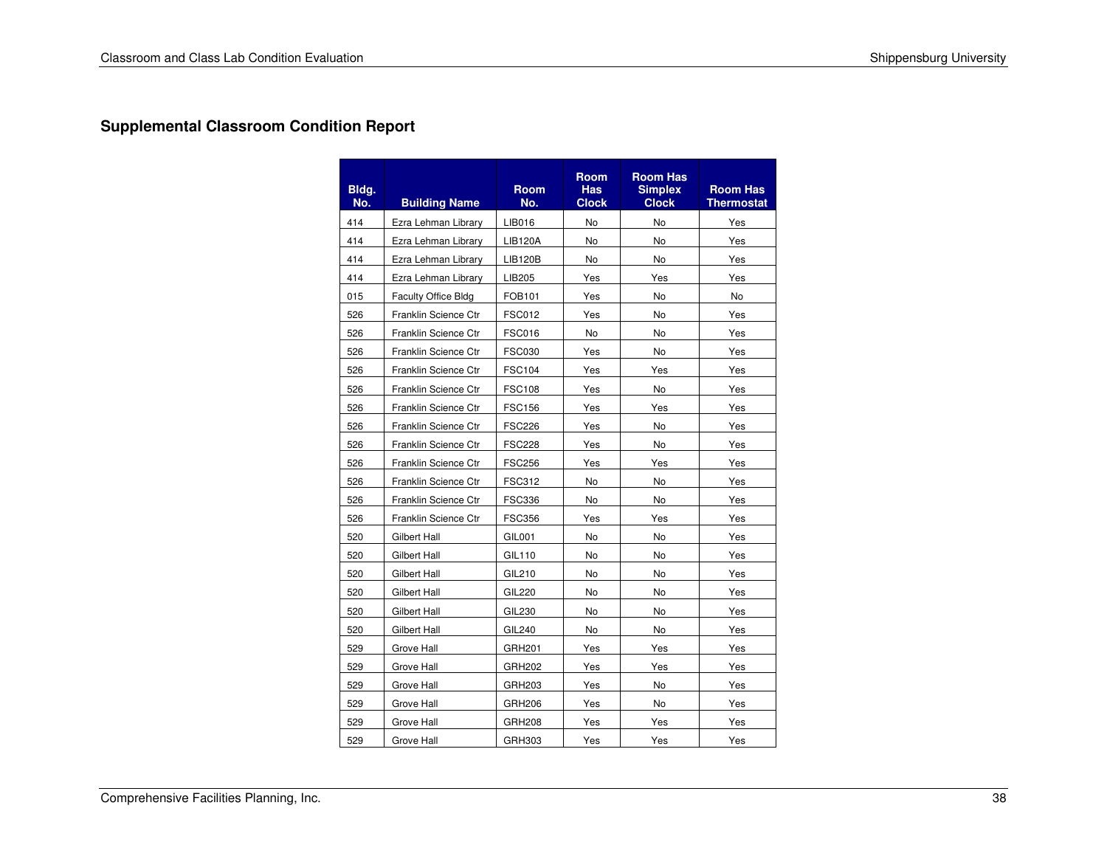### **Supplemental Classroom Condition Report**

| Bldg.<br>No. | <b>Building Name</b> | <b>Room</b><br>No. | <b>Room</b><br><b>Has</b><br><b>Clock</b> | <b>Room Has</b><br><b>Simplex</b><br><b>Clock</b> | <b>Room Has</b><br><b>Thermostat</b> |
|--------------|----------------------|--------------------|-------------------------------------------|---------------------------------------------------|--------------------------------------|
| 414          | Ezra Lehman Library  | LIB016             | No                                        | No                                                | Yes                                  |
| 414          | Ezra Lehman Library  | <b>LIB120A</b>     | No                                        | No                                                | Yes                                  |
| 414          | Ezra Lehman Library  | <b>LIB120B</b>     | No                                        | <b>No</b>                                         | Yes                                  |
| 414          | Ezra Lehman Library  | LIB205             | Yes                                       | Yes                                               | Yes                                  |
| 015          | Faculty Office Bldg  | FOB101             | Yes                                       | No                                                | No                                   |
| 526          | Franklin Science Ctr | <b>FSC012</b>      | Yes                                       | No                                                | Yes                                  |
| 526          | Franklin Science Ctr | <b>FSC016</b>      | N <sub>o</sub>                            | <b>No</b>                                         | Yes                                  |
| 526          | Franklin Science Ctr | <b>FSC030</b>      | Yes                                       | No                                                | Yes                                  |
| 526          | Franklin Science Ctr | <b>FSC104</b>      | Yes                                       | Yes                                               | Yes                                  |
| 526          | Franklin Science Ctr | <b>FSC108</b>      | Yes                                       | No                                                | Yes                                  |
| 526          | Franklin Science Ctr | <b>FSC156</b>      | Yes                                       | Yes                                               | Yes                                  |
| 526          | Franklin Science Ctr | <b>FSC226</b>      | Yes                                       | No                                                | Yes                                  |
| 526          | Franklin Science Ctr | <b>FSC228</b>      | Yes                                       | No                                                | Yes                                  |
| 526          | Franklin Science Ctr | <b>FSC256</b>      | Yes                                       | Yes                                               | Yes                                  |
| 526          | Franklin Science Ctr | <b>FSC312</b>      | No                                        | No                                                | Yes                                  |
| 526          | Franklin Science Ctr | <b>FSC336</b>      | No                                        | No                                                | Yes                                  |
| 526          | Franklin Science Ctr | <b>FSC356</b>      | Yes                                       | Yes                                               | Yes                                  |
| 520          | <b>Gilbert Hall</b>  | GIL001             | No                                        | No                                                | Yes                                  |
| 520          | <b>Gilbert Hall</b>  | GIL110             | No                                        | No                                                | Yes                                  |
| 520          | Gilbert Hall         | GIL210             | No                                        | <b>No</b>                                         | Yes                                  |
| 520          | Gilbert Hall         | <b>GIL220</b>      | No                                        | No                                                | Yes                                  |
| 520          | Gilbert Hall         | GIL230             | No                                        | No                                                | Yes                                  |
| 520          | Gilbert Hall         | GIL240             | No                                        | No                                                | Yes                                  |
| 529          | Grove Hall           | GRH201             | Yes                                       | Yes                                               | Yes                                  |
| 529          | Grove Hall           | GRH202             | Yes                                       | Yes                                               | Yes                                  |
| 529          | Grove Hall           | GRH203             | Yes                                       | No                                                | Yes                                  |
| 529          | Grove Hall           | GRH206             | Yes                                       | No                                                | Yes                                  |
| 529          | Grove Hall           | <b>GRH208</b>      | Yes                                       | Yes                                               | Yes                                  |
| 529          | Grove Hall           | GRH303             | Yes                                       | Yes                                               | Yes                                  |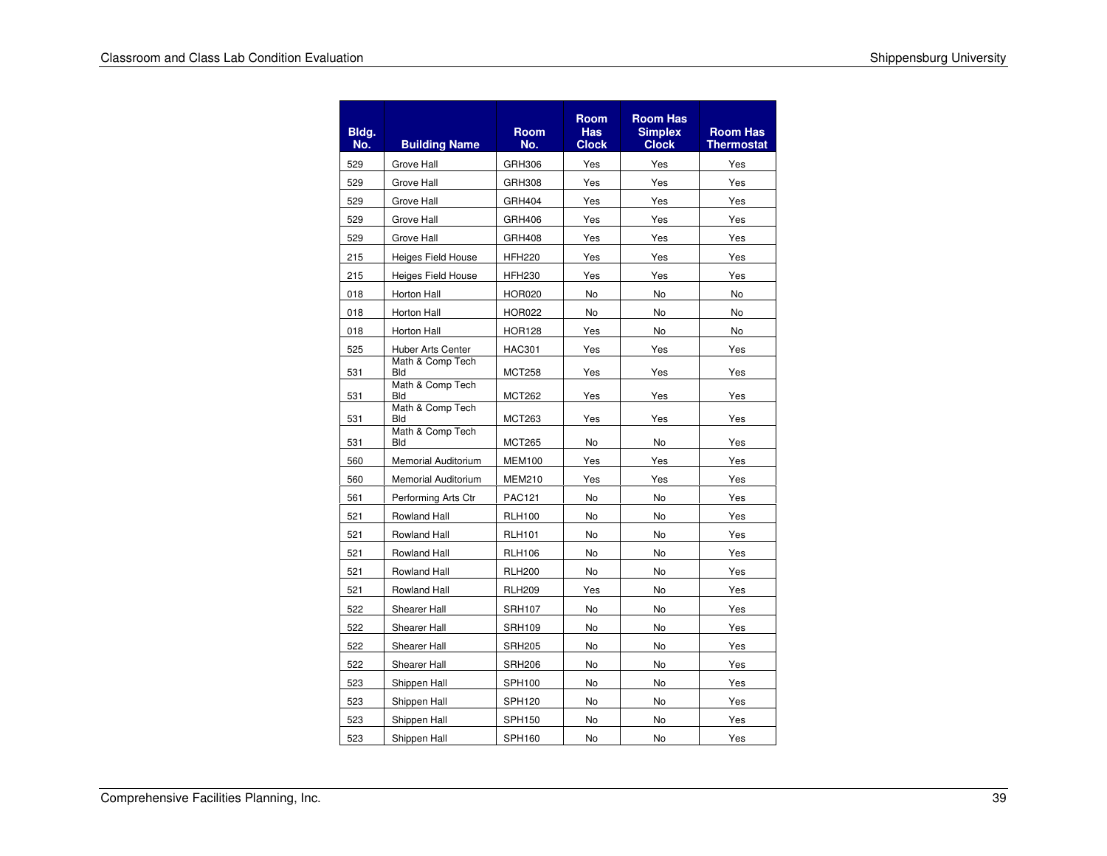| Bldg.<br>No. | <b>Building Name</b>           | <b>Room</b><br>No. | <b>Room</b><br><b>Has</b><br><b>Clock</b> | <b>Room Has</b><br><b>Simplex</b><br><b>Clock</b> | <b>Room Has</b><br>Thermostat |
|--------------|--------------------------------|--------------------|-------------------------------------------|---------------------------------------------------|-------------------------------|
| 529          | Grove Hall                     | GRH306             | Yes                                       | Yes                                               | Yes                           |
| 529          | Grove Hall                     | GRH308             | Yes                                       | Yes                                               | Yes                           |
| 529          | Grove Hall                     | GRH404             | Yes                                       | Yes                                               | Yes                           |
| 529          | Grove Hall                     | GRH406             | Yes                                       | Yes                                               | Yes                           |
| 529          | Grove Hall                     | GRH408             | Yes                                       | Yes                                               | Yes                           |
| 215          | <b>Heiges Field House</b>      | <b>HFH220</b>      | Yes                                       | Yes                                               | Yes                           |
| 215          | <b>Heiges Field House</b>      | <b>HFH230</b>      | Yes                                       | Yes                                               | Yes                           |
| 018          | Horton Hall                    | <b>HOR020</b>      | <b>No</b>                                 | <b>No</b>                                         | No                            |
| 018          | Horton Hall                    | <b>HOR022</b>      | No                                        | No                                                | No                            |
| 018          | Horton Hall                    | <b>HOR128</b>      | Yes                                       | <b>No</b>                                         | No                            |
| 525          | Huber Arts Center              | <b>HAC301</b>      | Yes                                       | Yes                                               | Yes                           |
| 531          | Math & Comp Tech<br><b>Bld</b> | <b>MCT258</b>      | Yes                                       | Yes                                               | Yes                           |
| 531          | Math & Comp Tech<br><b>Bld</b> | <b>MCT262</b>      | Yes                                       | Yes                                               | Yes                           |
| 531          | Math & Comp Tech<br><b>Bld</b> | <b>MCT263</b>      | Yes                                       | Yes                                               | Yes                           |
| 531          | Math & Comp Tech<br><b>Bld</b> | <b>MCT265</b>      | <b>No</b>                                 | No                                                | Yes                           |
| 560          | Memorial Auditorium            | <b>MEM100</b>      | Yes                                       | Yes                                               | Yes                           |
| 560          | Memorial Auditorium            | <b>MEM210</b>      | Yes                                       | Yes                                               | Yes                           |
| 561          | Performing Arts Ctr            | <b>PAC121</b>      | No                                        | No                                                | Yes                           |
| 521          | Rowland Hall                   | <b>RLH100</b>      | No                                        | No                                                | Yes                           |
| 521          | Rowland Hall                   | <b>RLH101</b>      | No                                        | No                                                | Yes                           |
| 521          | Rowland Hall                   | <b>RLH106</b>      | No                                        | No                                                | Yes                           |
| 521          | Rowland Hall                   | <b>RLH200</b>      | No                                        | No                                                | Yes                           |
| 521          | Rowland Hall                   | <b>RLH209</b>      | Yes                                       | No                                                | Yes                           |
| 522          | Shearer Hall                   | <b>SRH107</b>      | No                                        | No                                                | Yes                           |
| 522          | Shearer Hall                   | <b>SRH109</b>      | No                                        | No                                                | Yes                           |
| 522          | Shearer Hall                   | <b>SRH205</b>      | No                                        | No                                                | Yes                           |
| 522          | Shearer Hall                   | <b>SRH206</b>      | No                                        | No                                                | Yes                           |
| 523          | Shippen Hall                   | SPH100             | No                                        | No                                                | Yes                           |
| 523          | Shippen Hall                   | SPH120             | No                                        | No                                                | Yes                           |
| 523          | Shippen Hall                   | <b>SPH150</b>      | No                                        | No                                                | Yes                           |
| 523          | Shippen Hall                   | <b>SPH160</b>      | <b>No</b>                                 | <b>No</b>                                         | Yes                           |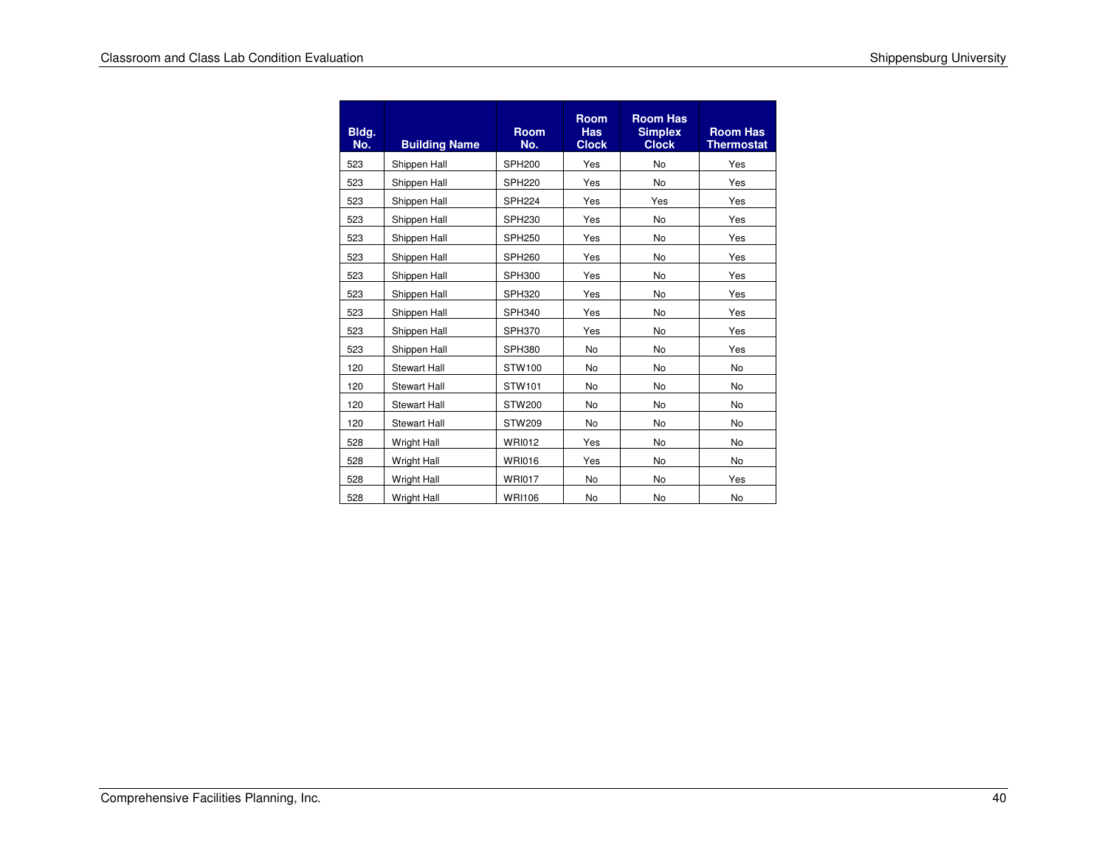| Bldg.<br>No. | <b>Building Name</b> | <b>Room</b><br>No. | <b>Room</b><br><b>Has</b><br><b>Clock</b> | <b>Room Has</b><br><b>Simplex</b><br><b>Clock</b> | <b>Room Has</b><br><b>Thermostat</b> |
|--------------|----------------------|--------------------|-------------------------------------------|---------------------------------------------------|--------------------------------------|
| 523          | Shippen Hall         | <b>SPH200</b>      | Yes                                       | No                                                | Yes                                  |
| 523          | Shippen Hall         | <b>SPH220</b>      | Yes                                       | <b>No</b>                                         | Yes                                  |
| 523          | Shippen Hall         | <b>SPH224</b>      | Yes                                       | Yes                                               | Yes                                  |
| 523          | Shippen Hall         | SPH <sub>230</sub> | Yes                                       | No                                                | Yes                                  |
| 523          | Shippen Hall         | <b>SPH250</b>      | Yes                                       | <b>No</b>                                         | Yes                                  |
| 523          | Shippen Hall         | <b>SPH260</b>      | Yes                                       | No                                                | Yes                                  |
| 523          | Shippen Hall         | <b>SPH300</b>      | Yes                                       | <b>No</b>                                         | Yes                                  |
| 523          | Shippen Hall         | <b>SPH320</b>      | Yes                                       | No                                                | Yes                                  |
| 523          | Shippen Hall         | <b>SPH340</b>      | Yes                                       | No                                                | Yes                                  |
| 523          | Shippen Hall         | <b>SPH370</b>      | Yes                                       | No                                                | Yes                                  |
| 523          | Shippen Hall         | <b>SPH380</b>      | No                                        | No                                                | Yes                                  |
| 120          | <b>Stewart Hall</b>  | STW100             | <b>No</b>                                 | <b>No</b>                                         | <b>No</b>                            |
| 120          | <b>Stewart Hall</b>  | STW101             | No                                        | No                                                | No                                   |
| 120          | <b>Stewart Hall</b>  | <b>STW200</b>      | No                                        | No                                                | No                                   |
| 120          | <b>Stewart Hall</b>  | <b>STW209</b>      | <b>No</b>                                 | No                                                | <b>No</b>                            |
| 528          | <b>Wright Hall</b>   | <b>WRI012</b>      | Yes                                       | No                                                | No                                   |
| 528          | <b>Wright Hall</b>   | <b>WRI016</b>      | Yes                                       | No                                                | <b>No</b>                            |
| 528          | <b>Wright Hall</b>   | <b>WRI017</b>      | <b>No</b>                                 | No                                                | Yes                                  |
| 528          | <b>Wright Hall</b>   | <b>WRI106</b>      | No                                        | No                                                | No                                   |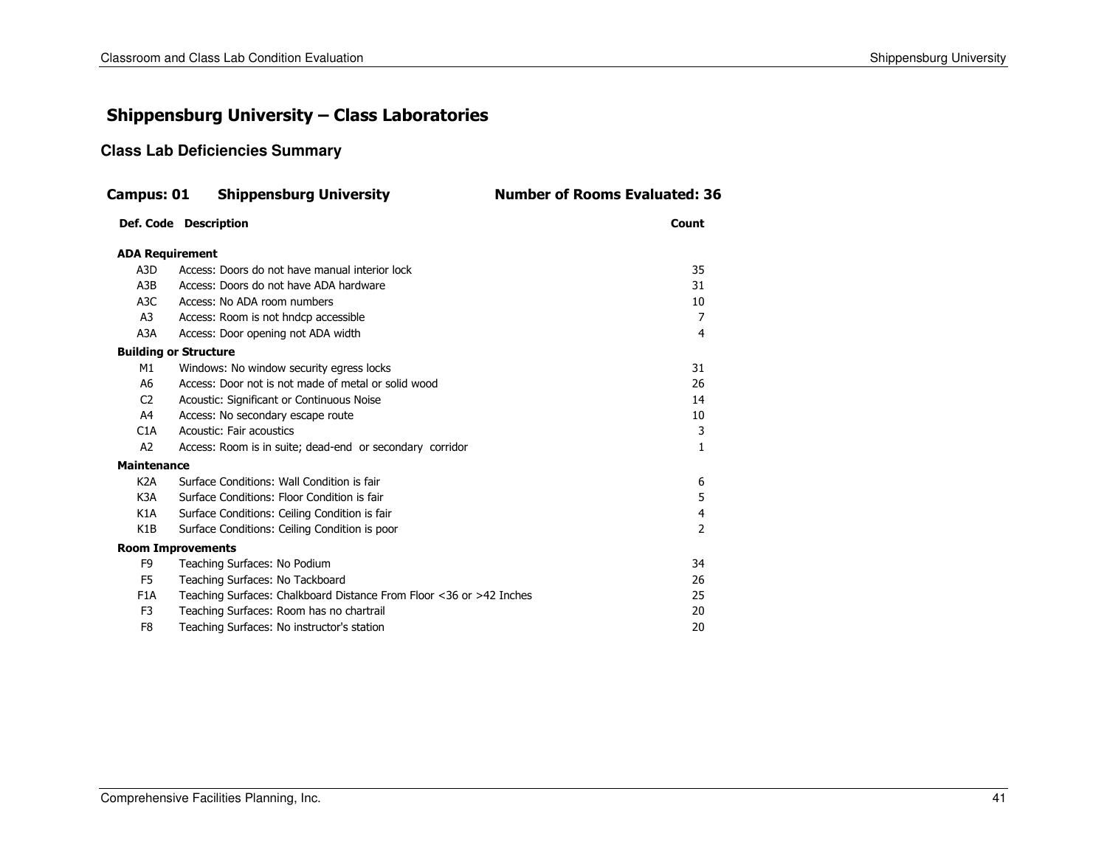### Shippensburg University – Class Laboratories

#### **Class Lab Deficiencies Summary**

| Campus: 01                   | <b>Shippensburg University</b>                                      | <b>Number of Rooms Evaluated: 36</b> |
|------------------------------|---------------------------------------------------------------------|--------------------------------------|
|                              | Def. Code Description                                               | Count                                |
| <b>ADA Requirement</b>       |                                                                     |                                      |
| A <sub>3</sub> D             | Access: Doors do not have manual interior lock                      | 35                                   |
| A3B                          | Access: Doors do not have ADA hardware                              | 31                                   |
| A <sub>3</sub> C             | Access: No ADA room numbers                                         | 10                                   |
| A3                           | Access: Room is not hndcp accessible                                | 7                                    |
| A3A                          | Access: Door opening not ADA width                                  | 4                                    |
| <b>Building or Structure</b> |                                                                     |                                      |
| M1                           | Windows: No window security egress locks                            | 31                                   |
| A6                           | Access: Door not is not made of metal or solid wood                 | 26                                   |
| C <sub>2</sub>               | Acoustic: Significant or Continuous Noise                           | 14                                   |
| A4                           | Access: No secondary escape route                                   | 10                                   |
| C1A                          | Acoustic: Fair acoustics                                            | 3                                    |
| A2                           | Access: Room is in suite; dead-end or secondary corridor            | $\mathbf{1}$                         |
| <b>Maintenance</b>           |                                                                     |                                      |
| K <sub>2</sub> A             | Surface Conditions: Wall Condition is fair                          | 6                                    |
| K <sub>3</sub> A             | Surface Conditions: Floor Condition is fair                         | 5                                    |
| K1A                          | Surface Conditions: Ceiling Condition is fair                       | 4                                    |
| K <sub>1</sub> B             | Surface Conditions: Ceiling Condition is poor                       | $\mathcal{P}$                        |
| <b>Room Improvements</b>     |                                                                     |                                      |
| F <sub>9</sub>               | Teaching Surfaces: No Podium                                        | 34                                   |
| F5                           | Teaching Surfaces: No Tackboard                                     | 26                                   |
| F <sub>1</sub> A             | Teaching Surfaces: Chalkboard Distance From Floor <36 or >42 Inches | 25                                   |
| F <sub>3</sub>               | Teaching Surfaces: Room has no chartrail                            | 20                                   |
| F <sub>8</sub>               | Teaching Surfaces: No instructor's station                          | 20                                   |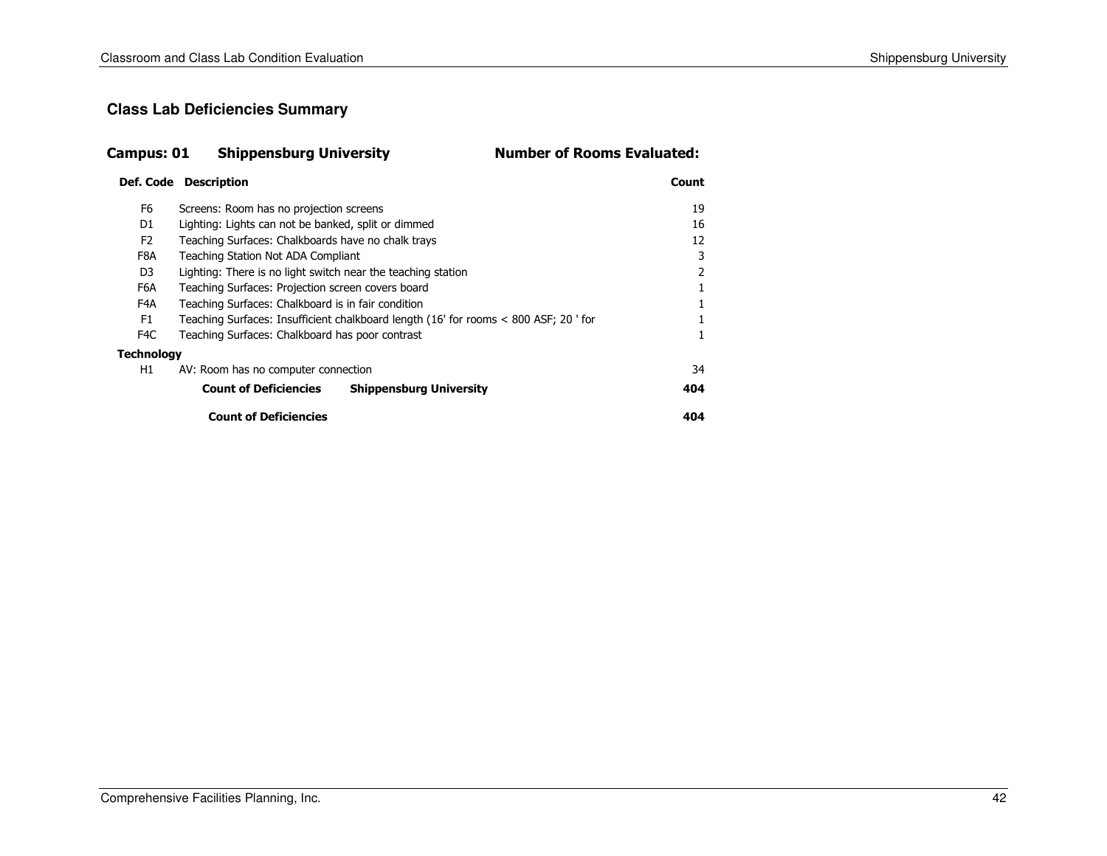#### **Class Lab Deficiencies Summary**

| <b>Shippensburg University</b><br>Campus: 01 |  | <b>Number of Rooms Evaluated:</b> |
|----------------------------------------------|--|-----------------------------------|
|----------------------------------------------|--|-----------------------------------|

#### Def. Code Descriptionn and the country of the country of the country of the country of the country of the country of the country of the country of the country of the country of the country of the country of the country of the country of the co

|                   | <b>Count of Deficiencies</b>                                                         |                                | 404 |  |  |  |
|-------------------|--------------------------------------------------------------------------------------|--------------------------------|-----|--|--|--|
|                   | <b>Count of Deficiencies</b>                                                         | <b>Shippensburg University</b> | 404 |  |  |  |
| H1                | AV: Room has no computer connection                                                  |                                | 34  |  |  |  |
| <b>Technology</b> |                                                                                      |                                |     |  |  |  |
| F <sub>4</sub> C  | Teaching Surfaces: Chalkboard has poor contrast                                      |                                |     |  |  |  |
| F1                | Teaching Surfaces: Insufficient chalkboard length (16' for rooms < 800 ASF; 20 ' for |                                |     |  |  |  |
| F4A               | Teaching Surfaces: Chalkboard is in fair condition                                   |                                |     |  |  |  |
| F6A               | Teaching Surfaces: Projection screen covers board                                    |                                |     |  |  |  |
| D3                | Lighting: There is no light switch near the teaching station                         |                                |     |  |  |  |
| F8A               | Teaching Station Not ADA Compliant                                                   |                                |     |  |  |  |
| F <sub>2</sub>    | Teaching Surfaces: Chalkboards have no chalk trays                                   |                                | 12  |  |  |  |
| D1                | Lighting: Lights can not be banked, split or dimmed                                  |                                | 16  |  |  |  |
| F6                | Screens: Room has no projection screens                                              |                                | 19  |  |  |  |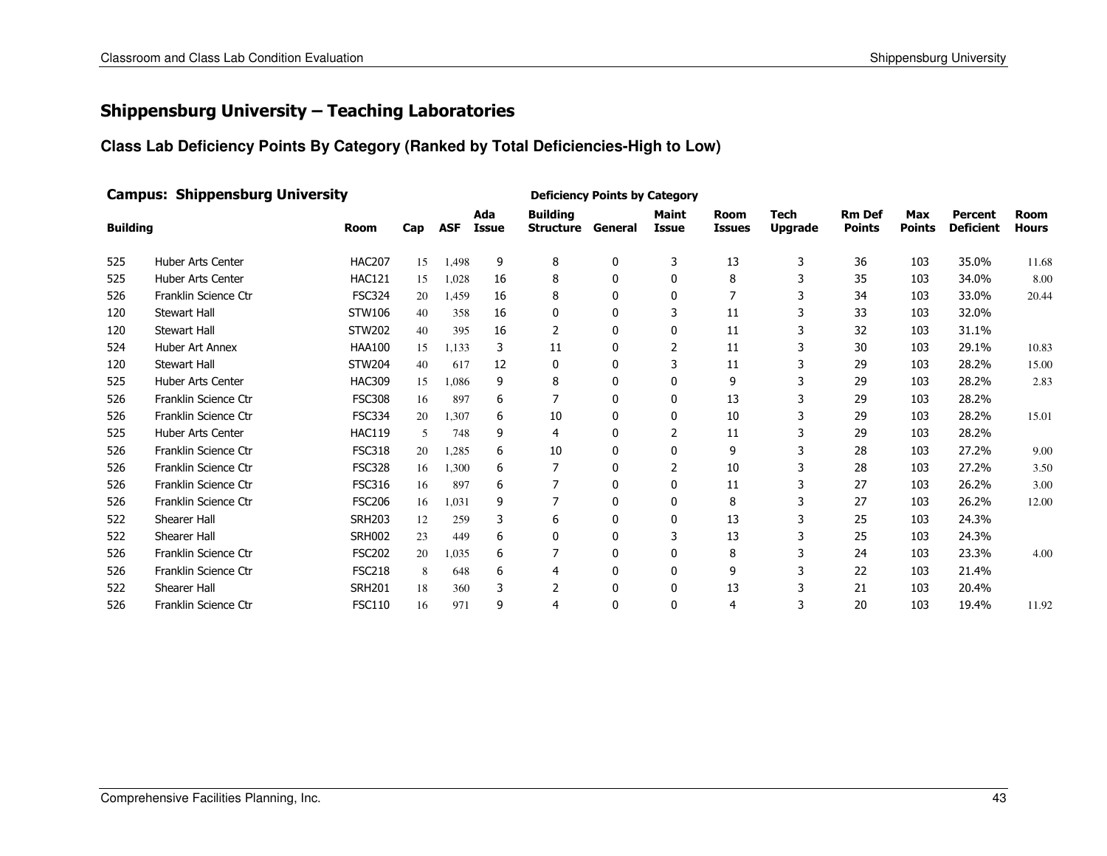### Shippensburg University – Teaching Laboratories

#### **Class Lab Deficiency Points By Category (Ranked by Total Deficiencies-High to Low)**

| <b>Campus: Shippensburg University</b> |                          |               |     |            |                     |                                             | <b>Deficiency Points by Category</b> |                              |                              |                               |                                |                      |                                    |                             |
|----------------------------------------|--------------------------|---------------|-----|------------|---------------------|---------------------------------------------|--------------------------------------|------------------------------|------------------------------|-------------------------------|--------------------------------|----------------------|------------------------------------|-----------------------------|
| <b>Building</b>                        |                          | <b>Room</b>   | Cap | <b>ASF</b> | Ada<br><b>Issue</b> | <b>Building</b><br><b>Structure General</b> |                                      | <b>Maint</b><br><b>Issue</b> | <b>Room</b><br><b>Issues</b> | <b>Tech</b><br><b>Upgrade</b> | <b>Rm Def</b><br><b>Points</b> | Max<br><b>Points</b> | <b>Percent</b><br><b>Deficient</b> | <b>Room</b><br><b>Hours</b> |
| 525                                    | <b>Huber Arts Center</b> | <b>HAC207</b> | 15  | 1,498      | 9                   | 8                                           | 0                                    | 3                            | 13                           | 3                             | 36                             | 103                  | 35.0%                              | 11.68                       |
| 525                                    | <b>Huber Arts Center</b> | <b>HAC121</b> | 15  | 1,028      | 16                  | 8                                           | $\mathbf{0}$                         | $\mathbf{0}$                 | 8                            | 3                             | 35                             | 103                  | 34.0%                              | 8.00                        |
| 526                                    | Franklin Science Ctr     | <b>FSC324</b> | 20  | 1,459      | 16                  | 8                                           | 0                                    | 0                            |                              |                               | 34                             | 103                  | 33.0%                              | 20.44                       |
| 120                                    | <b>Stewart Hall</b>      | STW106        | 40  | 358        | 16                  | 0                                           | 0                                    | 3                            | 11                           |                               | 33                             | 103                  | 32.0%                              |                             |
| 120                                    | <b>Stewart Hall</b>      | <b>STW202</b> | 40  | 395        | 16                  | $\overline{2}$                              | 0                                    | 0                            | 11                           |                               | 32                             | 103                  | 31.1%                              |                             |
| 524                                    | <b>Huber Art Annex</b>   | <b>HAA100</b> | 15  | 1.133      | 3                   | 11                                          | 0                                    | 2                            | 11                           |                               | 30                             | 103                  | 29.1%                              | 10.83                       |
| 120                                    | <b>Stewart Hall</b>      | <b>STW204</b> | 40  | 617        | 12                  | 0                                           | 0                                    | 3                            | 11                           |                               | 29                             | 103                  | 28.2%                              | 15.00                       |
| 525                                    | <b>Huber Arts Center</b> | <b>HAC309</b> | 15  | 1.086      | 9                   | 8                                           | $\mathbf{0}$                         | 0                            | 9                            | 3                             | 29                             | 103                  | 28.2%                              | 2.83                        |
| 526                                    | Franklin Science Ctr     | <b>FSC308</b> | 16  | 897        | 6                   | 7                                           | $\mathbf{0}$                         | 0                            | 13                           |                               | 29                             | 103                  | 28.2%                              |                             |
| 526                                    | Franklin Science Ctr     | <b>FSC334</b> | 20  | 1,307      | 6                   | 10                                          | $\mathbf{0}$                         | 0                            | 10                           |                               | 29                             | 103                  | 28.2%                              | 15.01                       |
| 525                                    | <b>Huber Arts Center</b> | <b>HAC119</b> | 5   | 748        | 9                   | 4                                           | 0                                    | 2                            | 11                           |                               | 29                             | 103                  | 28.2%                              |                             |
| 526                                    | Franklin Science Ctr     | <b>FSC318</b> | 20  | 1,285      | 6                   | 10                                          | $\mathbf{0}$                         | 0                            | 9                            |                               | 28                             | 103                  | 27.2%                              | 9.00                        |
| 526                                    | Franklin Science Ctr     | <b>FSC328</b> | 16  | 1,300      | 6                   | 7                                           | 0                                    | 2                            | 10                           |                               | 28                             | 103                  | 27.2%                              | 3.50                        |
| 526                                    | Franklin Science Ctr     | <b>FSC316</b> | 16  | 897        | 6                   | 7                                           | 0                                    | 0                            | 11                           |                               | 27                             | 103                  | 26.2%                              | 3.00                        |
| 526                                    | Franklin Science Ctr     | <b>FSC206</b> | 16  | 1,031      | 9                   | 7                                           | 0                                    | 0                            | 8                            |                               | 27                             | 103                  | 26.2%                              | 12.00                       |
| 522                                    | Shearer Hall             | <b>SRH203</b> | 12  | 259        | 3                   | 6                                           | 0                                    | 0                            | 13                           |                               | 25                             | 103                  | 24.3%                              |                             |
| 522                                    | Shearer Hall             | <b>SRH002</b> | 23  | 449        | 6                   | $\mathbf{0}$                                | 0                                    | 3                            | 13                           |                               | 25                             | 103                  | 24.3%                              |                             |
| 526                                    | Franklin Science Ctr     | <b>FSC202</b> | 20  | 1,035      | 6                   | 7                                           | 0                                    | 0                            | 8                            |                               | 24                             | 103                  | 23.3%                              | 4.00                        |
| 526                                    | Franklin Science Ctr     | <b>FSC218</b> | 8   | 648        | 6                   | 4                                           | 0                                    | 0                            | 9                            |                               | 22                             | 103                  | 21.4%                              |                             |
| 522                                    | Shearer Hall             | <b>SRH201</b> | 18  | 360        | 3                   | 2                                           | 0                                    | 0                            | 13                           |                               | 21                             | 103                  | 20.4%                              |                             |
| 526                                    | Franklin Science Ctr     | <b>FSC110</b> | 16  | 971        | 9                   | 4                                           | 0                                    | $\Omega$                     | 4                            | 3                             | 20                             | 103                  | 19.4%                              | 11.92                       |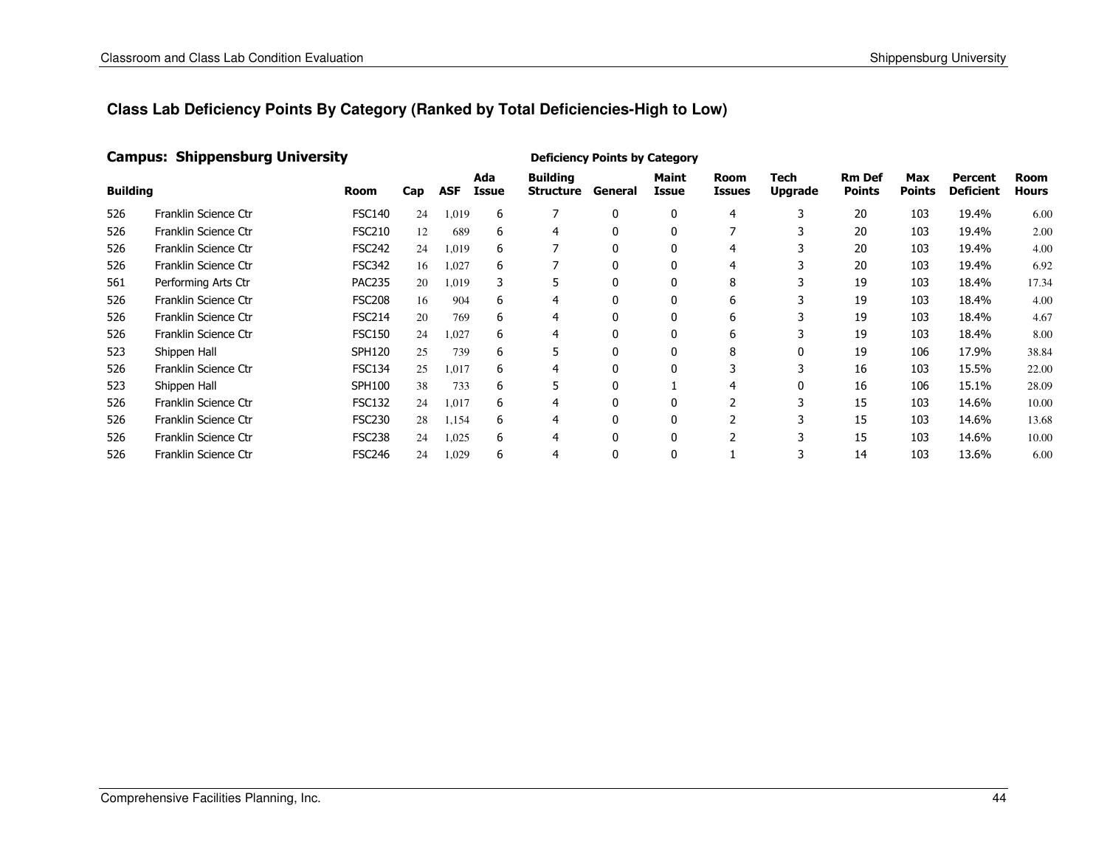#### Campus: Shippensburg University

| <b>Building</b> |                      | Room          | Cap | <b>ASF</b> | Ada<br>Issue | <b>Building</b><br><b>Structure</b> | General  | <b>Maint</b><br>Issue | <b>Room</b><br><b>Issues</b> | Tech<br><b>Upgrade</b> | <b>Rm Def</b><br><b>Points</b> | Max<br><b>Points</b> | Percent<br><b>Deficient</b> | <b>Room</b><br><b>Hours</b> |
|-----------------|----------------------|---------------|-----|------------|--------------|-------------------------------------|----------|-----------------------|------------------------------|------------------------|--------------------------------|----------------------|-----------------------------|-----------------------------|
| 526             | Franklin Science Ctr | <b>FSC140</b> | 24  | 1,019      | 6            |                                     | 0        | $\mathbf{0}$          |                              | 3                      | 20                             | 103                  | 19.4%                       | 6.00                        |
| 526             | Franklin Science Ctr | <b>FSC210</b> | 12  | 689        | 6            | 4                                   | 0        | $\mathbf{0}$          |                              | 3                      | 20                             | 103                  | 19.4%                       | 2.00                        |
| 526             | Franklin Science Ctr | <b>FSC242</b> | 24  | 1,019      | 6            |                                     | $\Omega$ | 0                     | 4                            |                        | 20                             | 103                  | 19.4%                       | 4.00                        |
| 526             | Franklin Science Ctr | <b>FSC342</b> | 16  | 1,027      | 6            |                                     | $\Omega$ | 0                     | 4                            |                        | 20                             | 103                  | 19.4%                       | 6.92                        |
| 561             | Performing Arts Ctr  | <b>PAC235</b> | 20  | 1.019      | 3            | 5                                   | 0        | $\mathbf{0}$          | 8                            |                        | 19                             | 103                  | 18.4%                       | 17.34                       |
| 526             | Franklin Science Ctr | <b>FSC208</b> | 16  | 904        | 6            | 4                                   | $\Omega$ | $\mathbf{0}$          | 6                            | 3                      | 19                             | 103                  | 18.4%                       | 4.00                        |
| 526             | Franklin Science Ctr | <b>FSC214</b> | 20  | 769        | 6            | 4                                   | $\Omega$ | $\mathbf{0}$          | 6                            |                        | 19                             | 103                  | 18.4%                       | 4.67                        |
| 526             | Franklin Science Ctr | <b>FSC150</b> | 24  | 1,027      | 6            | 4                                   | 0        | 0                     | 6                            |                        | 19                             | 103                  | 18.4%                       | 8.00                        |
| 523             | Shippen Hall         | <b>SPH120</b> | 25  | 739        | 6            | 5                                   |          | 0                     | 8                            |                        | 19                             | 106                  | 17.9%                       | 38.84                       |
| 526             | Franklin Science Ctr | <b>FSC134</b> | 25  | 1.017      | 6            | 4                                   | $\Omega$ | $\mathbf{0}$          |                              | 3                      | 16                             | 103                  | 15.5%                       | 22.00                       |
| 523             | Shippen Hall         | <b>SPH100</b> | 38  | 733        | 6            | 5                                   | $\Omega$ |                       | 4                            | 0                      | 16                             | 106                  | 15.1%                       | 28.09                       |
| 526             | Franklin Science Ctr | <b>FSC132</b> | 24  | 1,017      | 6            | 4                                   | 0        | 0                     |                              | 3                      | 15                             | 103                  | 14.6%                       | 10.00                       |
| 526             | Franklin Science Ctr | <b>FSC230</b> | 28  | 1,154      | 6            | 4                                   | 0        | 0                     |                              | n.                     | 15                             | 103                  | 14.6%                       | 13.68                       |
| 526             | Franklin Science Ctr | <b>FSC238</b> | 24  | 1,025      | 6            | 4                                   |          | $\mathbf{0}$          |                              |                        | 15                             | 103                  | 14.6%                       | 10.00                       |
| 526             | Franklin Science Ctr | <b>FSC246</b> | 24  | 1,029      | 6            | 4                                   | 0        | 0                     |                              | 3                      | 14                             | 103                  | 13.6%                       | 6.00                        |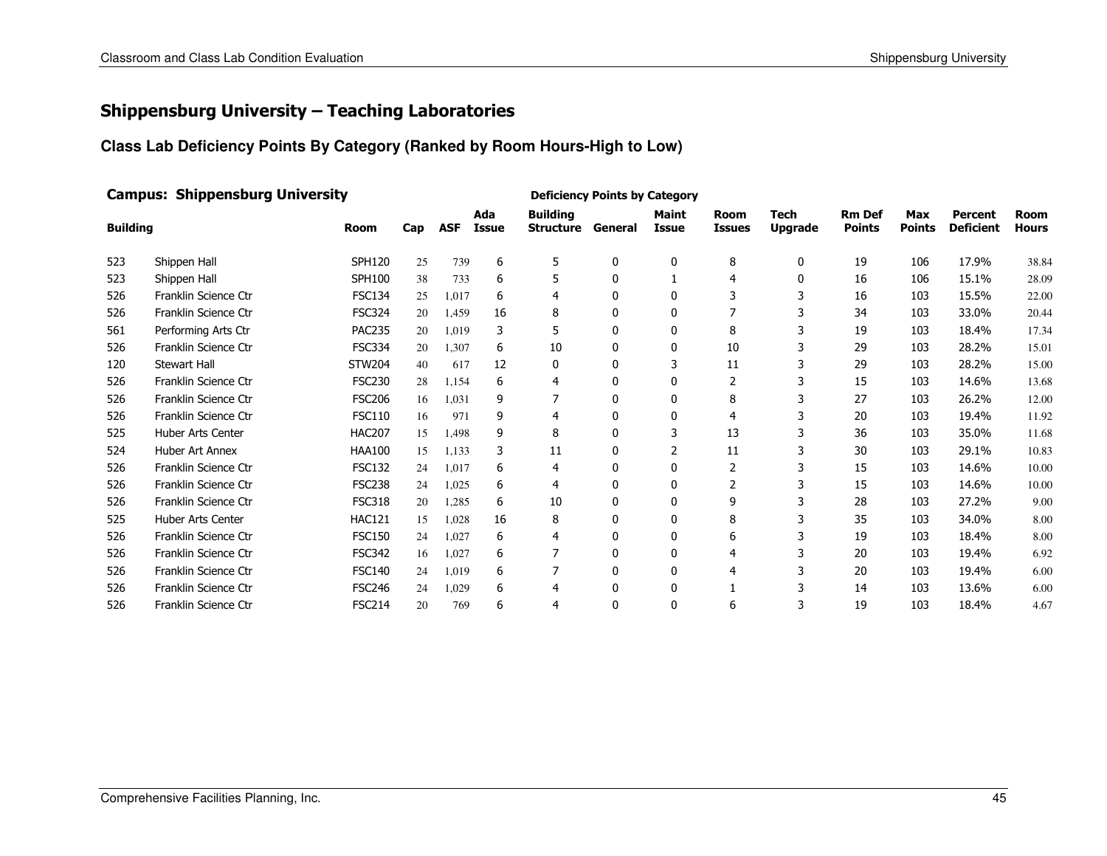### Shippensburg University – Teaching Laboratories

**Class Lab Deficiency Points By Category (Ranked by Room Hours-High to Low)**

|                 | <b>Campus: Shippensburg University</b> |               |     |            |                     | <b>Deficiency Points by Category</b>        |              |                              |                              |                               |                                |                             |                                    |                             |
|-----------------|----------------------------------------|---------------|-----|------------|---------------------|---------------------------------------------|--------------|------------------------------|------------------------------|-------------------------------|--------------------------------|-----------------------------|------------------------------------|-----------------------------|
| <b>Building</b> |                                        | <b>Room</b>   | Cap | <b>ASF</b> | Ada<br><b>Issue</b> | <b>Building</b><br><b>Structure General</b> |              | <b>Maint</b><br><b>Issue</b> | <b>Room</b><br><b>Issues</b> | <b>Tech</b><br><b>Upgrade</b> | <b>Rm Def</b><br><b>Points</b> | <b>Max</b><br><b>Points</b> | <b>Percent</b><br><b>Deficient</b> | <b>Room</b><br><b>Hours</b> |
| 523             | Shippen Hall                           | <b>SPH120</b> | 25  | 739        | 6                   | 5                                           | 0            | 0                            | 8                            | 0                             | 19                             | 106                         | 17.9%                              | 38.84                       |
| 523             | Shippen Hall                           | <b>SPH100</b> | 38  | 733        | 6                   | 5                                           | 0            |                              | 4                            | $\mathbf{0}$                  | 16                             | 106                         | 15.1%                              | 28.09                       |
| 526             | Franklin Science Ctr                   | <b>FSC134</b> | 25  | 1,017      | 6                   | 4                                           | 0            | $\mathbf{0}$                 | 3                            | 3                             | 16                             | 103                         | 15.5%                              | 22.00                       |
| 526             | Franklin Science Ctr                   | <b>FSC324</b> | 20  | 1,459      | 16                  | 8                                           | 0            | $\mathbf{0}$                 |                              |                               | 34                             | 103                         | 33.0%                              | 20.44                       |
| 561             | Performing Arts Ctr                    | <b>PAC235</b> | 20  | 1,019      | 3                   | 5                                           | 0            | 0                            | 8                            |                               | 19                             | 103                         | 18.4%                              | 17.34                       |
| 526             | Franklin Science Ctr                   | <b>FSC334</b> | 20  | 1,307      | 6                   | 10                                          | 0            | 0                            | 10                           |                               | 29                             | 103                         | 28.2%                              | 15.01                       |
| 120             | <b>Stewart Hall</b>                    | <b>STW204</b> | 40  | 617        | 12                  | 0                                           | 0            | 3                            | 11                           |                               | 29                             | 103                         | 28.2%                              | 15.00                       |
| 526             | Franklin Science Ctr                   | <b>FSC230</b> | 28  | 1,154      | 6                   | 4                                           | 0            | $\mathbf{0}$                 | 2                            |                               | 15                             | 103                         | 14.6%                              | 13.68                       |
| 526             | Franklin Science Ctr                   | <b>FSC206</b> | 16  | 1,031      | 9                   | 7                                           | 0            | 0                            | 8                            |                               | 27                             | 103                         | 26.2%                              | 12.00                       |
| 526             | Franklin Science Ctr                   | <b>FSC110</b> | 16  | 971        | 9                   | 4                                           | 0            | $\mathbf{0}$                 | 4                            |                               | 20                             | 103                         | 19.4%                              | 11.92                       |
| 525             | <b>Huber Arts Center</b>               | <b>HAC207</b> | 15  | 1,498      | 9                   | 8                                           | 0            | 3                            | 13                           |                               | 36                             | 103                         | 35.0%                              | 11.68                       |
| 524             | Huber Art Annex                        | <b>HAA100</b> | 15  | 1,133      | 3                   | 11                                          | 0            | 2                            | 11                           |                               | 30                             | 103                         | 29.1%                              | 10.83                       |
| 526             | Franklin Science Ctr                   | <b>FSC132</b> | 24  | 1,017      | 6                   | 4                                           | 0            | 0                            | 2                            |                               | 15                             | 103                         | 14.6%                              | 10.00                       |
| 526             | Franklin Science Ctr                   | <b>FSC238</b> | 24  | 1,025      | 6                   | 4                                           | $\mathbf{0}$ | $\mathbf{0}$                 | 2                            | ٦                             | 15                             | 103                         | 14.6%                              | 10.00                       |
| 526             | Franklin Science Ctr                   | <b>FSC318</b> | 20  | 1,285      | 6                   | 10                                          | 0            | 0                            | 9                            |                               | 28                             | 103                         | 27.2%                              | 9.00                        |
| 525             | <b>Huber Arts Center</b>               | <b>HAC121</b> | 15  | 1,028      | 16                  | 8                                           | $\mathbf{0}$ | $\mathbf{0}$                 | 8                            |                               | 35                             | 103                         | 34.0%                              | 8.00                        |
| 526             | Franklin Science Ctr                   | <b>FSC150</b> | 24  | 1,027      | 6                   | $\overline{a}$                              | 0            | 0                            | 6                            |                               | 19                             | 103                         | 18.4%                              | 8.00                        |
| 526             | Franklin Science Ctr                   | <b>FSC342</b> | 16  | 1,027      | 6                   |                                             | 0            | 0                            | 4                            |                               | 20                             | 103                         | 19.4%                              | 6.92                        |
| 526             | Franklin Science Ctr                   | <b>FSC140</b> | 24  | 1,019      | 6                   |                                             | 0            | 0                            | 4                            |                               | 20                             | 103                         | 19.4%                              | 6.00                        |
| 526             | Franklin Science Ctr                   | <b>FSC246</b> | 24  | 1,029      | 6                   | 4                                           | $\mathbf{0}$ | $\mathbf{0}$                 |                              |                               | 14                             | 103                         | 13.6%                              | 6.00                        |
| 526             | Franklin Science Ctr                   | <b>FSC214</b> | 20  | 769        | 6                   | 4                                           | 0            | $\Omega$                     | 6                            | 3                             | 19                             | 103                         | 18.4%                              | 4.67                        |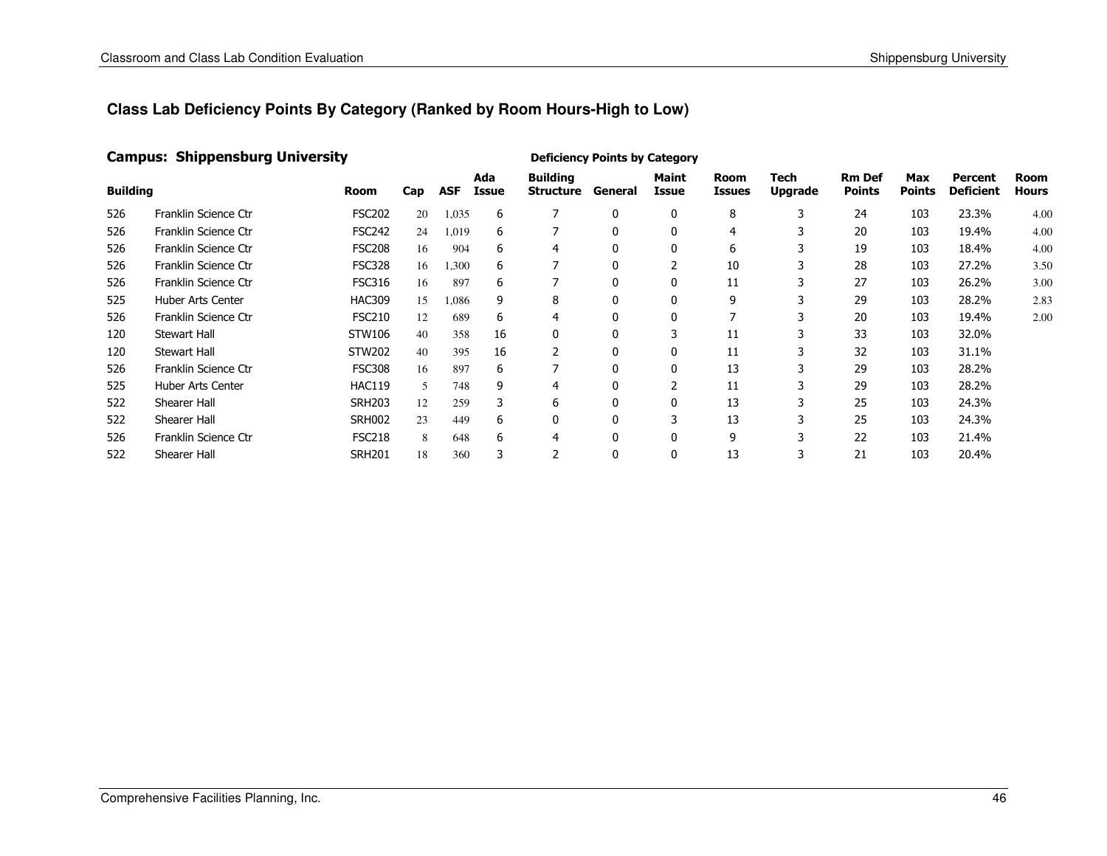#### Campus: Shippensburg University

| <b>Building</b> |                          | Room          | Cap | <b>ASF</b> | Ada<br>Issue | <b>Building</b><br>Structure | General      | <b>Maint</b><br>Issue | Room<br><b>Issues</b> | Tech<br><b>Upgrade</b> | <b>Rm Def</b><br><b>Points</b> | Max<br><b>Points</b> | Percent<br><b>Deficient</b> | <b>Room</b><br><b>Hours</b> |
|-----------------|--------------------------|---------------|-----|------------|--------------|------------------------------|--------------|-----------------------|-----------------------|------------------------|--------------------------------|----------------------|-----------------------------|-----------------------------|
| 526             | Franklin Science Ctr     | <b>FSC202</b> | 20  | 1,035      | 6            |                              | 0            | 0                     | 8                     | 3                      | 24                             | 103                  | 23.3%                       | 4.00                        |
| 526             | Franklin Science Ctr     | <b>FSC242</b> | 24  | 1,019      | 6            | 7                            | 0            | 0                     | 4                     | 3                      | 20                             | 103                  | 19.4%                       | 4.00                        |
| 526             | Franklin Science Ctr     | <b>FSC208</b> | 16  | 904        | 6            | 4                            | $\mathbf{0}$ | 0                     | 6                     |                        | 19                             | 103                  | 18.4%                       | 4.00                        |
| 526             | Franklin Science Ctr     | <b>FSC328</b> | 16  | 1,300      | 6            | ⇁                            | 0            | 2                     | 10                    | 3                      | 28                             | 103                  | 27.2%                       | 3.50                        |
| 526             | Franklin Science Ctr     | <b>FSC316</b> | 16  | 897        | 6            | 7                            | $\mathbf{0}$ | $\mathbf{0}$          | 11                    | 3                      | 27                             | 103                  | 26.2%                       | 3.00                        |
| 525             | Huber Arts Center        | <b>HAC309</b> | 15  | 1,086      | 9            | 8                            | 0            | 0                     | 9                     |                        | 29                             | 103                  | 28.2%                       | 2.83                        |
| 526             | Franklin Science Ctr     | <b>FSC210</b> | 12  | 689        | 6            | 4                            | 0            | $\mathbf{0}$          |                       | 3                      | 20                             | 103                  | 19.4%                       | 2.00                        |
| 120             | <b>Stewart Hall</b>      | STW106        | 40  | 358        | 16           | 0                            | 0            | 3                     | 11                    | 3                      | 33                             | 103                  | 32.0%                       |                             |
| 120             | Stewart Hall             | <b>STW202</b> | 40  | 395        | 16           |                              | 0            | $\mathbf{0}$          | 11                    |                        | 32                             | 103                  | 31.1%                       |                             |
| 526             | Franklin Science Ctr     | <b>FSC308</b> | 16  | 897        | 6            | ⇁                            | 0            | $\mathbf{0}$          | 13                    | 3                      | 29                             | 103                  | 28.2%                       |                             |
| 525             | <b>Huber Arts Center</b> | <b>HAC119</b> | 5   | 748        | 9            | 4                            | 0            | 2                     | 11                    | 3                      | 29                             | 103                  | 28.2%                       |                             |
| 522             | Shearer Hall             | <b>SRH203</b> | 12  | 259        | 3            | 6                            | 0            | 0                     | 13                    |                        | 25                             | 103                  | 24.3%                       |                             |
| 522             | Shearer Hall             | <b>SRH002</b> | 23  | 449        | 6            | 0                            | 0            | 3                     | 13                    |                        | 25                             | 103                  | 24.3%                       |                             |
| 526             | Franklin Science Ctr     | <b>FSC218</b> | 8   | 648        | 6            | 4                            | 0            | $\mathbf{0}$          | 9                     | 3                      | 22                             | 103                  | 21.4%                       |                             |
| 522             | Shearer Hall             | <b>SRH201</b> | 18  | 360        | 3            | $\mathcal{P}$                | 0            | $\mathbf{0}$          | 13                    | 3                      | 21                             | 103                  | 20.4%                       |                             |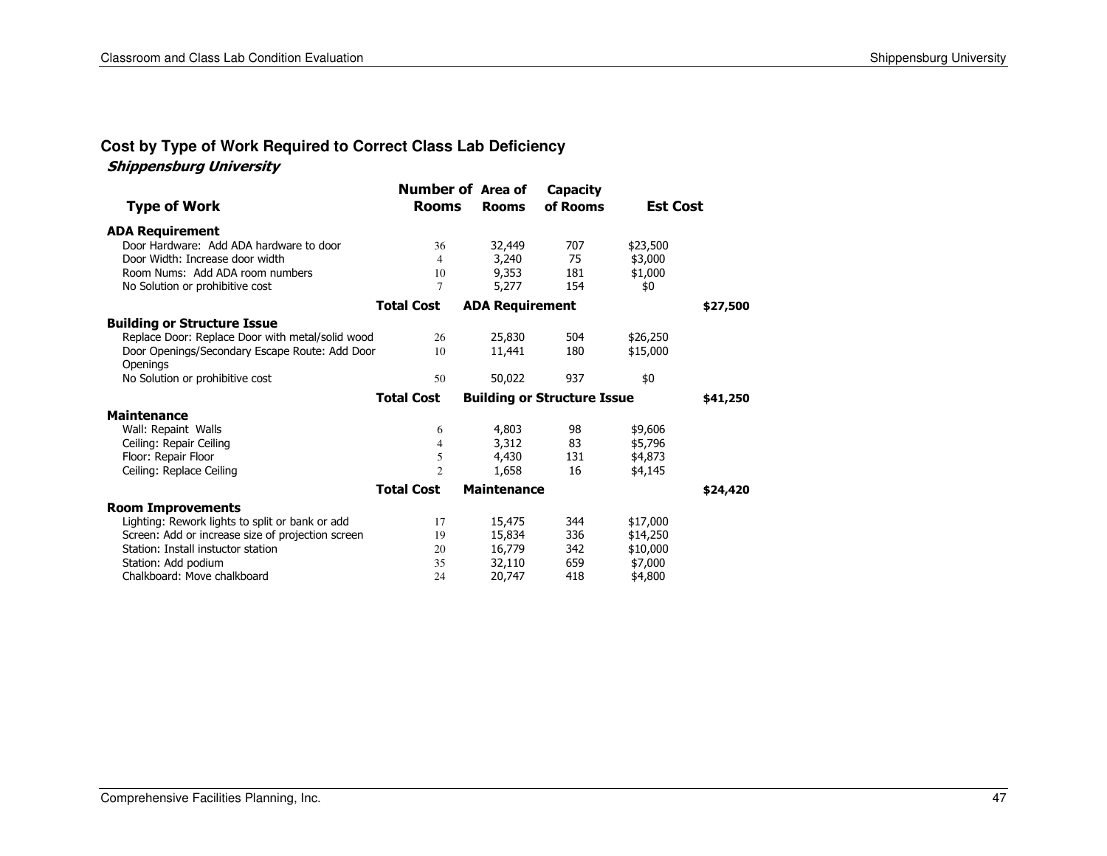### **Cost by Type of Work Required to Correct Class Lab Deficiency**

#### Shippensburg University

| <b>Type of Work</b>                               | <b>Number of Area of</b><br><b>Rooms</b> | <b>Rooms</b>           | Capacity<br>of Rooms               | <b>Est Cost</b> |          |
|---------------------------------------------------|------------------------------------------|------------------------|------------------------------------|-----------------|----------|
| <b>ADA Requirement</b>                            |                                          |                        |                                    |                 |          |
| Door Hardware: Add ADA hardware to door           | 36                                       | 32,449                 | 707                                | \$23,500        |          |
| Door Width: Increase door width                   | $\overline{4}$                           | 3,240                  | 75                                 | \$3,000         |          |
| Room Nums: Add ADA room numbers                   | 10                                       | 9,353                  | 181                                | \$1,000         |          |
| No Solution or prohibitive cost                   | 7                                        | 5,277                  | 154                                | \$0             |          |
|                                                   | <b>Total Cost</b>                        | <b>ADA Requirement</b> |                                    |                 | \$27,500 |
| <b>Building or Structure Issue</b>                |                                          |                        |                                    |                 |          |
| Replace Door: Replace Door with metal/solid wood  | 26                                       | 25,830                 | 504                                | \$26,250        |          |
| Door Openings/Secondary Escape Route: Add Door    | 10                                       | 11,441                 | 180                                | \$15,000        |          |
| Openings                                          |                                          |                        |                                    |                 |          |
| No Solution or prohibitive cost                   | 50                                       | 50,022                 | 937                                | \$0             |          |
|                                                   | <b>Total Cost</b>                        |                        | <b>Building or Structure Issue</b> |                 | \$41,250 |
| <b>Maintenance</b>                                |                                          |                        |                                    |                 |          |
| Wall: Repaint Walls                               | 6                                        | 4,803                  | 98                                 | \$9,606         |          |
| Ceiling: Repair Ceiling                           | 4                                        | 3,312                  | 83                                 | \$5,796         |          |
| Floor: Repair Floor                               | 5                                        | 4,430                  | 131                                | \$4,873         |          |
| Ceiling: Replace Ceiling                          | $\overline{c}$                           | 1,658                  | 16                                 | \$4,145         |          |
|                                                   | <b>Total Cost</b>                        | <b>Maintenance</b>     |                                    |                 | \$24,420 |
| <b>Room Improvements</b>                          |                                          |                        |                                    |                 |          |
| Lighting: Rework lights to split or bank or add   | 17                                       | 15,475                 | 344                                | \$17,000        |          |
| Screen: Add or increase size of projection screen | 19                                       | 15,834                 | 336                                | \$14,250        |          |
| Station: Install instuctor station                | 20                                       | 16,779                 | 342                                | \$10,000        |          |
| Station: Add podium                               | 35                                       | 32,110                 | 659                                | \$7,000         |          |
| Chalkboard: Move chalkboard                       | 24                                       | 20,747                 | 418                                | \$4,800         |          |